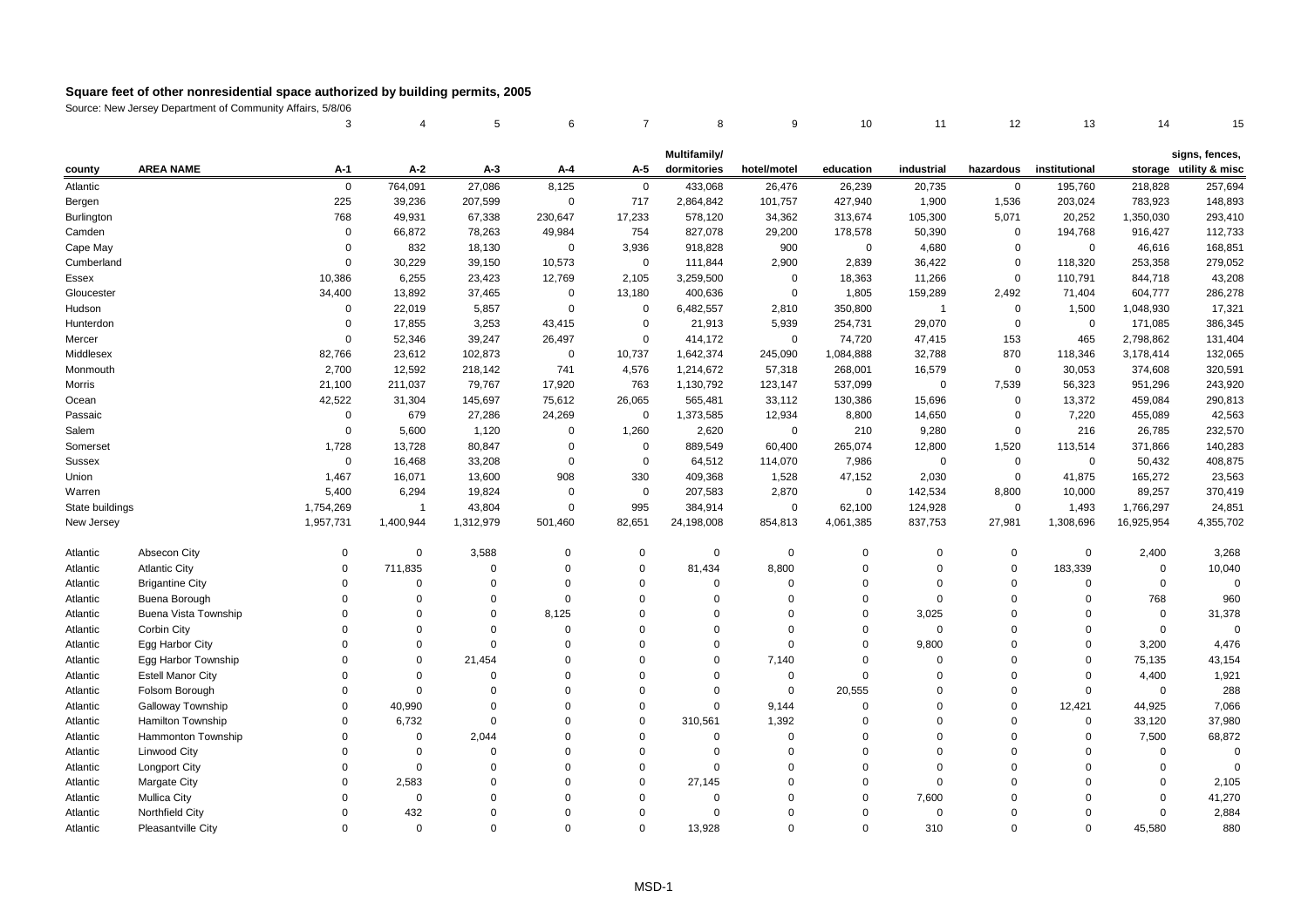|                   |                          | 3              |                | 5         | 6              | $\overline{7}$ | 8            | 9           | 10          | 11             | 12          | 13            | 14          | 15                     |
|-------------------|--------------------------|----------------|----------------|-----------|----------------|----------------|--------------|-------------|-------------|----------------|-------------|---------------|-------------|------------------------|
|                   |                          |                |                |           |                |                | Multifamily/ |             |             |                |             |               |             | signs, fences,         |
| county            | <b>AREA NAME</b>         | A-1            | $A-2$          | $A-3$     | A-4            | A-5            | dormitories  | hotel/motel | education   | industrial     | hazardous   | institutional |             | storage utility & misc |
| Atlantic          |                          | $\mathbf 0$    | 764,091        | 27,086    | 8,125          | $\mathsf 0$    | 433,068      | 26,476      | 26,239      | 20,735         | $\mathbf 0$ | 195,760       | 218,828     | 257,694                |
| Bergen            |                          | 225            | 39,236         | 207,599   | $\overline{0}$ | 717            | 2,864,842    | 101,757     | 427,940     | 1,900          | 1,536       | 203,024       | 783,923     | 148,893                |
| <b>Burlington</b> |                          | 768            | 49,931         | 67,338    | 230,647        | 17,233         | 578,120      | 34,362      | 313,674     | 105,300        | 5,071       | 20,252        | 1,350,030   | 293,410                |
| Camden            |                          | $\overline{0}$ | 66,872         | 78,263    | 49,984         | 754            | 827,078      | 29,200      | 178,578     | 50,390         | $\mathsf 0$ | 194,768       | 916,427     | 112,733                |
| Cape May          |                          | $\Omega$       | 832            | 18,130    | $\mathbf 0$    | 3,936          | 918,828      | 900         | $\Omega$    | 4,680          | $\mathbf 0$ | $\Omega$      | 46,616      | 168,851                |
| Cumberland        |                          | $\mathbf 0$    | 30,229         | 39,150    | 10,573         | $\mathsf 0$    | 111,844      | 2,900       | 2,839       | 36,422         | $\mathbf 0$ | 118,320       | 253,358     | 279,052                |
| Essex             |                          | 10,386         | 6,255          | 23,423    | 12,769         | 2,105          | 3,259,500    | $\pmb{0}$   | 18,363      | 11,266         | $\mathbf 0$ | 110,791       | 844,718     | 43,208                 |
| Gloucester        |                          | 34,400         | 13,892         | 37,465    | $\overline{0}$ | 13,180         | 400,636      | $\mathsf 0$ | 1,805       | 159,289        | 2,492       | 71,404        | 604,777     | 286,278                |
| Hudson            |                          | $\overline{0}$ | 22,019         | 5,857     | $\overline{0}$ | $\mathbf 0$    | 6,482,557    | 2,810       | 350,800     | $\overline{1}$ | $\mathsf 0$ | 1,500         | 1,048,930   | 17,321                 |
| Hunterdon         |                          | $\Omega$       | 17,855         | 3,253     | 43,415         | $\mathbf 0$    | 21,913       | 5,939       | 254,731     | 29,070         | $\mathbf 0$ | $\mathsf 0$   | 171,085     | 386,345                |
| Mercer            |                          | $\mathbf 0$    | 52,346         | 39,247    | 26,497         | $\mathbf 0$    | 414,172      | $\mathsf 0$ | 74,720      | 47,415         | 153         | 465           | 2,798,862   | 131,404                |
| Middlesex         |                          | 82.766         | 23,612         | 102,873   | $\mathbf 0$    | 10,737         | 1,642,374    | 245,090     | 1,084,888   | 32,788         | 870         | 118,346       | 3,178,414   | 132,065                |
| Monmouth          |                          | 2,700          | 12,592         | 218,142   | 741            | 4,576          | 1,214,672    | 57,318      | 268,001     | 16,579         | $\mathbf 0$ | 30,053        | 374,608     | 320,591                |
| Morris            |                          | 21,100         | 211,037        | 79,767    | 17,920         | 763            | 1,130,792    | 123,147     | 537,099     | $\mathbf 0$    | 7,539       | 56,323        | 951,296     | 243,920                |
| Ocean             |                          | 42,522         | 31,304         | 145,697   | 75,612         | 26,065         | 565,481      | 33,112      | 130,386     | 15,696         | $\mathbf 0$ | 13,372        | 459,084     | 290,813                |
| Passaic           |                          | $\mathbf 0$    | 679            | 27,286    | 24,269         | $\mathbf 0$    | 1,373,585    | 12,934      | 8,800       | 14,650         | $\mathbf 0$ | 7,220         | 455,089     | 42,563                 |
| Salem             |                          | $\mathbf 0$    | 5,600          | 1,120     | $\mathbf 0$    | 1,260          | 2,620        | $\mathsf 0$ | 210         | 9,280          | $\mathsf 0$ | 216           | 26,785      | 232,570                |
| Somerset          |                          | 1,728          | 13,728         | 80,847    | $\overline{0}$ | $\mathbf 0$    | 889,549      | 60,400      | 265,074     | 12,800         | 1,520       | 113,514       | 371,866     | 140,283                |
| <b>Sussex</b>     |                          | $\mathbf 0$    | 16,468         | 33,208    | $\mathbf 0$    | $\mathbf 0$    | 64,512       | 114,070     | 7,986       | $\mathbf 0$    | $\mathbf 0$ | $\mathbf 0$   | 50,432      | 408,875                |
| Union             |                          | 1,467          | 16,071         | 13,600    | 908            | 330            | 409,368      | 1,528       | 47,152      | 2,030          | $\mathsf 0$ | 41,875        | 165,272     | 23,563                 |
| Warren            |                          | 5,400          | 6,294          | 19,824    | $\mathbf 0$    | $\mathbf 0$    | 207,583      | 2,870       | 0           | 142,534        | 8,800       | 10,000        | 89,257      | 370,419                |
| State buildings   |                          | 1,754,269      | $\overline{1}$ | 43,804    | $\mathbf 0$    | 995            | 384,914      | $\mathsf 0$ | 62,100      | 124,928        | $\mathsf 0$ | 1,493         | 1,766,297   | 24,851                 |
| New Jersey        |                          | 1,957,731      | 1,400,944      | 1,312,979 | 501,460        | 82,651         | 24,198,008   | 854,813     | 4,061,385   | 837,753        | 27,981      | 1,308,696     | 16,925,954  | 4,355,702              |
|                   |                          |                |                |           |                |                |              |             |             |                |             |               |             |                        |
| Atlantic          | Absecon City             | $\mathbf 0$    | $\mathbf 0$    | 3,588     | $\Omega$       | $\mathbf 0$    | $\mathbf 0$  | $\mathsf 0$ | $\mathbf 0$ | $\mathbf 0$    | $\mathbf 0$ | $\Omega$      | 2,400       | 3,268                  |
| Atlantic          | <b>Atlantic City</b>     | $\mathbf 0$    | 711,835        | $\Omega$  | $\Omega$       | $\mathbf 0$    | 81,434       | 8,800       | $\mathbf 0$ | $\mathbf 0$    | $\mathbf 0$ | 183,339       | $\mathsf 0$ | 10,040                 |
| Atlantic          | <b>Brigantine City</b>   | $\Omega$       | $\Omega$       | $\Omega$  | $\Omega$       | $\mathbf 0$    | $\Omega$     | $\Omega$    | $\mathbf 0$ | $\Omega$       | $\mathbf 0$ | $\Omega$      | $\mathbf 0$ | $\mathbf 0$            |
| Atlantic          | Buena Borough            | $\Omega$       | $\Omega$       | $\Omega$  | $\Omega$       | $\mathbf 0$    | $\Omega$     | $\Omega$    | $\Omega$    | $\mathbf 0$    | $\mathbf 0$ | $\Omega$      | 768         | 960                    |
| Atlantic          | Buena Vista Township     | $\Omega$       | $\Omega$       | $\Omega$  | 8,125          | $\mathbf 0$    | $\Omega$     | $\mathbf 0$ | $\mathbf 0$ | 3,025          | $\mathbf 0$ | $\Omega$      | $\mathsf 0$ | 31,378                 |
| Atlantic          | Corbin City              | $\Omega$       | $\Omega$       | $\Omega$  | $\Omega$       | $\Omega$       | $\Omega$     | $\Omega$    | $\Omega$    | $\Omega$       | $\Omega$    | $\Omega$      | $\mathsf 0$ | $\Omega$               |
| Atlantic          | Egg Harbor City          | $\Omega$       | $\Omega$       | $\Omega$  | $\Omega$       | $\Omega$       | $\Omega$     | $\Omega$    | $\mathbf 0$ | 9,800          | $\mathbf 0$ | $\Omega$      | 3,200       | 4,476                  |
| Atlantic          | Egg Harbor Township      | $\Omega$       | $\Omega$       | 21,454    | $\Omega$       | $\mathbf 0$    | $\Omega$     | 7,140       | $\mathbf 0$ | $\Omega$       | $\mathbf 0$ | $\mathbf 0$   | 75,135      | 43,154                 |
| Atlantic          | <b>Estell Manor City</b> | $\Omega$       | $\Omega$       | $\Omega$  | $\Omega$       | $\mathbf 0$    | $\Omega$     | $\mathsf 0$ | $\mathbf 0$ | $\mathbf 0$    | $\mathbf 0$ | $\Omega$      | 4,400       | 1,921                  |
| Atlantic          | Folsom Borough           | $\Omega$       | $\Omega$       | $\Omega$  | $\Omega$       | $\mathbf 0$    | $\Omega$     | $\mathbf 0$ | 20,555      | $\Omega$       | $\mathbf 0$ | $\Omega$      | $\mathbf 0$ | 288                    |
| Atlantic          | Galloway Township        | $\Omega$       | 40,990         | $\Omega$  | 0              | $\mathbf 0$    | $\mathbf 0$  | 9,144       | $\Omega$    | $\Omega$       | $\mathbf 0$ | 12,421        | 44,925      | 7,066                  |
| Atlantic          | Hamilton Township        | $\Omega$       | 6,732          | $\Omega$  | $\Omega$       | $\mathbf 0$    | 310,561      | 1,392       | $\mathbf 0$ | $\mathbf 0$    | $\mathbf 0$ | $\mathbf 0$   | 33,120      | 37,980                 |
| Atlantic          | Hammonton Township       | $\Omega$       | $\Omega$       | 2,044     | $\Omega$       | $\mathbf 0$    | $\mathbf 0$  | $\Omega$    | $\Omega$    | $\Omega$       | $\mathbf 0$ | $\Omega$      | 7,500       | 68,872                 |
| Atlantic          | <b>Linwood City</b>      | $\Omega$       | $\Omega$       | $\Omega$  | 0              | $\mathbf 0$    | $\Omega$     | $\mathbf 0$ | $\Omega$    | $\mathbf 0$    | $\mathbf 0$ | $\Omega$      | 0           | $\Omega$               |
| Atlantic          | <b>Longport City</b>     | $\mathbf 0$    | $\Omega$       | $\Omega$  | 0              | $\mathbf 0$    | $\mathbf 0$  | $\mathbf 0$ | $\mathbf 0$ | $\mathbf 0$    | $\mathbf 0$ | $\Omega$      | $\mathsf 0$ | $\Omega$               |
| Atlantic          | <b>Margate City</b>      | $\Omega$       | 2,583          | $\Omega$  | $\Omega$       | $\mathbf 0$    | 27.145       | $\Omega$    | $\Omega$    | $\Omega$       | $\mathbf 0$ | $\Omega$      | $\Omega$    | 2,105                  |
| Atlantic          | <b>Mullica City</b>      | $\Omega$       | $\Omega$       | $\Omega$  | $\Omega$       | $\Omega$       | $\Omega$     | $\Omega$    | $\Omega$    | 7,600          | $\mathbf 0$ | $\Omega$      | $\Omega$    | 41,270                 |
| Atlantic          | Northfield City          | $\Omega$       | 432            | $\Omega$  | $\Omega$       | $\Omega$       | $\Omega$     | $\Omega$    | $\mathbf 0$ | $\mathbf 0$    | $\mathbf 0$ | $\Omega$      | $\mathbf 0$ | 2,884                  |
| Atlantic          | Pleasantville City       | $\Omega$       | $\Omega$       | $\Omega$  | $\Omega$       | $\Omega$       | 13.928       | $\Omega$    | $\Omega$    | 310            | $\Omega$    | $\Omega$      | 45,580      | 880                    |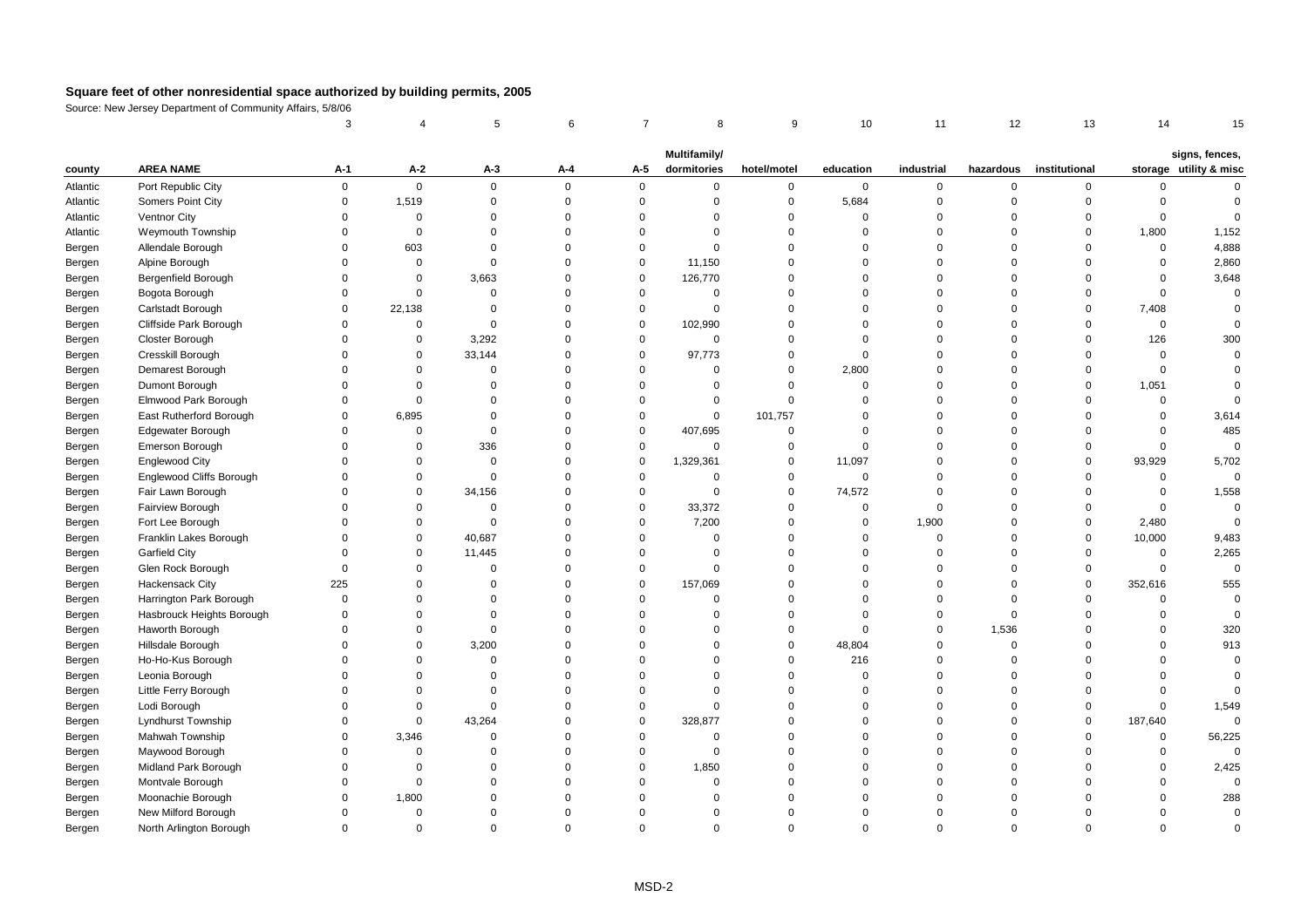|          |                                 | 3           |             | 5           | 6           | $\overline{7}$ | 8            | 9                   | 10          | 11          | 12          | 13            | 14           | 15                     |
|----------|---------------------------------|-------------|-------------|-------------|-------------|----------------|--------------|---------------------|-------------|-------------|-------------|---------------|--------------|------------------------|
|          |                                 |             |             |             |             |                | Multifamily/ |                     |             |             |             |               |              | signs, fences,         |
| county   | <b>AREA NAME</b>                | А-1         | $A-2$       | $A-3$       | A-4         | A-5            | dormitories  | hotel/motel         | education   | industrial  | hazardous   | institutional |              | storage utility & misc |
| Atlantic | Port Republic City              | $\mathsf 0$ | $\mathsf 0$ | $\mathbf 0$ | $\mathsf 0$ | $\mathbf 0$    | $\mathbf 0$  | $\mathsf{O}\xspace$ | $\mathbf 0$ | $\mathsf 0$ | $\mathbf 0$ | 0             | 0            | $\Omega$               |
| Atlantic | Somers Point City               | $\mathbf 0$ | 1,519       | 0           | $\mathbf 0$ | $\mathsf 0$    | $\mathbf 0$  | $\mathbf 0$         | 5,684       | $\mathbf 0$ | $\mathbf 0$ | 0             | $\mathbf 0$  | $\Omega$               |
| Atlantic | Ventnor City                    | $\Omega$    | $\mathbf 0$ | $\mathbf 0$ | $\Omega$    | $\mathbf 0$    | $\Omega$     | $\mathbf 0$         | $\Omega$    | $\Omega$    | $\Omega$    | $\mathbf 0$   | $\Omega$     | $\Omega$               |
| Atlantic | Weymouth Township               | $\Omega$    | $\mathbf 0$ | $\Omega$    | $\Omega$    | $\mathbf 0$    | $\Omega$     | 0                   | $\Omega$    | $\Omega$    | $\Omega$    | $\mathbf 0$   | 1,800        | 1,152                  |
| Bergen   | Allendale Borough               | $\mathbf 0$ | 603         | $\Omega$    | $\Omega$    | $\mathbf 0$    | $\Omega$     | $\mathbf 0$         | $\Omega$    | $\Omega$    | $\Omega$    | $\mathbf 0$   | $\mathbf 0$  | 4,888                  |
| Bergen   | Alpine Borough                  | $\Omega$    | $\mathbf 0$ | $\mathbf 0$ | $\Omega$    | $\mathbf 0$    | 11,150       | $\mathbf 0$         | $\Omega$    | $\Omega$    | $\Omega$    | $\Omega$      | $\mathbf 0$  | 2,860                  |
| Bergen   | <b>Bergenfield Borough</b>      | $\Omega$    | $\mathbf 0$ | 3,663       | $\mathbf 0$ | $\mathbf 0$    | 126,770      | 0                   | $\Omega$    | $\Omega$    | $\Omega$    | $\Omega$      | $\Omega$     | 3,648                  |
| Bergen   | Bogota Borough                  | $\Omega$    | $\mathbf 0$ | $\mathbf 0$ | $\Omega$    | $\mathbf 0$    | $\mathbf 0$  | $\mathbf 0$         | $\Omega$    | $\Omega$    | $\Omega$    | $\Omega$      | $\Omega$     | $\Omega$               |
| Bergen   | Carlstadt Borough               | $\Omega$    | 22,138      | $\Omega$    | $\Omega$    | $\mathsf 0$    | $\Omega$     | $\mathbf 0$         | $\Omega$    | $\Omega$    | $\Omega$    | 0             | 7,408        | $\Omega$               |
| Bergen   | Cliffside Park Borough          | $\Omega$    | $\mathbf 0$ | $\mathbf 0$ | $\Omega$    | $\mathbf 0$    | 102,990      | $\mathbf 0$         | $\Omega$    | $\Omega$    | $\Omega$    | $\mathbf 0$   | $\mathbf{0}$ | $\mathbf 0$            |
| Bergen   | Closter Borough                 | $\Omega$    | $\mathbf 0$ | 3,292       | $\Omega$    | $\mathbf 0$    | $\mathbf 0$  | $\mathbf 0$         | $\Omega$    | $\Omega$    | $\Omega$    | $\mathbf 0$   | 126          | 300                    |
| Bergen   | Cresskill Borough               | $\Omega$    | $\mathbf 0$ | 33,144      | $\mathbf 0$ | $\mathbf 0$    | 97,773       | $\mathbf 0$         | $\mathbf 0$ | $\Omega$    | $\Omega$    | $\Omega$      | $\mathbf 0$  | $\Omega$               |
| Bergen   | Demarest Borough                | $\Omega$    | $\Omega$    | $\mathbf 0$ | $\Omega$    | $\mathbf 0$    | $\Omega$     | $\mathbf 0$         | 2,800       | $\Omega$    | $\Omega$    | $\Omega$      | $\Omega$     | $\Omega$               |
| Bergen   | Dumont Borough                  | $\Omega$    | $\Omega$    | $\Omega$    | $\Omega$    | $\mathbf 0$    | $\Omega$     | $\Omega$            | $\mathbf 0$ | $\Omega$    | $\Omega$    | $\Omega$      | 1,051        | $\Omega$               |
| Bergen   | Elmwood Park Borough            | $\Omega$    | $\mathbf 0$ | $\mathbf 0$ | $\Omega$    | $\mathbf 0$    | $\mathbf 0$  | $\mathbf 0$         | $\mathbf 0$ | $\Omega$    | $\Omega$    | $\mathbf 0$   | $\mathbf 0$  | $\Omega$               |
| Bergen   | East Rutherford Borough         | $\Omega$    | 6,895       | $\Omega$    | $\Omega$    | $\mathbf 0$    | $\mathbf 0$  | 101,757             | $\Omega$    | $\Omega$    | $\Omega$    | $\Omega$      | $\mathbf 0$  | 3,614                  |
| Bergen   | Edgewater Borough               | $\Omega$    | $\mathbf 0$ | $\Omega$    | $\mathbf 0$ | $\mathbf 0$    | 407,695      | 0                   | $\Omega$    | $\Omega$    | $\Omega$    | $\Omega$      | $\Omega$     | 485                    |
| Bergen   | Emerson Borough                 | $\Omega$    | $\Omega$    | 336         | $\Omega$    | $\mathbf 0$    | $\mathbf 0$  | $\mathbf 0$         | $\Omega$    | $\Omega$    | $\Omega$    | $\Omega$      | $\Omega$     | $\overline{0}$         |
| Bergen   | <b>Englewood City</b>           | $\Omega$    | $\mathbf 0$ | $\Omega$    | $\mathbf 0$ | $\mathbf 0$    | 1,329,361    | $\mathbf 0$         | 11,097      | $\Omega$    | $\Omega$    | $\Omega$      | 93,929       | 5,702                  |
| Bergen   | <b>Englewood Cliffs Borough</b> | $\Omega$    | $\mathbf 0$ | $\mathbf 0$ | $\Omega$    | $\mathbf 0$    | $\Omega$     | 0                   | $\mathbf 0$ | $\Omega$    | $\Omega$    | $\Omega$      | $\mathbf 0$  | $\mathbf 0$            |
| Bergen   | Fair Lawn Borough               | $\Omega$    | $\mathbf 0$ | 34,156      | $\Omega$    | $\mathbf 0$    | $\mathbf 0$  | 0                   | 74,572      | $\Omega$    | $\Omega$    | $\mathbf 0$   | 0            | 1,558                  |
| Bergen   | Fairview Borough                | $\mathbf 0$ | $\mathbf 0$ | 0           | $\mathbf 0$ | $\mathbf 0$    | 33,372       | $\mathsf{O}\xspace$ | $\mathbf 0$ | $\mathbf 0$ | $\mathbf 0$ | $\mathbf 0$   | $\mathbf 0$  | $\mathbf 0$            |
| Bergen   | Fort Lee Borough                | $\Omega$    | $\Omega$    | $\mathbf 0$ | $\Omega$    | $\mathbf 0$    | 7,200        | $\mathbf 0$         | $\mathbf 0$ | 1,900       | $\Omega$    | $\mathbf 0$   | 2,480        | $\mathbf 0$            |
| Bergen   | Franklin Lakes Borough          | $\Omega$    | $\Omega$    | 40,687      | $\Omega$    | $\mathbf 0$    | $\Omega$     | $\mathbf 0$         | $\Omega$    | $\mathbf 0$ | $\Omega$    | $\mathbf 0$   | 10,000       | 9,483                  |
| Bergen   | Garfield City                   | $\Omega$    | $\mathbf 0$ | 11,445      | $\Omega$    | $\mathbf 0$    | $\Omega$     | $\mathbf 0$         | $\Omega$    | $\Omega$    | $\Omega$    | $\mathbf 0$   | $\mathbf 0$  | 2,265                  |
| Bergen   | Glen Rock Borough               | $\mathbf 0$ | $\Omega$    | $\mathbf 0$ | $\Omega$    | $\mathbf 0$    | $\Omega$     | $\mathbf 0$         | $\Omega$    | $\Omega$    | $\Omega$    | $\mathbf 0$   | $\mathbf 0$  | $\mathbf 0$            |
| Bergen   | <b>Hackensack City</b>          | 225         | $\Omega$    | $\Omega$    | $\mathbf 0$ | $\mathbf 0$    | 157,069      | $\mathbf 0$         | $\Omega$    | $\Omega$    | $\Omega$    | $\mathbf 0$   | 352,616      | 555                    |
| Bergen   | Harrington Park Borough         | $\mathbf 0$ | $\Omega$    | $\mathbf 0$ | $\Omega$    | $\mathbf 0$    | $\mathbf 0$  | $\mathbf 0$         | $\Omega$    | $\Omega$    | $\Omega$    | $\mathbf 0$   | $\mathbf 0$  | $\Omega$               |
| Bergen   | Hasbrouck Heights Borough       | $\mathbf 0$ | $\Omega$    | $\Omega$    | $\Omega$    | $\mathbf 0$    | $\Omega$     | $\mathbf 0$         | $\Omega$    | $\Omega$    | $\Omega$    | $\Omega$      | $\Omega$     | $\mathbf 0$            |
| Bergen   | Haworth Borough                 | $\Omega$    | $\Omega$    | $\mathbf 0$ | $\Omega$    | $\Omega$       | $\Omega$     | $\mathbf 0$         | $\Omega$    | $\Omega$    | 1,536       | $\Omega$      | $\Omega$     | 320                    |
| Bergen   | Hillsdale Borough               | $\Omega$    | $\mathbf 0$ | 3,200       | $\Omega$    | $\mathbf 0$    | $\Omega$     | 0                   | 48,804      | $\Omega$    | $\Omega$    | $\Omega$      | $\Omega$     | 913                    |
| Bergen   | Ho-Ho-Kus Borough               | $\Omega$    | $\mathbf 0$ | $\mathbf 0$ | 0           | $\mathbf 0$    | $\Omega$     | $\mathbf 0$         | 216         | $\Omega$    | $\Omega$    | $\Omega$      | $\Omega$     | $\mathbf 0$            |
| Bergen   | Leonia Borough                  | $\Omega$    | $\Omega$    | $\Omega$    | $\Omega$    | $\mathbf 0$    | $\Omega$     | $\mathbf 0$         | $\Omega$    | $\Omega$    | $\Omega$    | $\Omega$      | $\Omega$     | $\Omega$               |
| Bergen   | Little Ferry Borough            | $\Omega$    | $\Omega$    | $\Omega$    | $\Omega$    | $\mathbf 0$    | $\Omega$     | $\mathbf 0$         | $\Omega$    | $\Omega$    | $\Omega$    | $\Omega$      | $\Omega$     | $\Omega$               |
| Bergen   | Lodi Borough                    | $\Omega$    | $\mathbf 0$ | $\mathbf 0$ | $\Omega$    | $\mathbf 0$    | $\Omega$     | $\mathbf 0$         | $\Omega$    | $\Omega$    | $\Omega$    | $\mathbf 0$   | $\Omega$     | 1,549                  |
| Bergen   | Lyndhurst Township              | $\Omega$    | $\mathbf 0$ | 43,264      | $\Omega$    | $\mathbf 0$    | 328,877      | $\mathbf 0$         | $\Omega$    | $\Omega$    | $\Omega$    | $\mathbf 0$   | 187,640      | $\Omega$               |
| Bergen   | Mahwah Township                 | $\Omega$    | 3,346       | $\mathbf 0$ | $\Omega$    | $\mathbf 0$    | $\Omega$     | $\mathbf 0$         | $\Omega$    | $\Omega$    | $\Omega$    | $\Omega$      | $\mathbf 0$  | 56,225                 |
| Bergen   | Maywood Borough                 | $\Omega$    | $\mathbf 0$ | $\Omega$    | $\Omega$    | $\mathbf 0$    | $\mathbf 0$  | $\mathbf 0$         | $\Omega$    | $\Omega$    | $\Omega$    | $\Omega$      | $\Omega$     | $\Omega$               |
| Bergen   | Midland Park Borough            | $\mathbf 0$ | $\mathbf 0$ | $\Omega$    | $\Omega$    | $\mathbf 0$    | 1,850        | $\mathbf 0$         | $\Omega$    | $\mathbf 0$ | $\Omega$    | $\Omega$      | $\mathbf 0$  | 2,425                  |
| Bergen   | Montvale Borough                | $\Omega$    | $\Omega$    | $\Omega$    | $\Omega$    | $\Omega$       | $\Omega$     | $\Omega$            | $\Omega$    | $\Omega$    | $\Omega$    | $\Omega$      | $\Omega$     | $\Omega$               |
| Bergen   | Moonachie Borough               | $\Omega$    | 1,800       | $\Omega$    | $\Omega$    | $\Omega$       | $\Omega$     | $\mathbf 0$         | $\Omega$    | $\mathbf 0$ | $\Omega$    | $\Omega$      | $\Omega$     | 288                    |
| Bergen   | New Milford Borough             | $\Omega$    | $\mathbf 0$ | $\Omega$    | $\Omega$    | $\mathbf 0$    | $\Omega$     | $\mathbf 0$         | $\Omega$    | $\Omega$    | $\Omega$    | $\Omega$      | $\Omega$     | $\mathbf 0$            |
| Bergen   | North Arlington Borough         | $\Omega$    | $\Omega$    | $\Omega$    | $\Omega$    | $\Omega$       | $\Omega$     | $\Omega$            | $\Omega$    | $\Omega$    | $\Omega$    | $\Omega$      | $\Omega$     | $\Omega$               |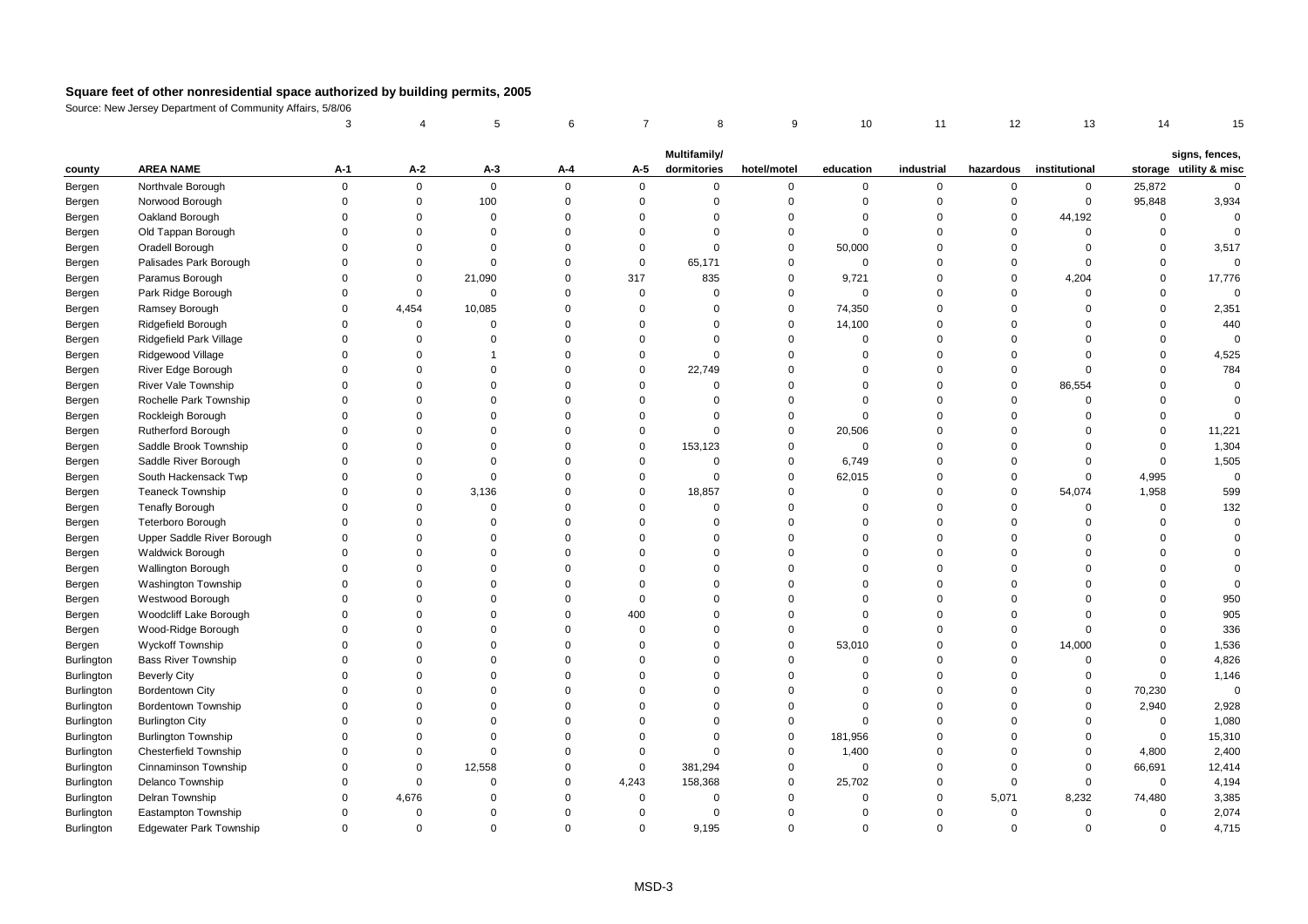|                   |                              | 3           |             | 5              | 6           | $\overline{7}$ | 8                           | 9           | 10             | 11          | 12          | 13            | 14           | 15                                       |
|-------------------|------------------------------|-------------|-------------|----------------|-------------|----------------|-----------------------------|-------------|----------------|-------------|-------------|---------------|--------------|------------------------------------------|
|                   |                              |             |             |                |             |                |                             |             |                |             |             |               |              |                                          |
| county            | <b>AREA NAME</b>             | A-1         | $A-2$       | $A-3$          | A-4         | A-5            | Multifamily/<br>dormitories | hotel/motel | education      | industrial  | hazardous   | institutional |              | signs, fences,<br>storage utility & misc |
| Bergen            | Northvale Borough            | $\mathbf 0$ | $\mathbf 0$ | $\mathbf 0$    | 0           | $\mathbf 0$    | 0                           | 0           | $\mathbf 0$    | $\mathbf 0$ | $\mathbf 0$ | 0             | 25,872       | $\mathbf 0$                              |
| Bergen            | Norwood Borough              | $\Omega$    | $\mathbf 0$ | 100            | $\mathbf 0$ | $\mathbf 0$    | $\Omega$                    | $\mathsf 0$ | $\mathbf 0$    | $\mathbf 0$ | $\mathsf 0$ | $\mathsf 0$   | 95,848       | 3,934                                    |
| Bergen            | Oakland Borough              | $\Omega$    | $\Omega$    | $\mathbf 0$    | $\Omega$    | $\Omega$       | $\Omega$                    | $\mathbf 0$ | $\Omega$       | $\Omega$    | $\Omega$    | 44,192        | $\mathbf 0$  | $\Omega$                                 |
| Bergen            | Old Tappan Borough           | $\Omega$    | $\Omega$    | $\Omega$       | $\Omega$    | $\mathbf 0$    | $\Omega$                    | $\mathbf 0$ | $\mathbf 0$    | $\Omega$    | $\Omega$    | $\mathbf 0$   | $\mathbf{0}$ | $\Omega$                                 |
| Bergen            | Oradell Borough              | $\Omega$    | $\Omega$    | $\Omega$       | $\Omega$    | $\mathbf 0$    | $\Omega$                    | $\mathbf 0$ | 50,000         | $\mathbf 0$ | $\Omega$    | $\mathbf 0$   | $\Omega$     | 3,517                                    |
| Bergen            | Palisades Park Borough       | $\Omega$    | $\mathbf 0$ | $\mathbf 0$    | $\mathbf 0$ | $\mathbf 0$    | 65,171                      | 0           | $\mathbf 0$    | $\Omega$    | $\mathsf 0$ | $\Omega$      | $\Omega$     | $\Omega$                                 |
| Bergen            | Paramus Borough              | $\Omega$    | $\mathsf 0$ | 21,090         | $\mathbf 0$ | 317            | 835                         | 0           | 9,721          | $\mathbf 0$ | $\mathbf 0$ | 4,204         | $\mathbf 0$  | 17,776                                   |
| Bergen            | Park Ridge Borough           | $\Omega$    | $\mathbf 0$ | $\mathbf 0$    | $\Omega$    | $\mathbf 0$    | $\Omega$                    | $\mathbf 0$ | $\Omega$       | $\Omega$    | $\Omega$    | $\Omega$      | $\Omega$     | $\Omega$                                 |
| Bergen            | Ramsey Borough               | $\Omega$    | 4,454       | 10,085         | $\Omega$    | $\mathbf 0$    | $\Omega$                    | $\mathbf 0$ | 74,350         | $\Omega$    | $\Omega$    | $\Omega$      | $\Omega$     | 2,351                                    |
| Bergen            | Ridgefield Borough           | $\Omega$    | $\mathbf 0$ | $\mathbf 0$    | $\mathbf 0$ | $\mathbf 0$    | $\Omega$                    | 0           | 14,100         | $\mathbf 0$ | $\mathbf 0$ | $\Omega$      | $\Omega$     | 440                                      |
| Bergen            | Ridgefield Park Village      | $\Omega$    | $\mathsf 0$ | $\mathbf 0$    | $\mathbf 0$ | $\mathsf 0$    | $\mathbf 0$                 | 0           | $\mathbf 0$    | $\mathbf 0$ | $\mathbf 0$ | $\Omega$      | $\Omega$     | $\overline{0}$                           |
| Bergen            | Ridgewood Village            | $\Omega$    | $\Omega$    | $\overline{1}$ | $\Omega$    | $\mathbf 0$    | $\Omega$                    | $\mathbf 0$ | $\mathbf 0$    | $\Omega$    | $\Omega$    | $\Omega$      | $\Omega$     | 4,525                                    |
| Bergen            | River Edge Borough           | $\Omega$    | $\Omega$    | $\Omega$       | $\Omega$    | $\mathbf 0$    | 22,749                      | $\mathbf 0$ | $\Omega$       | $\Omega$    | $\Omega$    | $\Omega$      | $\Omega$     | 784                                      |
| Bergen            | River Vale Township          | $\Omega$    | $\Omega$    | $\Omega$       | $\Omega$    | $\mathbf 0$    | $\Omega$                    | $\Omega$    | $\overline{0}$ | $\Omega$    | $\Omega$    | 86,554        | $\Omega$     | $\mathbf 0$                              |
| Bergen            | Rochelle Park Township       | $\Omega$    | $\Omega$    | $\Omega$       | $\Omega$    | $\Omega$       | $\Omega$                    | 0           | $\mathbf 0$    | $\Omega$    | $\Omega$    | $\Omega$      | $\Omega$     | $\Omega$                                 |
| Bergen            | Rockleigh Borough            | $\Omega$    | $\Omega$    | $\mathbf 0$    | $\Omega$    | $\mathbf 0$    | $\Omega$                    | $\mathbf 0$ | $\mathbf 0$    | $\mathbf 0$ | $\mathbf 0$ | $\mathbf 0$   | $\mathbf{0}$ | $\Omega$                                 |
| Bergen            | Rutherford Borough           | $\Omega$    | $\Omega$    | $\Omega$       | 0           | $\mathbf 0$    | $\Omega$                    | 0           | 20,506         | $\Omega$    | $\mathbf 0$ | $\Omega$      | $\Omega$     | 11,221                                   |
| Bergen            | Saddle Brook Township        | $\Omega$    | $\Omega$    | $\Omega$       | $\Omega$    | $\mathbf 0$    | 153,123                     | 0           | $\mathbf 0$    | $\mathbf 0$ | $\Omega$    | $\Omega$      | $\mathbf 0$  | 1,304                                    |
| Bergen            | Saddle River Borough         | $\Omega$    | $\Omega$    | $\Omega$       | $\Omega$    | $\mathsf 0$    | $\mathsf 0$                 | 0           | 6,749          | $\Omega$    | $\Omega$    | $\Omega$      | $\Omega$     | 1,505                                    |
| Bergen            | South Hackensack Twp         | $\Omega$    | $\Omega$    | $\mathbf 0$    | $\Omega$    | $\mathbf 0$    | $\Omega$                    | $\mathbf 0$ | 62,015         | $\Omega$    | $\Omega$    | $\mathbf 0$   | 4,995        | $\mathbf 0$                              |
| Bergen            | <b>Teaneck Township</b>      | $\Omega$    | $\mathbf 0$ | 3,136          | $\Omega$    | $\mathsf 0$    | 18,857                      | 0           | $\mathbf 0$    | $\mathbf 0$ | $\mathbf 0$ | 54,074        | 1,958        | 599                                      |
| Bergen            | <b>Tenafly Borough</b>       | $\Omega$    | $\mathbf 0$ | $\mathbf 0$    | $\mathbf 0$ | $\mathbf 0$    | $\mathbf 0$                 | 0           | $\overline{0}$ | $\mathbf 0$ | $\mathbf 0$ | $\mathbf 0$   | $\mathbf 0$  | 132                                      |
| Bergen            | <b>Teterboro Borough</b>     | $\Omega$    | $\Omega$    | $\Omega$       | $\Omega$    | $\Omega$       | $\Omega$                    | $\mathbf 0$ | $\Omega$       | $\Omega$    | $\mathbf 0$ | $\Omega$      | $\Omega$     | $\Omega$                                 |
| Bergen            | Upper Saddle River Borough   | $\Omega$    | $\Omega$    | $\Omega$       | $\Omega$    | $\Omega$       | $\Omega$                    | $\mathbf 0$ | $\Omega$       | $\Omega$    | $\Omega$    | $\Omega$      | $\Omega$     | $\Omega$                                 |
| Bergen            | <b>Waldwick Borough</b>      | $\Omega$    | $\Omega$    | $\Omega$       | $\Omega$    | $\Omega$       | $\Omega$                    | $\mathbf 0$ | $\Omega$       | $\Omega$    | $\Omega$    | $\Omega$      | $\Omega$     | $\Omega$                                 |
| Bergen            | <b>Wallington Borough</b>    | $\Omega$    | $\mathbf 0$ | $\mathbf 0$    | $\mathbf 0$ | $\mathbf 0$    | $\Omega$                    | $\mathbf 0$ | $\mathbf 0$    | $\mathbf 0$ | $\mathbf 0$ | $\Omega$      | 0            | $\Omega$                                 |
| Bergen            | Washington Township          | $\Omega$    | $\Omega$    | $\Omega$       | $\Omega$    | $\Omega$       | $\Omega$                    | $\mathbf 0$ | $\mathbf 0$    | $\Omega$    | $\Omega$    | $\Omega$      | $\Omega$     | $\Omega$                                 |
| Bergen            | Westwood Borough             | $\Omega$    | $\Omega$    | $\Omega$       | $\Omega$    | $\mathbf 0$    | $\Omega$                    | $\mathbf 0$ | $\Omega$       | $\Omega$    | $\Omega$    | $\Omega$      | $\Omega$     | 950                                      |
| Bergen            | Woodcliff Lake Borough       | $\Omega$    | $\Omega$    | $\Omega$       | $\Omega$    | 400            | $\Omega$                    | $\mathbf 0$ | $\Omega$       | $\Omega$    | $\Omega$    | $\Omega$      | $\Omega$     | 905                                      |
| Bergen            | Wood-Ridge Borough           | $\Omega$    | $\Omega$    | $\Omega$       | $\Omega$    | $\mathbf 0$    | $\Omega$                    | $\mathbf 0$ | $\Omega$       | $\Omega$    | $\Omega$    | $\Omega$      | $\Omega$     | 336                                      |
| Bergen            | <b>Wyckoff Township</b>      | $\Omega$    | $\Omega$    | $\Omega$       | $\Omega$    | $\mathbf 0$    | $\Omega$                    | $\mathbf 0$ | 53,010         | $\Omega$    | $\mathbf 0$ | 14,000        | $\Omega$     | 1,536                                    |
| <b>Burlington</b> | <b>Bass River Township</b>   | $\Omega$    | $\Omega$    | $\Omega$       | $\Omega$    | $\mathbf 0$    | $\Omega$                    | $\mathbf 0$ | $\mathbf 0$    | $\Omega$    | $\Omega$    | $\mathbf 0$   | $\Omega$     | 4,826                                    |
| Burlington        | <b>Beverly City</b>          | $\Omega$    | $\mathbf 0$ | $\Omega$       | $\Omega$    | $\mathbf 0$    | $\Omega$                    | 0           | $\Omega$       | $\Omega$    | 0           | 0             | $\mathbf 0$  | 1,146                                    |
| Burlington        | Bordentown City              | $\Omega$    | $\Omega$    | $\Omega$       | $\Omega$    | $\Omega$       | $\Omega$                    | $\mathbf 0$ | $\overline{0}$ | $\mathbf 0$ | $\Omega$    | $\mathbf 0$   | 70,230       | $\mathbf 0$                              |
| Burlington        | Bordentown Township          | $\Omega$    | $\Omega$    | $\Omega$       | $\Omega$    | $\Omega$       | $\Omega$                    | $\Omega$    | $\Omega$       | $\Omega$    | $\Omega$    | $\Omega$      | 2,940        | 2,928                                    |
| <b>Burlington</b> | <b>Burlington City</b>       | $\Omega$    | $\Omega$    | $\Omega$       | $\Omega$    | $\mathbf 0$    | $\Omega$                    | $\mathbf 0$ | $\mathbf 0$    | $\Omega$    | $\Omega$    | $\mathbf 0$   | $\mathbf 0$  | 1,080                                    |
| Burlington        | <b>Burlington Township</b>   | $\Omega$    | $\Omega$    | $\Omega$       | $\Omega$    | $\mathbf 0$    | $\Omega$                    | $\mathsf 0$ | 181,956        | $\Omega$    | $\Omega$    | $\mathbf 0$   | $\mathbf 0$  | 15,310                                   |
| Burlington        | <b>Chesterfield Township</b> | $\Omega$    | $\mathbf 0$ | $\mathbf 0$    | $\mathbf 0$ | $\mathsf 0$    | $\Omega$                    | 0           | 1,400          | $\mathbf 0$ | $\mathbf 0$ | 0             | 4,800        | 2,400                                    |
| Burlington        | Cinnaminson Township         | $\Omega$    | $\mathbf 0$ | 12,558         | $\Omega$    | $\mathbf 0$    | 381,294                     | $\mathbf 0$ | $\Omega$       | $\Omega$    | $\Omega$    | $\mathbf 0$   | 66,691       | 12,414                                   |
| <b>Burlington</b> | Delanco Township             | $\Omega$    | $\Omega$    | $\mathbf 0$    | $\Omega$    | 4,243          | 158,368                     | $\mathbf 0$ | 25,702         | $\Omega$    | $\mathbf 0$ | $\mathbf 0$   | $\mathbf{0}$ | 4,194                                    |
| Burlington        | Delran Township              | $\Omega$    | 4,676       | $\Omega$       | $\Omega$    | $\mathsf 0$    | $\mathbf 0$                 | 0           | $\Omega$       | $\mathbf 0$ | 5,071       | 8,232         | 74,480       | 3,385                                    |
| Burlington        | Eastampton Township          | $\Omega$    | $\mathsf 0$ | $\Omega$       | $\Omega$    | $\mathbf 0$    | $\mathbf 0$                 | $\mathbf 0$ | $\mathbf 0$    | $\Omega$    | $\Omega$    | $\mathbf 0$   | $\mathbf 0$  | 2,074                                    |
| <b>Burlington</b> | Edgewater Park Township      | $\Omega$    | $\Omega$    | $\Omega$       | $\Omega$    | $\Omega$       | 9,195                       | $\Omega$    | $\Omega$       | $\Omega$    | $\Omega$    | $\Omega$      | $\Omega$     | 4,715                                    |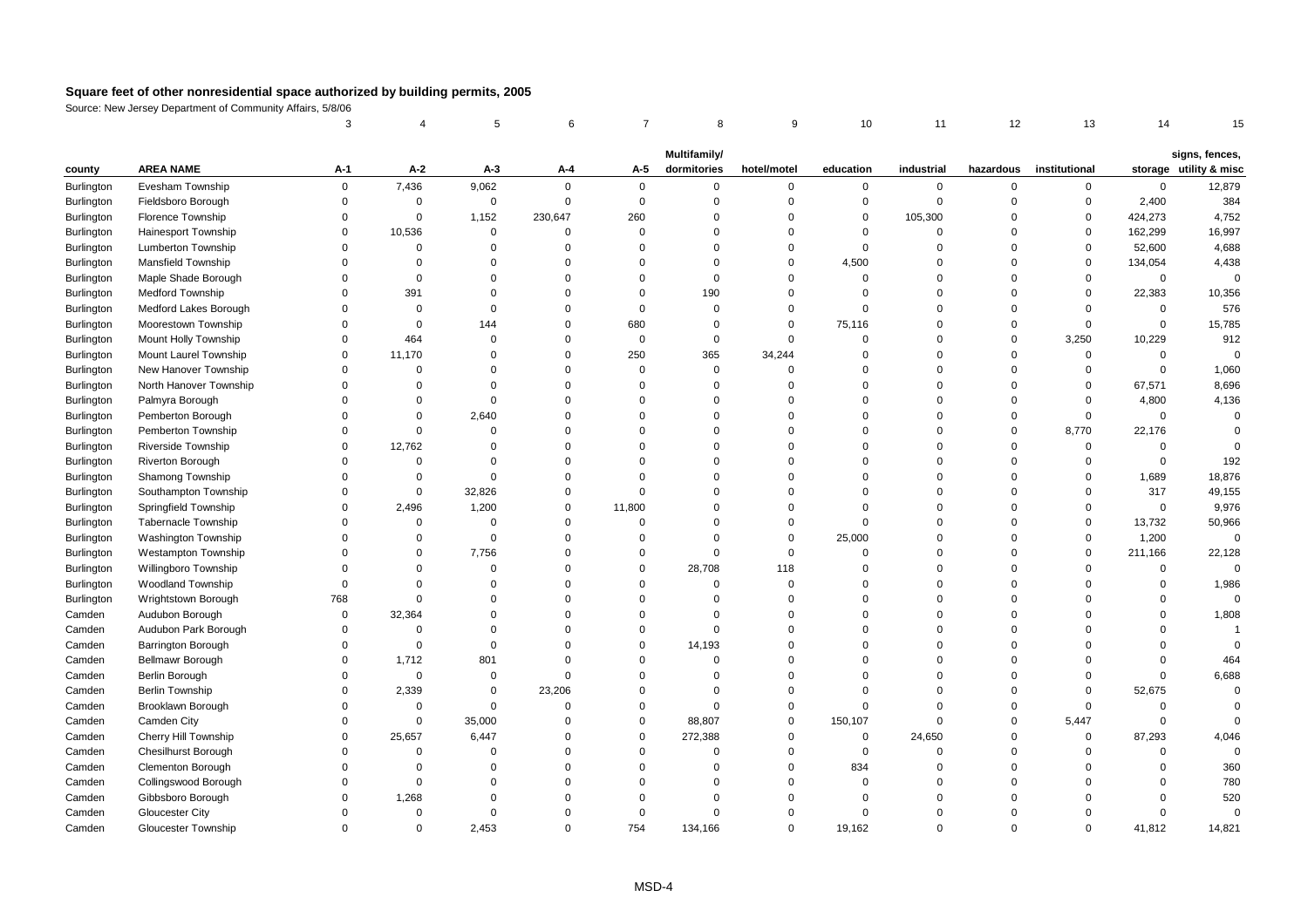|                   |                            | 3           |             | 5           | 6           | $\overline{7}$ | 8                           | 9           | 10          | 11             | 12          | 13            | 14          | 15                                       |
|-------------------|----------------------------|-------------|-------------|-------------|-------------|----------------|-----------------------------|-------------|-------------|----------------|-------------|---------------|-------------|------------------------------------------|
|                   |                            |             |             |             |             |                |                             |             |             |                |             |               |             |                                          |
| county            | <b>AREA NAME</b>           | A-1         | $A-2$       | $A-3$       | A-4         | A-5            | Multifamily/<br>dormitories | hotel/motel | education   | industrial     | hazardous   | institutional |             | signs, fences,<br>storage utility & misc |
| <b>Burlington</b> | Evesham Township           | $\mathbf 0$ | 7,436       | 9,062       | $\mathbf 0$ | $\mathbf 0$    | $\mathbf 0$                 | $\mathbf 0$ | $\mathbf 0$ | $\mathbf 0$    | $\mathbf 0$ | $\mathbf 0$   | $\mathbf 0$ | 12,879                                   |
| Burlington        | Fieldsboro Borough         | $\mathbf 0$ | $\mathbf 0$ | $\mathbf 0$ | $\mathbf 0$ | $\mathbf 0$    | $\Omega$                    | $\mathbf 0$ | 0           | $\mathbf 0$    | $\mathbf 0$ | 0             | 2,400       | 384                                      |
| <b>Burlington</b> | Florence Township          | $\Omega$    | $\mathbf 0$ | 1,152       | 230,647     | 260            | $\Omega$                    | $\Omega$    | $\mathbf 0$ | 105,300        | $\mathbf 0$ | 0             | 424,273     | 4,752                                    |
| Burlington        | Hainesport Township        | $\Omega$    | 10,536      | $\mathbf 0$ | $\Omega$    | $\mathbf 0$    | $\Omega$                    | $\Omega$    | $\Omega$    | $\overline{0}$ | $\mathbf 0$ | $\mathbf 0$   | 162,299     | 16,997                                   |
| Burlington        | Lumberton Township         | $\Omega$    | $\mathbf 0$ | 0           | $\Omega$    | $\mathbf 0$    | $\Omega$                    | $\Omega$    | 0           | $\Omega$       | $\mathbf 0$ | 0             | 52,600      | 4,688                                    |
| Burlington        | <b>Mansfield Township</b>  | $\Omega$    | $\mathbf 0$ | $\Omega$    | $\Omega$    | $\Omega$       | $\Omega$                    | $\Omega$    | 4,500       | $\Omega$       | $\mathbf 0$ | $\mathbf 0$   | 134,054     | 4,438                                    |
| Burlington        | Maple Shade Borough        | $\Omega$    | $\mathbf 0$ | $\Omega$    | $\Omega$    | $\mathbf 0$    | $\Omega$                    | $\Omega$    | $\mathbf 0$ | $\Omega$       | $\mathbf 0$ | $\Omega$      | $\mathbf 0$ | $\mathbf 0$                              |
| Burlington        | <b>Medford Township</b>    | $\Omega$    | 391         | $\Omega$    | $\Omega$    | $\mathbf 0$    | 190                         | $\Omega$    | $\Omega$    | $\Omega$       | $\mathbf 0$ | $\Omega$      | 22,383      | 10,356                                   |
| Burlington        | Medford Lakes Borough      | $\Omega$    | $\mathbf 0$ | $\Omega$    | $\Omega$    | $\mathbf 0$    | $\Omega$                    | $\Omega$    | $\mathbf 0$ | $\Omega$       | $\mathbf 0$ | $\Omega$      | $\mathbf 0$ | 576                                      |
| Burlington        | Moorestown Township        | $\Omega$    | $\mathbf 0$ | 144         | $\Omega$    | 680            | $\Omega$                    | $\Omega$    | 75,116      | $\Omega$       | $\mathsf 0$ | $\Omega$      | $\pmb{0}$   | 15,785                                   |
| Burlington        | Mount Holly Township       | $\Omega$    | 464         | $\Omega$    | $\Omega$    | $\mathbf 0$    | $\Omega$                    | $\Omega$    | $\Omega$    | $\Omega$       | $\mathbf 0$ | 3,250         | 10,229      | 912                                      |
| <b>Burlington</b> | Mount Laurel Township      | $\Omega$    | 11,170      | $\Omega$    | $\Omega$    | 250            | 365                         | 34,244      | $\Omega$    | $\Omega$       | $\mathbf 0$ | $\mathbf 0$   | $\mathbf 0$ | $\Omega$                                 |
| Burlington        | New Hanover Township       | $\Omega$    | $\mathbf 0$ | $\Omega$    | $\Omega$    | $\mathbf 0$    | $\mathbf 0$                 | $\Omega$    | $\Omega$    | $\Omega$       | $\mathbf 0$ | $\Omega$      | $\mathbf 0$ | 1,060                                    |
| Burlington        | North Hanover Township     | $\Omega$    | $\Omega$    | $\Omega$    | $\Omega$    | $\mathbf 0$    | $\mathbf 0$                 | $\Omega$    | $\Omega$    | $\Omega$       | $\mathsf 0$ | $\mathbf 0$   | 67,571      | 8,696                                    |
| Burlington        | Palmyra Borough            | $\Omega$    | $\Omega$    | $\Omega$    | $\Omega$    | $\Omega$       | $\Omega$                    | $\Omega$    | $\Omega$    | $\Omega$       | $\mathbf 0$ | $\Omega$      | 4,800       | 4,136                                    |
| Burlington        | Pemberton Borough          | $\Omega$    | $\Omega$    | 2,640       | $\Omega$    | $\Omega$       | $\Omega$                    | $\Omega$    | $\Omega$    | $\Omega$       | $\mathbf 0$ | $\Omega$      | $\mathbf 0$ | $\Omega$                                 |
| Burlington        | Pemberton Township         | $\Omega$    | $\mathbf 0$ | $\mathbf 0$ | $\Omega$    | $\mathbf 0$    | $\Omega$                    | $\Omega$    | $\Omega$    | $\Omega$       | $\mathbf 0$ | 8,770         | 22,176      | $\Omega$                                 |
| Burlington        | Riverside Township         | $\Omega$    | 12,762      | $\Omega$    | $\Omega$    | $\Omega$       | $\Omega$                    | $\Omega$    | $\Omega$    | $\Omega$       | $\mathbf 0$ | $\mathbf 0$   | 0           |                                          |
| Burlington        | Riverton Borough           | $\Omega$    | $\mathbf 0$ | $\Omega$    | $\Omega$    | $\mathbf 0$    | $\Omega$                    | $\mathbf 0$ | $\Omega$    | $\Omega$       | $\mathbf 0$ | $\mathbf 0$   | $\mathbf 0$ | 192                                      |
| Burlington        | Shamong Township           | $\Omega$    | $\mathbf 0$ | $\mathbf 0$ | $\Omega$    | $\mathbf 0$    | $\Omega$                    | $\Omega$    | $\Omega$    | $\Omega$       | $\mathbf 0$ | $\Omega$      | 1,689       | 18,876                                   |
| Burlington        | Southampton Township       | $\Omega$    | $\mathbf 0$ | 32,826      | $\Omega$    | $\Omega$       | $\Omega$                    | $\Omega$    | $\Omega$    | $\Omega$       | $\Omega$    | $\Omega$      | 317         | 49,155                                   |
| Burlington        | Springfield Township       | $\Omega$    | 2,496       | 1,200       | $\Omega$    | 11,800         | $\Omega$                    | $\Omega$    | $\Omega$    | $\Omega$       | $\mathbf 0$ | $\Omega$      | $\mathbf 0$ | 9,976                                    |
| <b>Burlington</b> | <b>Tabernacle Township</b> | $\Omega$    | $\mathbf 0$ | $\mathbf 0$ | $\Omega$    | $\mathbf 0$    | $\Omega$                    | $\Omega$    | $\mathbf 0$ | $\Omega$       | $\mathbf 0$ | $\Omega$      | 13,732      | 50,966                                   |
| Burlington        | <b>Washington Township</b> | $\Omega$    | $\mathbf 0$ | $\mathbf 0$ | 0           | $\mathbf 0$    | $\Omega$                    | $\mathsf 0$ | 25,000      | $\mathbf 0$    | $\mathbf 0$ | $\mathbf 0$   | 1,200       | $\mathbf 0$                              |
| Burlington        | <b>Westampton Township</b> | $\Omega$    | $\mathbf 0$ | 7,756       | $\Omega$    | $\mathbf 0$    | $\Omega$                    | $\mathsf 0$ | $\mathbf 0$ | $\Omega$       | $\mathsf 0$ | $\mathbf 0$   | 211,166     | 22,128                                   |
| Burlington        | Willingboro Township       | $\Omega$    | $\mathbf 0$ | $\Omega$    | $\Omega$    | $\mathbf 0$    | 28,708                      | 118         | $\mathbf 0$ | $\Omega$       | $\mathbf 0$ | $\Omega$      | $\mathbf 0$ | $\mathbf 0$                              |
| Burlington        | <b>Woodland Township</b>   | $\Omega$    | $\Omega$    | $\Omega$    | $\Omega$    | $\Omega$       | $\Omega$                    | $\Omega$    | $\Omega$    | $\Omega$       | $\Omega$    | $\Omega$      | $\mathbf 0$ | 1,986                                    |
| Burlington        | Wrightstown Borough        | 768         | $\mathbf 0$ | $\Omega$    | $\Omega$    | $\mathbf 0$    | $\Omega$                    | $\Omega$    | $\Omega$    | $\Omega$       | $\mathbf 0$ | $\Omega$      | $\mathbf 0$ | $\Omega$                                 |
| Camden            | Audubon Borough            | $\mathbf 0$ | 32,364      | $\Omega$    | $\Omega$    | $\mathbf 0$    | $\Omega$                    | $\Omega$    | $\Omega$    | $\Omega$       | $\mathbf 0$ | $\Omega$      | $\Omega$    | 1,808                                    |
| Camden            | Audubon Park Borough       | $\mathbf 0$ | $\mathbf 0$ | $\Omega$    | $\Omega$    | $\mathbf 0$    | $\Omega$                    | $\mathbf 0$ | $\Omega$    | 0              | $\mathsf 0$ | $\Omega$      | $\mathbf 0$ |                                          |
| Camden            | Barrington Borough         | $\mathbf 0$ | $\mathbf 0$ | $\mathbf 0$ | $\Omega$    | $\mathbf 0$    | 14,193                      | $\Omega$    | $\Omega$    | $\Omega$       | $\Omega$    | $\Omega$      | $\mathbf 0$ | $\Omega$                                 |
| Camden            | Bellmawr Borough           | $\Omega$    | 1,712       | 801         | $\Omega$    | $\Omega$       | $\Omega$                    | $\Omega$    | $\Omega$    | $\Omega$       | $\Omega$    | $\Omega$      | $\Omega$    | 464                                      |
| Camden            | Berlin Borough             | $\Omega$    | $\mathbf 0$ | $\mathbf 0$ | $\Omega$    | $\mathbf 0$    | $\Omega$                    | $\Omega$    | $\Omega$    | $\Omega$       | $\mathbf 0$ | $\Omega$      | $\mathbf 0$ | 6,688                                    |
| Camden            | <b>Berlin Township</b>     | $\Omega$    | 2,339       | $\Omega$    | 23,206      | $\mathbf 0$    | $\Omega$                    | $\Omega$    | $\Omega$    | $\Omega$       | $\mathbf 0$ | $\Omega$      | 52,675      | $\mathbf 0$                              |
| Camden            | Brooklawn Borough          | $\mathbf 0$ | $\mathsf 0$ | $\mathbf 0$ | 0           | $\mathbf 0$    | $\Omega$                    | $\mathbf 0$ | $\Omega$    | $\mathbf 0$    | $\mathsf 0$ | $\mathbf 0$   | $\mathbf 0$ | $\Omega$                                 |
| Camden            | Camden City                | $\mathbf 0$ | $\mathbf 0$ | 35,000      | $\mathbf 0$ | $\mathbf 0$    | 88,807                      | $\mathbf 0$ | 150,107     | $\mathbf 0$    | $\mathsf 0$ | 5,447         | $\mathbf 0$ | $\Omega$                                 |
| Camden            | Cherry Hill Township       | $\Omega$    | 25,657      | 6,447       | $\Omega$    | $\mathbf 0$    | 272,388                     | $\Omega$    | $\mathbf 0$ | 24,650         | $\mathbf 0$ | $\mathbf 0$   | 87,293      | 4,046                                    |
| Camden            | <b>Chesilhurst Borough</b> | $\Omega$    | $\mathbf 0$ | $\Omega$    | $\Omega$    | $\mathbf 0$    | $\Omega$                    | $\Omega$    | $\mathbf 0$ | $\Omega$       | $\mathbf 0$ | $\Omega$      | $\mathbf 0$ | $\Omega$                                 |
| Camden            | Clementon Borough          | $\Omega$    | $\mathbf 0$ | $\Omega$    | $\Omega$    | $\mathbf 0$    | $\Omega$                    | $\Omega$    | 834         | $\Omega$       | $\mathbf 0$ | $\Omega$      | $\mathbf 0$ | 360                                      |
| Camden            | Collingswood Borough       | $\Omega$    | $\mathbf 0$ | $\Omega$    | $\Omega$    | $\Omega$       | $\Omega$                    | $\Omega$    | $\mathbf 0$ | $\Omega$       | $\mathbf 0$ | $\Omega$      | $\mathbf 0$ | 780                                      |
| Camden            | Gibbsboro Borough          | $\mathbf 0$ | 1,268       | $\Omega$    | $\Omega$    | $\Omega$       | $\Omega$                    | $\mathbf 0$ | $\Omega$    | 0              | $\mathbf 0$ | $\Omega$      | $\mathbf 0$ | 520                                      |
| Camden            | <b>Gloucester City</b>     | $\Omega$    | $\Omega$    | $\Omega$    | $\Omega$    | $\mathbf 0$    | $\Omega$                    | $\Omega$    | $\Omega$    | $\Omega$       | $\Omega$    | $\Omega$      | $\mathbf 0$ | $\Omega$                                 |
| Camden            | Gloucester Township        | $\Omega$    | $\Omega$    | 2,453       | $\Omega$    | 754            | 134,166                     | $\Omega$    | 19,162      | $\Omega$       | $\Omega$    | $\Omega$      | 41,812      | 14,821                                   |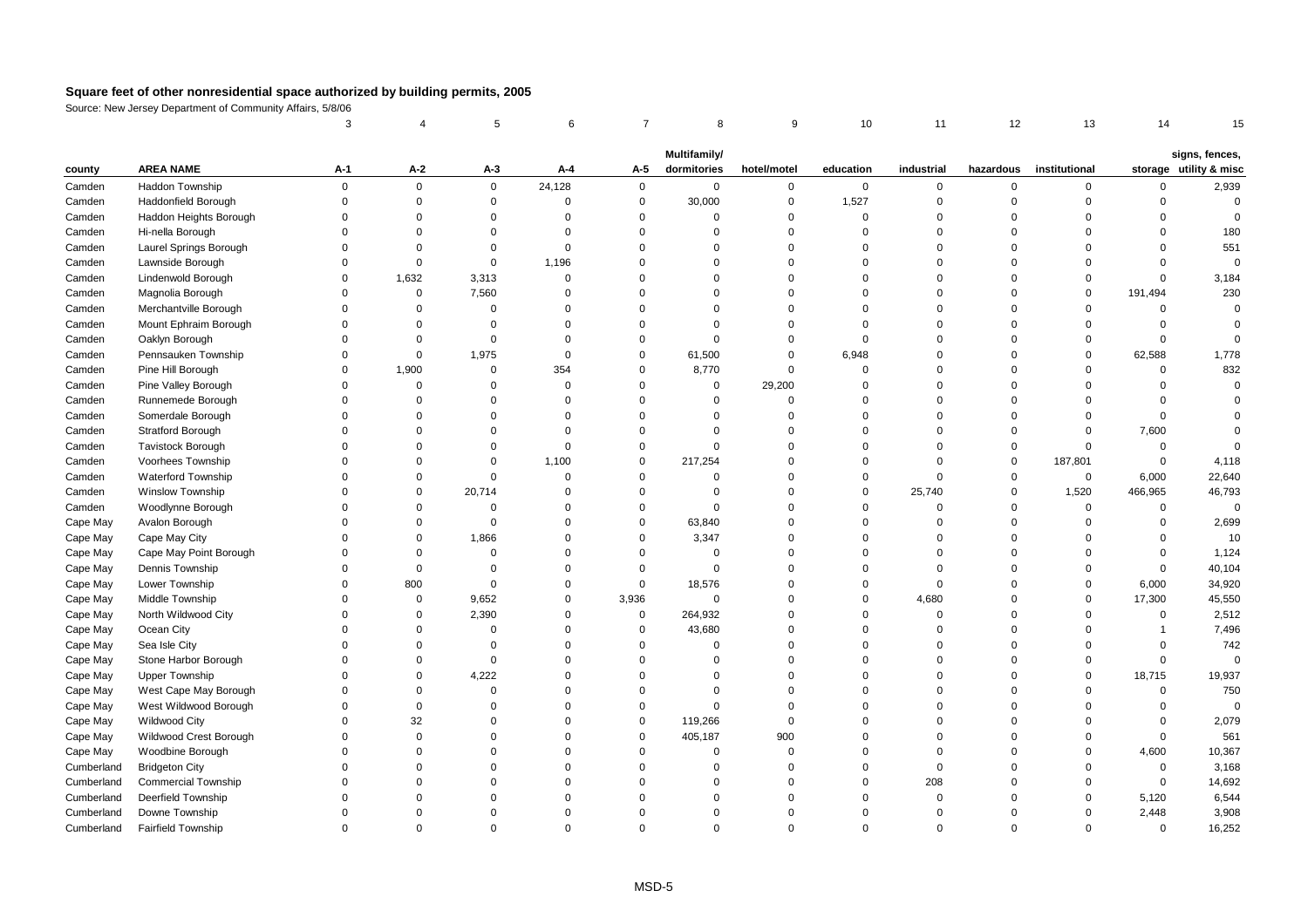| Multifamily/                                                                                                                                                                                                                                                                               | signs, fences,                                   |
|--------------------------------------------------------------------------------------------------------------------------------------------------------------------------------------------------------------------------------------------------------------------------------------------|--------------------------------------------------|
|                                                                                                                                                                                                                                                                                            |                                                  |
| A-2<br><b>AREA NAME</b><br>A-3<br>A-5<br>dormitories<br>hotel/motel<br>education<br>industrial<br>institutional<br>A-1<br>A-4<br>hazardous<br>county                                                                                                                                       | storage utility & misc                           |
| 24,128<br>$\mathbf 0$<br>Haddon Township<br>$\mathbf 0$<br>$\mathbf 0$<br>$\mathbf 0$<br>$\mathbf 0$<br>$\mathbf 0$<br>$\mathbf 0$<br>Camden<br>0<br>0<br>0                                                                                                                                | 0<br>2,939                                       |
| Haddonfield Borough<br>$\mathsf 0$<br>$\mathbf 0$<br>$\mathsf 0$<br>30,000<br>0<br>1,527<br>$\mathbf 0$<br>$\mathbf 0$<br>Camden<br>$\Omega$<br>$\mathbf 0$<br>$\mathbf 0$                                                                                                                 | $\mathbf 0$<br>$\mathbf 0$                       |
| Haddon Heights Borough<br>$\Omega$<br>$\Omega$<br>$\mathbf 0$<br>$\Omega$<br>$\Omega$<br>$\Omega$<br>$\Omega$<br>$\Omega$<br>$\Omega$<br>$\Omega$<br>$\Omega$<br>Camden                                                                                                                    | $\Omega$<br>$\Omega$                             |
| Hi-nella Borough<br>$\Omega$<br>$\Omega$<br>$\Omega$<br>$\Omega$<br>$\Omega$<br>$\Omega$<br>$\Omega$<br>Camden<br>$\Omega$<br>$\Omega$<br>$\Omega$<br>$\Omega$                                                                                                                             | 180<br>$\Omega$                                  |
| Camden<br>Laurel Springs Borough<br>$\Omega$<br>$\Omega$<br>$\Omega$<br>$\Omega$<br>$\mathbf 0$<br>$\Omega$<br>$\Omega$<br>$\Omega$<br>$\Omega$<br>$\Omega$<br>$\Omega$                                                                                                                    | $\Omega$<br>551                                  |
| 1,196<br>$\mathbf 0$<br>$\mathsf 0$<br>$\mathbf 0$<br>$\Omega$<br>$\Omega$<br>Camden<br>Lawnside Borough<br>$\Omega$<br>$\Omega$<br>$\Omega$<br>$\mathbf 0$<br>$\Omega$                                                                                                                    | $\Omega$<br>$\mathbf 0$                          |
| Camden<br>Lindenwold Borough<br>$\Omega$<br>1,632<br>3,313<br>$\Omega$<br>$\Omega$<br>$\mathbf 0$<br>$\Omega$<br>$\Omega$<br>$\Omega$<br>$\Omega$<br>$\Omega$                                                                                                                              | $\Omega$<br>3,184                                |
| $\mathsf 0$<br>7,560<br>Magnolia Borough<br>$\Omega$<br>$\Omega$<br>$\Omega$<br>$\Omega$<br>$\Omega$<br>Camden<br>$\Omega$<br>$\Omega$<br>$\Omega$<br>$\Omega$                                                                                                                             | 230<br>191,494                                   |
| Merchantville Borough<br>$\Omega$<br>Camden<br>$\Omega$<br>$\mathbf 0$<br>$\mathbf 0$<br>$\Omega$<br>$\Omega$<br>$\Omega$<br>$\Omega$<br>$\Omega$<br>$\Omega$<br>$\Omega$                                                                                                                  | $\mathbf 0$<br>$\Omega$                          |
| Camden<br>Mount Ephraim Borough<br>$\Omega$<br>$\Omega$<br>$\Omega$<br>$\Omega$<br>$\Omega$<br>$\Omega$<br>$\Omega$<br>$\Omega$<br>$\Omega$<br>$\Omega$<br>$\Omega$                                                                                                                        | $\mathbf 0$<br>$\Omega$                          |
| $\Omega$<br>$\Omega$<br>$\mathbf 0$<br>Camden<br>Oaklyn Borough<br>$\Omega$<br>$\Omega$<br>$\Omega$<br>$\Omega$<br>$\mathbf 0$<br>$\Omega$<br>$\Omega$<br>$\Omega$                                                                                                                         | $\Omega$<br>$\mathbf 0$                          |
| 1,975<br>$\mathbf 0$<br>$\mathbf 0$<br>$\mathbf 0$<br>61,500<br>$\mathbf 0$<br>6,948<br>$\Omega$<br>$\mathbf 0$<br>$\Omega$<br>Camden<br>Pennsauken Township<br>$\Omega$                                                                                                                   | 62,588<br>1,778                                  |
| Pine Hill Borough<br>1,900<br>354<br>$\mathsf 0$<br>8,770<br>$\Omega$<br>$\overline{0}$<br>$\Omega$<br>Camden<br>$\Omega$<br>$\mathbf 0$<br>$\mathbf 0$<br>$\Omega$                                                                                                                        | 832<br>$\mathbf 0$                               |
| $\mathsf 0$<br>29,200<br>Pine Valley Borough<br>$\Omega$<br>$\Omega$<br>$\Omega$<br>$\Omega$<br>$\Omega$<br>Camden<br>$\Omega$<br>$\Omega$<br>$\Omega$<br>$\Omega$                                                                                                                         | $\Omega$<br>$\Omega$                             |
| Runnemede Borough<br>$\Omega$<br>$\Omega$<br>$\Omega$<br>$\Omega$<br>$\Omega$<br>Camden<br>$\Omega$<br>$\Omega$<br>$\Omega$<br>$\Omega$<br>$\Omega$<br>$\Omega$                                                                                                                            | $\Omega$<br>$\Omega$                             |
| Somerdale Borough<br>$\Omega$<br>$\Omega$<br>$\Omega$<br>$\Omega$<br>$\mathbf 0$<br>$\Omega$<br>Camden<br>$\Omega$<br>$\Omega$<br>$\Omega$<br>$\Omega$<br>$\Omega$                                                                                                                         | $\mathbf 0$<br>$\Omega$                          |
| $\mathbf 0$<br>Camden<br>Stratford Borough<br>$\Omega$<br>$\mathbf 0$<br>$\Omega$<br>$\mathbf 0$<br>$\Omega$<br>$\Omega$<br>$\mathbf 0$<br>$\Omega$<br>$\Omega$<br>$\Omega$                                                                                                                | 7,600<br>$\Omega$                                |
| Camden<br><b>Tavistock Borough</b><br>$\Omega$<br>$\Omega$<br>$\Omega$<br>$\Omega$<br>$\Omega$<br>$\Omega$<br>$\mathbf 0$<br>$\Omega$<br>$\Omega$<br>$\Omega$<br>$\Omega$                                                                                                                  | $\mathbf 0$<br>$\Omega$                          |
| 187,801<br>Voorhees Township<br>$\Omega$<br>$\Omega$<br>$\Omega$<br>1,100<br>$\mathbf 0$<br>217,254<br>$\Omega$<br>$\Omega$<br>$\Omega$<br>$\Omega$<br>Camden                                                                                                                              | 4,118<br>$\mathbf 0$                             |
| Waterford Township<br>$\mathbf 0$<br>$\mathbf 0$<br>$\mathbf 0$<br>Camden<br>$\Omega$<br>$\mathbf 0$<br>$\Omega$<br>$\Omega$<br>$\mathbf 0$<br>$\mathbf 0$<br>$\Omega$<br>$\mathbf 0$                                                                                                      | 22,640<br>6,000                                  |
| <b>Winslow Township</b><br>20,714<br>25,740<br>1,520<br>Camden<br>$\Omega$<br>$\Omega$<br>$\Omega$<br>$\Omega$<br>$\Omega$<br>$\mathbf 0$<br>$\mathbf 0$<br>$\Omega$                                                                                                                       | 46,793<br>466,965                                |
| $\mathsf 0$<br>$\mathbf 0$<br>$\mathbf 0$<br>Camden<br>Woodlynne Borough<br>$\mathbf 0$<br>$\Omega$<br>$\mathbf 0$<br>$\Omega$<br>0<br>$\Omega$<br>$\mathbf{0}$<br>$\Omega$                                                                                                                | $\mathbf 0$<br>$\mathbf 0$                       |
| $\mathbf 0$<br>$\mathbf 0$<br>$\Omega$<br>$\mathsf 0$<br>63,840<br>0<br>$\mathbf 0$<br>Cape May<br>Avalon Borough<br>$\Omega$<br>$\Omega$<br>$\Omega$<br>$\Omega$                                                                                                                          | 2,699<br>$\mathbf 0$                             |
| Cape May<br>$\mathbf 0$<br>1,866<br>$\mathbf 0$<br>3,347<br>0<br>$\Omega$<br>Cape May City<br>$\Omega$<br>$\mathbf 0$<br>$\Omega$<br>$\mathbf 0$<br>$\Omega$                                                                                                                               | $\Omega$<br>10                                   |
| Cape May<br>Cape May Point Borough<br>$\Omega$<br>$\Omega$<br>$\Omega$<br>$\Omega$<br>$\Omega$<br>$\Omega$<br>$\Omega$<br>$\Omega$<br>$\Omega$<br>$\Omega$<br>$\Omega$                                                                                                                     | 1,124<br>$\mathbf 0$                             |
| Cape May<br>Dennis Township<br>$\mathbf 0$<br>$\mathbf 0$<br>$\Omega$<br>$\mathbf 0$<br>$\mathbf 0$<br>$\mathbf 0$<br>$\Omega$<br>$\mathbf 0$<br>$\Omega$<br>$\Omega$<br>$\Omega$                                                                                                          | 40,104<br>$\mathbf 0$                            |
| 800<br>$\mathbf 0$<br>Cape May<br>$\mathbf 0$<br>$\mathbf 0$<br>18,576<br>0<br>$\Omega$<br>$\mathbf 0$<br>$\Omega$<br>$\mathbf 0$<br>Lower Township<br>$\Omega$                                                                                                                            | 34,920<br>6,000                                  |
| $\pmb{0}$<br>9,652<br>$\Omega$<br>3,936<br>4,680<br>$\Omega$<br>Cape May<br>Middle Township<br>$\Omega$<br>$\Omega$<br>0<br>$\Omega$<br>0                                                                                                                                                  | 17,300<br>45,550                                 |
| North Wildwood City<br>$\Omega$<br>2,390<br>$\mathsf 0$<br>264,932<br>$\Omega$<br>$\mathbf 0$<br>Cape May<br>$\Omega$<br>$\Omega$<br>$\Omega$<br>$\Omega$<br>$\Omega$                                                                                                                      | $\mathbf 0$<br>2,512                             |
| $\mathbf 0$<br>Cape May<br>Ocean City<br>$\Omega$<br>43,680<br>$\Omega$<br>$\Omega$<br>$\Omega$<br>$\Omega$<br>$\mathbf 0$<br>$\Omega$<br>$\Omega$<br>$\Omega$                                                                                                                             | 7,496<br>$\mathbf{1}$                            |
| $\mathbf 0$<br>Cape May<br>Sea Isle City<br>$\Omega$<br>$\mathbf 0$<br>$\mathbf 0$<br>$\mathbf 0$<br>$\mathbf 0$<br>0<br>$\Omega$<br>$\mathbf 0$<br>$\mathbf 0$<br>$\Omega$<br>$\Omega$<br>$\Omega$<br>$\mathbf 0$<br>$\Omega$<br>$\Omega$<br>$\Omega$<br>$\Omega$<br>$\Omega$<br>$\Omega$ | 742<br>$\mathbf 0$<br>$\mathbf 0$<br>$\mathbf 0$ |
| Cape May<br>Stone Harbor Borough<br>$\mathbf 0$<br>$\mathbf 0$<br>$\Omega$<br>$\Omega$<br>$\Omega$<br>$\Omega$                                                                                                                                                                             |                                                  |
| 4,222<br>Cape May<br>$\mathbf 0$<br>0<br>$\mathbf 0$<br>$\mathbf 0$<br><b>Upper Township</b><br>$\Omega$<br>$\Omega$<br>West Cape May Borough<br>$\mathbf 0$<br>$\Omega$<br>$\Omega$<br>$\Omega$<br>$\mathbf 0$<br>$\Omega$<br>$\mathbf 0$<br>$\Omega$<br>$\Omega$<br>$\Omega$<br>$\Omega$ | 19,937<br>18,715<br>750<br>$\mathbf 0$           |
| Cape May<br>West Wildwood Borough<br>$\mathbf 0$<br>$\Omega$<br>$\Omega$<br>$\Omega$<br>$\Omega$<br>$\mathbf 0$<br>$\Omega$<br>$\Omega$<br>$\Omega$<br>$\Omega$<br>$\Omega$                                                                                                                | $\Omega$<br>$\Omega$                             |
| Cape May<br>32<br>Cape May<br>Wildwood City<br>$\Omega$<br>$\mathbf 0$<br>119,266<br>$\Omega$<br>$\Omega$<br>$\Omega$<br>$\Omega$<br>$\Omega$<br>$\Omega$<br>$\Omega$                                                                                                                      | 2,079<br>$\mathbf 0$                             |
| $\mathbf 0$<br>900<br>Cape May<br>Wildwood Crest Borough<br>$\Omega$<br>$\Omega$<br>$\mathbf 0$<br>405,187<br>$\Omega$<br>$\Omega$<br>$\Omega$<br>$\Omega$<br>$\Omega$                                                                                                                     | 561<br>$\mathbf 0$                               |
| $\mathbf 0$<br>$\mathbf 0$<br>$\mathbf 0$<br>Cape May<br>Woodbine Borough<br>$\Omega$<br>$\mathbf 0$<br>$\Omega$<br>$\mathbf 0$<br>$\mathbf 0$<br>$\Omega$<br>$\Omega$<br>$\Omega$                                                                                                         | 4,600<br>10,367                                  |
| Cumberland<br><b>Bridgeton City</b><br>$\Omega$<br>$\Omega$<br>$\Omega$<br>$\Omega$<br>$\Omega$<br>$\Omega$<br>$\Omega$<br>$\mathbf{0}$<br>$\Omega$<br>$\Omega$<br>$\Omega$                                                                                                                | $\mathbf 0$<br>3,168                             |
| 208<br>Cumberland<br><b>Commercial Township</b><br>$\Omega$<br>$\Omega$<br>$\Omega$<br>$\Omega$<br>$\Omega$<br>$\Omega$<br>$\Omega$<br>$\Omega$<br>$\Omega$<br>$\Omega$                                                                                                                    | $\mathbf 0$<br>14,692                            |
| Cumberland<br>Deerfield Township<br>$\Omega$<br>$\mathbf 0$<br>$\Omega$<br>$\Omega$<br>$\Omega$<br>$\Omega$<br>$\Omega$<br>$\Omega$<br>$\Omega$<br>$\Omega$<br>$\Omega$                                                                                                                    | 6,544<br>5,120                                   |
| Cumberland<br>Downe Township<br>$\mathbf 0$<br>$\Omega$<br>$\Omega$<br>$\Omega$<br>$\Omega$<br>$\Omega$<br>$\Omega$<br>$\Omega$<br>$\Omega$<br>$\Omega$<br>$\Omega$                                                                                                                        | 2,448<br>3,908                                   |
| Cumberland<br>$\Omega$<br>$\Omega$<br>$\Omega$<br>$\Omega$<br>$\Omega$<br>$\Omega$<br>$\Omega$<br>$\Omega$<br><b>Fairfield Township</b><br>$\Omega$<br>$\Omega$<br>$\Omega$                                                                                                                | 16,252<br>$\Omega$                               |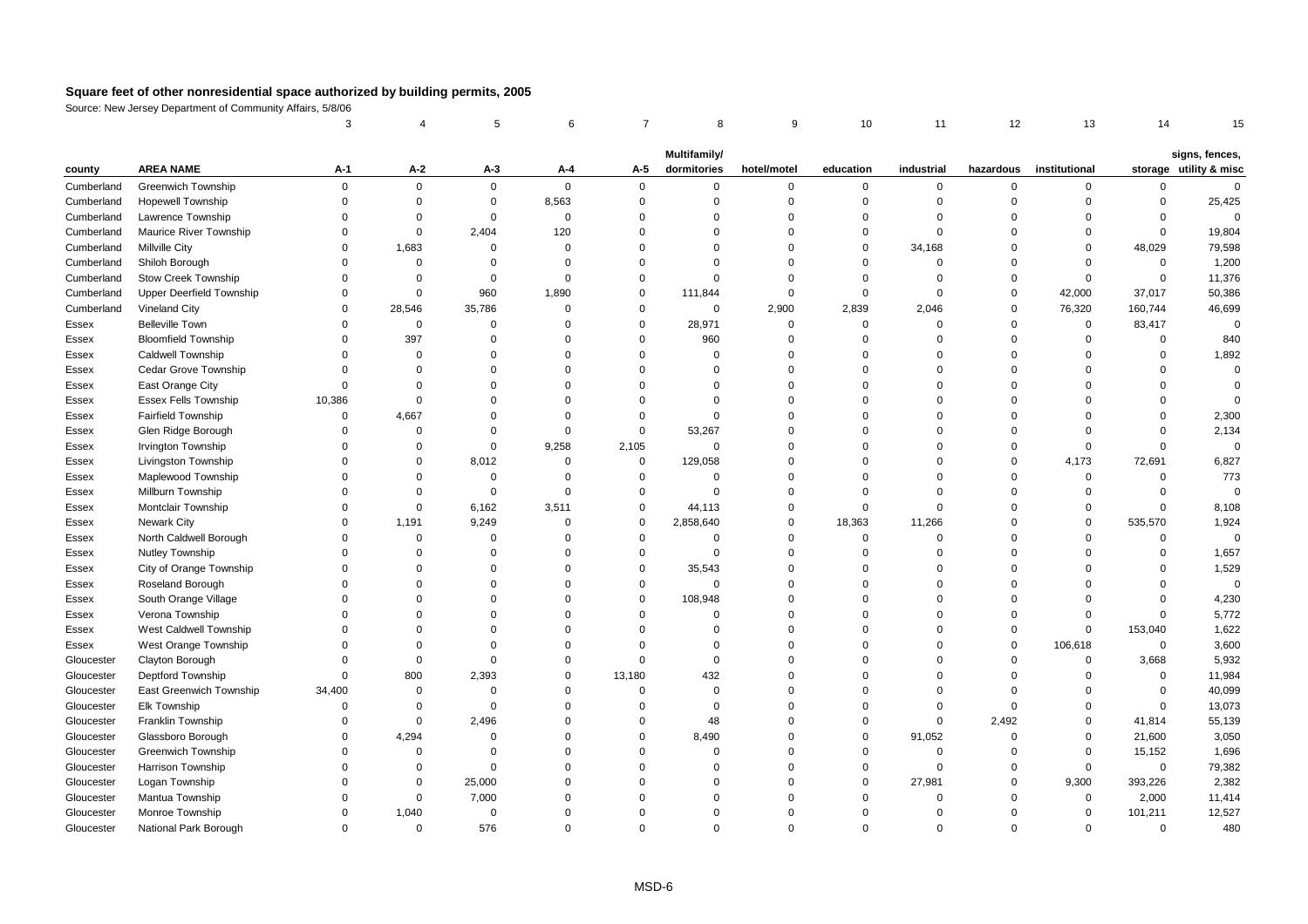|            |                                 | 3           |             | 5           | 6              | $\overline{7}$ | 8                           | 9           | 10          | 11          | 12          | 13            | 14          | 15                                       |
|------------|---------------------------------|-------------|-------------|-------------|----------------|----------------|-----------------------------|-------------|-------------|-------------|-------------|---------------|-------------|------------------------------------------|
|            |                                 |             |             |             |                |                |                             |             |             |             |             |               |             |                                          |
| county     | <b>AREA NAME</b>                | А-1         | $A-2$       | $A-3$       | A-4            | A-5            | Multifamily/<br>dormitories | hotel/motel | education   | industrial  | hazardous   | institutional |             | signs, fences,<br>storage utility & misc |
| Cumberland | <b>Greenwich Township</b>       | $\mathbf 0$ | $\mathbf 0$ | $\mathbf 0$ | $\mathbf 0$    | $\mathbf 0$    | $\mathbf 0$                 | $\mathbf 0$ | 0           | $\mathbf 0$ | $\mathbf 0$ | $\mathbf 0$   | $\mathbf 0$ | $\mathbf 0$                              |
| Cumberland | <b>Hopewell Township</b>        | $\Omega$    | $\mathbf 0$ | 0           | 8,563          | $\mathbf 0$    | $\mathbf 0$                 | $\mathbf 0$ | $\Omega$    | $\mathbf 0$ | $\mathbf 0$ | $\Omega$      | $\mathbf 0$ | 25,425                                   |
| Cumberland | Lawrence Township               | $\Omega$    | $\mathbf 0$ | $\mathbf 0$ | $\overline{0}$ | $\mathbf 0$    | $\Omega$                    | $\Omega$    | $\Omega$    | $\mathbf 0$ | $\Omega$    | $\Omega$      | $\mathbf 0$ | $\Omega$                                 |
| Cumberland | Maurice River Township          | $\Omega$    | $\mathbf 0$ | 2,404       | 120            | $\Omega$       | $\Omega$                    | $\Omega$    | $\Omega$    | $\Omega$    | $\Omega$    | $\Omega$      | $\mathbf 0$ | 19,804                                   |
| Cumberland | <b>Millville City</b>           | $\Omega$    | 1,683       | $\mathbf 0$ | $\Omega$       | $\mathbf 0$    | $\Omega$                    | $\Omega$    | $\Omega$    | 34,168      | $\mathbf 0$ | $\Omega$      | 48,029      | 79,598                                   |
| Cumberland | Shiloh Borough                  | $\Omega$    | $\mathbf 0$ | $\Omega$    | $\Omega$       | $\mathbf 0$    | $\Omega$                    | $\Omega$    | $\Omega$    | $\Omega$    | $\mathbf 0$ | $\Omega$      | $\mathbf 0$ | 1,200                                    |
| Cumberland | <b>Stow Creek Township</b>      | $\Omega$    | $\mathbf 0$ | $\Omega$    | $\mathbf 0$    | $\mathbf 0$    | $\Omega$                    | $\Omega$    | $\Omega$    | $\mathbf 0$ | $\mathsf 0$ | $\mathbf 0$   | $\pmb{0}$   | 11,376                                   |
| Cumberland | <b>Upper Deerfield Township</b> | $\Omega$    | $\mathbf 0$ | 960         | 1,890          | $\mathbf 0$    | 111,844                     | $\mathsf 0$ | $\Omega$    | $\Omega$    | $\mathsf 0$ | 42,000        | 37,017      | 50,386                                   |
| Cumberland | Vineland City                   | $\Omega$    | 28,546      | 35,786      | $\Omega$       | $\mathbf 0$    | $\Omega$                    | 2,900       | 2,839       | 2,046       | $\mathbf 0$ | 76,320        | 160,744     | 46,699                                   |
| Essex      | <b>Belleville Town</b>          | $\Omega$    | $\mathbf 0$ | $\mathbf 0$ | $\Omega$       | $\mathbf 0$    | 28,971                      | $\mathbf 0$ | $\mathbf 0$ | $\Omega$    | $\mathbf 0$ | $\mathbf 0$   | 83,417      | $\Omega$                                 |
| Essex      | <b>Bloomfield Township</b>      | $\Omega$    | 397         | $\mathbf 0$ | $\Omega$       | $\mathbf 0$    | 960                         | $\mathbf 0$ | $\Omega$    | $\mathbf 0$ | $\mathsf 0$ | $\Omega$      | $\mathbf 0$ | 840                                      |
| Essex      | <b>Caldwell Township</b>        | $\Omega$    | $\mathbf 0$ | $\Omega$    | $\Omega$       | $\mathbf 0$    | $\Omega$                    | $\mathbf 0$ | $\Omega$    | 0           | $\mathsf 0$ | $\Omega$      | $\mathbf 0$ | 1,892                                    |
| Essex      | Cedar Grove Township            | $\Omega$    | $\Omega$    | $\Omega$    | $\Omega$       | $\Omega$       | $\Omega$                    | $\Omega$    | $\Omega$    | $\Omega$    | $\mathbf 0$ | $\Omega$      | $\Omega$    | $\Omega$                                 |
| Essex      | East Orange City                | $\Omega$    | $\Omega$    | $\Omega$    | $\Omega$       | $\Omega$       | $\Omega$                    | $\Omega$    | $\Omega$    | $\Omega$    | $\Omega$    | $\Omega$      | $\Omega$    | $\Omega$                                 |
| Essex      | <b>Essex Fells Township</b>     | 10,386      | $\mathbf 0$ | $\Omega$    | $\Omega$       | $\Omega$       | $\Omega$                    | $\Omega$    | $\Omega$    | $\Omega$    | $\Omega$    | $\Omega$      | $\Omega$    | $\Omega$                                 |
| Essex      | <b>Fairfield Township</b>       | $\mathbf 0$ | 4,667       | $\Omega$    | $\Omega$       | $\mathbf 0$    | $\Omega$                    | $\Omega$    | $\Omega$    | $\Omega$    | $\mathbf 0$ | $\Omega$      | $\mathbf 0$ | 2,300                                    |
| Essex      | Glen Ridge Borough              | $\Omega$    | $\Omega$    | $\Omega$    | $\Omega$       | $\mathbf 0$    | 53,267                      | $\Omega$    | $\Omega$    | $\Omega$    | $\mathbf 0$ | $\Omega$      | $\Omega$    | 2,134                                    |
| Essex      | Irvington Township              | $\Omega$    | $\mathbf 0$ | $\mathbf 0$ | 9,258          | 2,105          | $\Omega$                    | $\Omega$    | $\Omega$    | $\Omega$    | $\mathbf 0$ | $\Omega$      | $\mathbf 0$ | $\Omega$                                 |
| Essex      | Livingston Township             | $\Omega$    | $\Omega$    | 8,012       | $\Omega$       | $\mathbf 0$    | 129,058                     | $\Omega$    | $\Omega$    | $\Omega$    | $\mathbf 0$ | 4,173         | 72,691      | 6,827                                    |
| Essex      | Maplewood Township              | $\Omega$    | $\Omega$    | $\mathbf 0$ | $\Omega$       | $\mathbf 0$    | $\Omega$                    | $\Omega$    | $\Omega$    | $\Omega$    | $\Omega$    | $\Omega$      | $\mathbf 0$ | 773                                      |
| Essex      | Millburn Township               | $\Omega$    | $\Omega$    | $\mathbf 0$ | $\Omega$       | $\mathbf 0$    | $\Omega$                    | $\Omega$    | $\Omega$    | $\Omega$    | $\mathbf 0$ | $\Omega$      | $\mathbf 0$ | $\Omega$                                 |
| Essex      | Montclair Township              | $\Omega$    | $\mathbf 0$ | 6,162       | 3,511          | $\mathbf 0$    | 44,113                      | $\Omega$    | $\Omega$    | $\Omega$    | $\mathbf 0$ | $\Omega$      | $\mathbf 0$ | 8,108                                    |
| Essex      | <b>Newark City</b>              | $\Omega$    | 1,191       | 9,249       | 0              | $\mathbf 0$    | 2,858,640                   | $\mathbf 0$ | 18,363      | 11,266      | $\mathsf 0$ | $\Omega$      | 535,570     | 1,924                                    |
| Essex      | North Caldwell Borough          | $\Omega$    | $\mathbf 0$ | $\mathbf 0$ | $\Omega$       | $\mathbf 0$    | $\Omega$                    | $\mathbf 0$ | $\mathbf 0$ | $\mathbf 0$ | $\mathbf 0$ | $\Omega$      | $\mathbf 0$ | $\mathbf 0$                              |
| Essex      | Nutley Township                 | $\Omega$    | $\Omega$    | $\Omega$    | $\Omega$       | $\mathbf 0$    | $\Omega$                    | $\Omega$    | $\Omega$    | $\Omega$    | $\mathbf 0$ | $\Omega$      | $\mathbf 0$ | 1,657                                    |
| Essex      | City of Orange Township         | $\Omega$    | $\Omega$    | $\Omega$    | $\Omega$       | $\mathbf 0$    | 35,543                      | $\Omega$    | $\Omega$    | $\Omega$    | $\Omega$    | $\Omega$      | $\Omega$    | 1,529                                    |
| Essex      | Roseland Borough                | $\Omega$    | $\Omega$    | $\Omega$    | $\Omega$       | $\mathbf 0$    | $\Omega$                    | $\Omega$    | $\Omega$    | $\Omega$    | $\mathbf 0$ | $\Omega$      | $\mathbf 0$ | $\mathbf 0$                              |
| Essex      | South Orange Village            | $\Omega$    | $\Omega$    | $\Omega$    | $\Omega$       | $\mathbf 0$    | 108,948                     | $\Omega$    | $\Omega$    | $\Omega$    | $\mathbf 0$ | $\Omega$      | $\mathbf 0$ | 4,230                                    |
| Essex      | Verona Township                 | $\Omega$    | $\Omega$    | $\Omega$    | $\Omega$       | $\mathbf 0$    | $\Omega$                    | $\mathbf 0$ | $\Omega$    | $\Omega$    | $\mathsf 0$ | $\mathbf 0$   | $\mathbf 0$ | 5,772                                    |
| Essex      | West Caldwell Township          | $\Omega$    | $\Omega$    | $\Omega$    | $\Omega$       | $\mathbf 0$    | $\Omega$                    | $\Omega$    | $\Omega$    | $\Omega$    | $\mathbf 0$ | $\Omega$      | 153,040     | 1,622                                    |
| Essex      | West Orange Township            | $\Omega$    | $\Omega$    | $\Omega$    | $\Omega$       | $\Omega$       | $\Omega$                    | $\Omega$    | $\Omega$    | $\Omega$    | $\mathbf 0$ | 106,618       | $\mathbf 0$ | 3,600                                    |
| Gloucester | Clayton Borough                 | $\Omega$    | $\mathbf 0$ | $\Omega$    | $\Omega$       | $\mathbf 0$    | $\Omega$                    | $\Omega$    | $\Omega$    | $\Omega$    | $\mathbf 0$ | $\mathbf 0$   | 3,668       | 5,932                                    |
| Gloucester | Deptford Township               | $\Omega$    | 800         | 2,393       | $\Omega$       | 13,180         | 432                         | $\Omega$    | $\Omega$    | $\Omega$    | $\mathsf 0$ | $\Omega$      | $\mathbf 0$ | 11,984                                   |
| Gloucester | East Greenwich Township         | 34,400      | $\mathbf 0$ | $\Omega$    | $\Omega$       | $\mathbf 0$    | $\Omega$                    | $\Omega$    | $\Omega$    | $\Omega$    | $\Omega$    | $\Omega$      | $\mathbf 0$ | 40,099                                   |
| Gloucester | Elk Township                    | $\Omega$    | $\mathbf 0$ | $\Omega$    | $\Omega$       | $\mathbf 0$    | $\Omega$                    | $\Omega$    | $\Omega$    | $\Omega$    | $\mathbf 0$ | $\Omega$      | $\mathbf 0$ | 13,073                                   |
| Gloucester | Franklin Township               | $\Omega$    | $\mathbf 0$ | 2,496       | $\Omega$       | $\mathbf 0$    | 48                          | $\Omega$    | $\Omega$    | $\Omega$    | 2,492       | $\Omega$      | 41,814      | 55,139                                   |
| Gloucester | Glassboro Borough               | $\Omega$    | 4,294       | $\Omega$    | $\Omega$       | $\mathbf 0$    | 8,490                       | $\Omega$    | $\Omega$    | 91,052      | $\mathsf 0$ | $\mathbf 0$   | 21,600      | 3,050                                    |
| Gloucester | <b>Greenwich Township</b>       | $\Omega$    | $\mathbf 0$ | $\Omega$    | $\Omega$       | $\mathbf 0$    | $\Omega$                    | $\Omega$    | $\Omega$    | $\mathbf 0$ | $\mathbf 0$ | $\Omega$      | 15,152      | 1,696                                    |
| Gloucester | <b>Harrison Township</b>        | $\Omega$    | $\Omega$    | $\Omega$    | $\Omega$       | $\Omega$       | $\Omega$                    | $\Omega$    | $\Omega$    | $\Omega$    | $\mathbf 0$ | $\mathbf 0$   | $\mathbf 0$ | 79,382                                   |
| Gloucester | Logan Township                  | $\Omega$    | $\mathbf 0$ | 25,000      | $\Omega$       | $\Omega$       | $\Omega$                    | $\Omega$    | $\Omega$    | 27,981      | $\mathbf 0$ | 9,300         | 393,226     | 2,382                                    |
| Gloucester | Mantua Township                 | $\Omega$    | $\mathbf 0$ | 7,000       | $\Omega$       | $\Omega$       | $\Omega$                    | $\Omega$    | $\Omega$    | $\Omega$    | $\Omega$    | $\mathbf 0$   | 2,000       | 11,414                                   |
| Gloucester | Monroe Township                 | $\Omega$    | 1,040       | $\mathbf 0$ | $\Omega$       | $\Omega$       | $\Omega$                    | $\Omega$    | $\Omega$    | $\Omega$    | $\Omega$    | $\Omega$      | 101,211     | 12,527                                   |
| Gloucester | National Park Borough           | $\Omega$    | $\mathbf 0$ | 576         | $\Omega$       | $\Omega$       | $\Omega$                    | $\Omega$    | $\Omega$    | $\Omega$    | $\Omega$    | $\Omega$      | $\mathbf 0$ | 480                                      |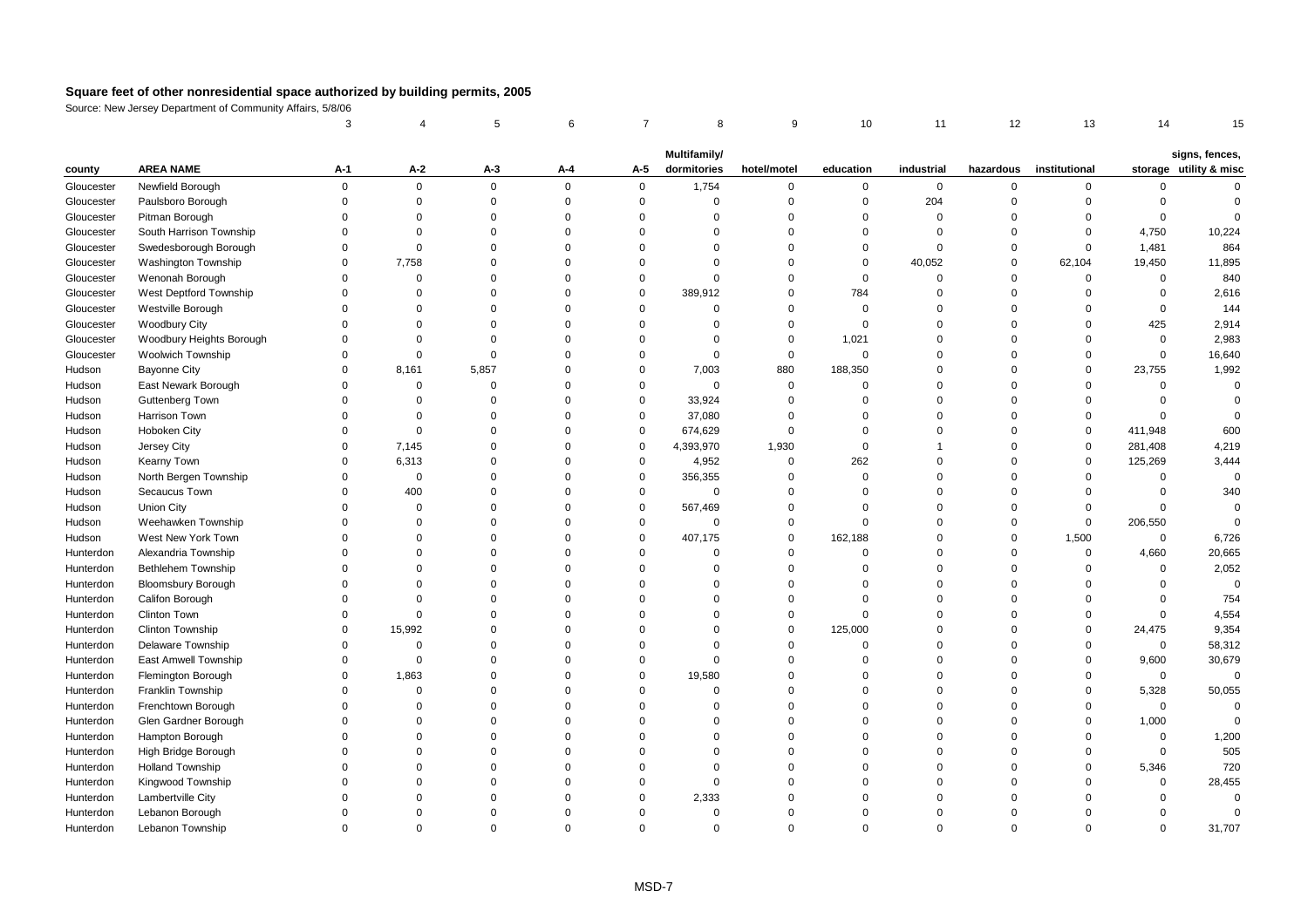|            |                            | 3           |             | 5           | 6           | $\overline{7}$ | 8            | 9           | 10             | 11          | 12          | 13            | 14          | 15                     |
|------------|----------------------------|-------------|-------------|-------------|-------------|----------------|--------------|-------------|----------------|-------------|-------------|---------------|-------------|------------------------|
|            |                            |             |             |             |             |                | Multifamily/ |             |                |             |             |               |             | signs, fences,         |
| county     | <b>AREA NAME</b>           | A-1         | A-2         | A-3         | A-4         | A-5            | dormitories  | hotel/motel | education      | industrial  | hazardous   | institutional |             | storage utility & misc |
| Gloucester | Newfield Borough           | $\mathbf 0$ | $\mathsf 0$ | $\mathbf 0$ | $\mathbf 0$ | 0              | 1,754        | $\mathbf 0$ | $\mathbf 0$    | $\mathbf 0$ | $\mathbf 0$ | 0             | 0           | $\Omega$               |
| Gloucester | Paulsboro Borough          | $\Omega$    | $\mathsf 0$ | $\Omega$    | $\Omega$    | $\mathsf 0$    | $\Omega$     | $\Omega$    | $\mathbf 0$    | 204         | $\Omega$    | $\Omega$      | $\mathbf 0$ | $\Omega$               |
| Gloucester | Pitman Borough             | $\Omega$    | $\Omega$    | $\Omega$    | $\Omega$    | $\Omega$       | $\Omega$     | $\Omega$    | $\mathbf 0$    | $\mathbf 0$ | $\Omega$    | $\Omega$      | $\mathbf 0$ | $\Omega$               |
| Gloucester | South Harrison Township    | $\Omega$    | $\mathbf 0$ | $\Omega$    | $\Omega$    | $\Omega$       | $\Omega$     | $\Omega$    | $\Omega$       | $\Omega$    | $\Omega$    | $\mathbf 0$   | 4,750       | 10,224                 |
| Gloucester | Swedesborough Borough      | $\Omega$    | $\mathbf 0$ | $\Omega$    | $\Omega$    | $\Omega$       | $\Omega$     | $\Omega$    | $\mathbf 0$    | $\Omega$    | $\Omega$    | $\mathbf 0$   | 1,481       | 864                    |
| Gloucester | <b>Washington Township</b> | $\Omega$    | 7,758       | $\Omega$    | $\Omega$    | $\Omega$       | $\Omega$     | $\Omega$    | $\mathbf 0$    | 40,052      | $\mathbf 0$ | 62,104        | 19,450      | 11,895                 |
| Gloucester | Wenonah Borough            | $\Omega$    | $\mathsf 0$ | $\Omega$    | $\Omega$    | $\Omega$       | $\Omega$     | $\Omega$    | $\mathbf 0$    | $\mathbf 0$ | $\mathbf 0$ | $\mathbf 0$   | $\mathbf 0$ | 840                    |
| Gloucester | West Deptford Township     | $\Omega$    | $\Omega$    | $\Omega$    | $\Omega$    | $\Omega$       | 389,912      | $\Omega$    | 784            | $\Omega$    | $\Omega$    | $\Omega$      | $\Omega$    | 2,616                  |
| Gloucester | Westville Borough          | $\Omega$    | $\Omega$    | $\Omega$    | $\Omega$    | $\Omega$       | $\Omega$     | $\Omega$    | $\mathbf 0$    | $\Omega$    | $\Omega$    | $\Omega$      | 0           | 144                    |
| Gloucester | <b>Woodbury City</b>       | $\Omega$    | $\Omega$    | $\Omega$    | $\Omega$    | $\Omega$       | $\Omega$     | $\Omega$    | $\mathbf 0$    | $\Omega$    | $\Omega$    | $\Omega$      | 425         | 2,914                  |
| Gloucester | Woodbury Heights Borough   | $\Omega$    | $\mathbf 0$ | $\Omega$    | $\Omega$    | $\Omega$       | $\Omega$     | $\mathbf 0$ | 1,021          | $\Omega$    | $\mathbf 0$ | $\Omega$      | $\mathsf 0$ | 2,983                  |
| Gloucester | <b>Woolwich Township</b>   | $\Omega$    | $\mathbf 0$ | $\Omega$    | $\Omega$    | $\Omega$       | $\mathbf 0$  | $\Omega$    | $\mathbf 0$    | $\Omega$    | $\Omega$    | $\Omega$      | $\mathbf 0$ | 16,640                 |
| Hudson     | <b>Bayonne City</b>        | $\Omega$    | 8,161       | 5,857       | O           | $\mathbf 0$    | 7,003        | 880         | 188,350        | $\Omega$    | $\Omega$    | $\Omega$      | 23,755      | 1,992                  |
| Hudson     | East Newark Borough        | $\Omega$    | $\mathsf 0$ | $\mathbf 0$ | $\Omega$    | $\mathbf 0$    | $\mathbf 0$  | $\Omega$    | $\mathbf 0$    | $\Omega$    | $\Omega$    | $\Omega$      | $\mathbf 0$ | $\Omega$               |
| Hudson     | <b>Guttenberg Town</b>     | $\Omega$    | $\mathsf 0$ | $\Omega$    | $\mathbf 0$ | $\mathsf 0$    | 33,924       | $\Omega$    | $\mathbf 0$    | $\Omega$    | $\Omega$    | $\Omega$      | $\mathbf 0$ | $\Omega$               |
| Hudson     | Harrison Town              | $\Omega$    | $\Omega$    | $\Omega$    | $\Omega$    | $\mathsf 0$    | 37,080       | $\Omega$    | $\Omega$       | $\Omega$    | $\Omega$    | $\Omega$      | $\mathbf 0$ | $\Omega$               |
| Hudson     | Hoboken City               | $\Omega$    | $\mathsf 0$ | $\Omega$    | $\Omega$    | $\mathbf 0$    | 674,629      | $\Omega$    | $\mathbf{0}$   | $\Omega$    | $\Omega$    | $\mathbf 0$   | 411,948     | 600                    |
| Hudson     | Jersey City                | $\Omega$    | 7,145       | $\Omega$    | $\Omega$    | $\Omega$       | 4,393,970    | 1,930       | $\mathbf 0$    |             | $\Omega$    | $\mathsf 0$   | 281,408     | 4,219                  |
| Hudson     | Kearny Town                | $\Omega$    | 6,313       | $\Omega$    | $\Omega$    | $\mathsf 0$    | 4,952        | $\mathbf 0$ | 262            | $\Omega$    | $\Omega$    | $\mathbf 0$   | 125,269     | 3,444                  |
| Hudson     | North Bergen Township      | $\Omega$    | $\mathsf 0$ | $\Omega$    | $\Omega$    | $\mathbf 0$    | 356,355      | $\Omega$    | $\mathbf{0}$   | $\Omega$    | $\Omega$    | $\mathbf 0$   | $\mathbf 0$ | $\Omega$               |
| Hudson     | Secaucus Town              | $\Omega$    | 400         | $\Omega$    | $\Omega$    | 0              | $\mathbf 0$  | $\Omega$    | $\Omega$       | $\Omega$    | $\Omega$    | $\Omega$      | 0           | 340                    |
| Hudson     | <b>Union City</b>          | $\Omega$    | $\mathsf 0$ | $\Omega$    | $\mathbf 0$ | $\mathbf 0$    | 567,469      | $\mathbf 0$ | $\overline{0}$ | $\Omega$    | $\mathbf 0$ | $\mathbf 0$   | $\mathbf 0$ | $\Omega$               |
| Hudson     | Weehawken Township         | $\Omega$    | $\Omega$    | $\Omega$    | $\Omega$    | $\mathsf 0$    | $\mathsf 0$  | $\Omega$    | $\Omega$       | $\Omega$    | $\mathsf 0$ | 0             | 206,550     | $\Omega$               |
| Hudson     | West New York Town         | $\Omega$    | $\Omega$    | $\Omega$    | $\Omega$    | $\Omega$       | 407,175      | $\Omega$    | 162,188        | $\Omega$    | $\Omega$    | 1,500         | $\mathbf 0$ | 6,726                  |
| Hunterdon  | Alexandria Township        | $\Omega$    | $\Omega$    | $\Omega$    | $\Omega$    | $\Omega$       | $\Omega$     | $\Omega$    | $\mathbf{0}$   | $\Omega$    | $\Omega$    | $\mathbf 0$   | 4,660       | 20,665                 |
| Hunterdon  | Bethlehem Township         | $\Omega$    | $\Omega$    | $\Omega$    | $\Omega$    | $\Omega$       | $\Omega$     | $\Omega$    | $\mathbf 0$    | $\Omega$    | $\mathsf 0$ | $\mathbf 0$   | $\mathbf 0$ | 2,052                  |
| Hunterdon  | <b>Bloomsbury Borough</b>  | $\Omega$    | $\Omega$    | $\Omega$    | $\Omega$    | $\Omega$       | $\Omega$     | $\Omega$    | $\Omega$       | $\Omega$    | $\Omega$    | $\Omega$      | $\Omega$    | $\Omega$               |
| Hunterdon  | Califon Borough            | $\Omega$    | $\mathbf 0$ | $\Omega$    | $\Omega$    | $\Omega$       | $\Omega$     | $\Omega$    | $\mathbf{0}$   | $\Omega$    | $\Omega$    | $\Omega$      | $\mathbf 0$ | 754                    |
| Hunterdon  | Clinton Town               | $\Omega$    | $\mathbf 0$ | $\Omega$    | O           | $\Omega$       | $\Omega$     | $\Omega$    | $\Omega$       | $\Omega$    | $\Omega$    | $\Omega$      | $\Omega$    | 4,554                  |
| Hunterdon  | Clinton Township           | $\Omega$    | 15,992      | $\Omega$    | $\Omega$    | $\Omega$       | $\Omega$     | $\Omega$    | 125,000        | $\Omega$    | $\Omega$    | $\Omega$      | 24,475      | 9,354                  |
| Hunterdon  | <b>Delaware Township</b>   | $\Omega$    | $\mathbf 0$ | $\Omega$    | $\Omega$    | $\Omega$       | $\Omega$     | $\Omega$    | $\mathbf 0$    | $\Omega$    | $\Omega$    | $\Omega$      | $\mathbf 0$ | 58,312                 |
| Hunterdon  | East Amwell Township       | $\Omega$    | $\mathsf 0$ | $\Omega$    | $\Omega$    | $\Omega$       | $\Omega$     | $\Omega$    | $\mathbf{0}$   | $\Omega$    | $\Omega$    | $\mathbf 0$   | 9,600       | 30,679                 |
| Hunterdon  | Flemington Borough         | $\Omega$    | 1,863       | $\Omega$    | $\Omega$    | $\mathbf 0$    | 19,580       | $\Omega$    | $\Omega$       | $\Omega$    | $\Omega$    | $\Omega$      | $\mathbf 0$ | $\mathbf 0$            |
| Hunterdon  | Franklin Township          | $\Omega$    | $\mathsf 0$ | $\Omega$    | $\Omega$    | $\Omega$       | $\mathbf 0$  | $\Omega$    | $\Omega$       | $\Omega$    | $\Omega$    | $\mathbf 0$   | 5,328       | 50,055                 |
| Hunterdon  | Frenchtown Borough         | $\Omega$    | $\Omega$    | $\Omega$    | $\Omega$    | $\Omega$       | $\Omega$     | $\Omega$    | $\Omega$       | $\Omega$    | $\Omega$    | $\Omega$      | $\Omega$    | $\Omega$               |
| Hunterdon  | Glen Gardner Borough       | $\Omega$    | $\Omega$    | $\Omega$    | $\Omega$    | $\Omega$       | $\Omega$     | $\Omega$    | $\Omega$       | $\Omega$    | $\Omega$    | $\Omega$      | 1,000       | $\Omega$               |
| Hunterdon  | Hampton Borough            | $\Omega$    | $\Omega$    | $\Omega$    | $\Omega$    | $\Omega$       | $\Omega$     | $\Omega$    | $\Omega$       | $\Omega$    | $\Omega$    | $\Omega$      | 0           | 1,200                  |
| Hunterdon  | High Bridge Borough        | $\Omega$    | $\Omega$    | $\Omega$    | $\Omega$    | $\Omega$       | $\Omega$     | $\Omega$    | $\Omega$       | $\Omega$    | $\mathbf 0$ | $\Omega$      | $\mathsf 0$ | 505                    |
| Hunterdon  | <b>Holland Township</b>    | $\Omega$    | $\Omega$    | $\Omega$    | $\Omega$    | $\Omega$       | $\Omega$     | $\Omega$    | $\Omega$       | $\Omega$    | $\Omega$    | $\Omega$      | 5,346       | 720                    |
| Hunterdon  | Kingwood Township          | $\Omega$    | $\Omega$    | $\Omega$    | O           | $\Omega$       | $\Omega$     | O           | $\Omega$       | $\Omega$    | $\Omega$    | $\Omega$      | $\mathbf 0$ | 28,455                 |
| Hunterdon  | Lambertville City          |             | $\Omega$    | $\Omega$    | 0           | $\Omega$       | 2,333        | O           | $\Omega$       | $\Omega$    | $\Omega$    | $\Omega$      | $\Omega$    | $\Omega$               |
| Hunterdon  | Lebanon Borough            | $\Omega$    | $\Omega$    | $\Omega$    | $\Omega$    | $\Omega$       | $\mathbf 0$  | $\Omega$    | $\Omega$       | $\Omega$    | $\Omega$    | $\Omega$      | $\Omega$    | $\Omega$               |
| Hunterdon  | Lebanon Township           | $\Omega$    | $\Omega$    | $\Omega$    | $\Omega$    | $\Omega$       | $\Omega$     | $\Omega$    | $\Omega$       | $\Omega$    | $\Omega$    | $\Omega$      | $\Omega$    | 31,707                 |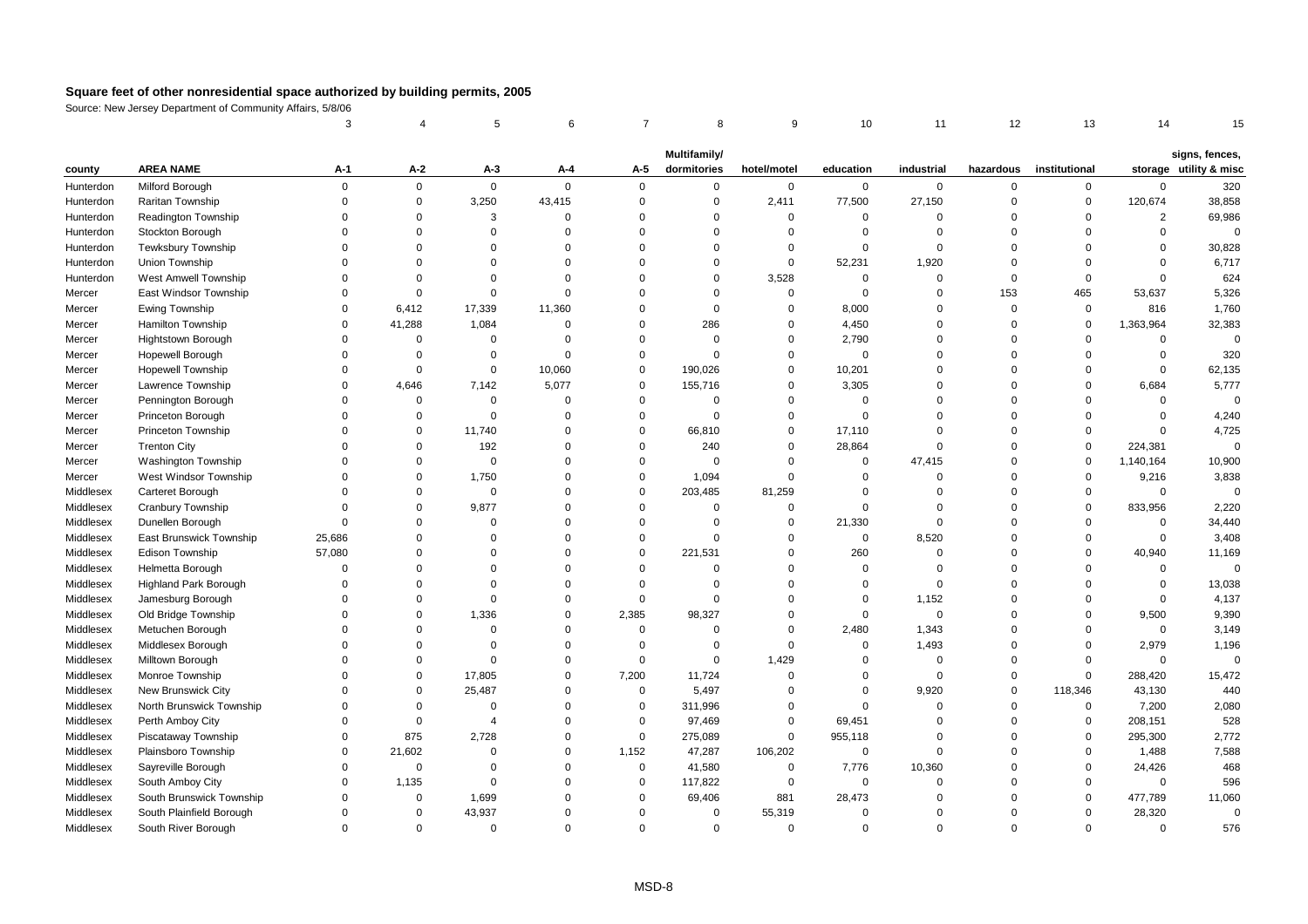|           |                              | 3           |             | 5              | 6           | $\overline{7}$ | 8                           | 9           | 10          | 11          | 12          | 13            | 14             | 15                                       |
|-----------|------------------------------|-------------|-------------|----------------|-------------|----------------|-----------------------------|-------------|-------------|-------------|-------------|---------------|----------------|------------------------------------------|
|           |                              |             |             |                |             |                |                             |             |             |             |             |               |                |                                          |
| county    | <b>AREA NAME</b>             | А-1         | $A-2$       | $A-3$          | A-4         | A-5            | Multifamily/<br>dormitories | hotel/motel | education   | industrial  | hazardous   | institutional |                | signs, fences,<br>storage utility & misc |
| Hunterdon | Milford Borough              | $\mathbf 0$ | $\mathbf 0$ | $\mathbf 0$    | $\mathbf 0$ | $\mathbf 0$    | $\mathbf 0$                 | 0           | $\mathbf 0$ | $\mathbf 0$ | $\mathbf 0$ | $\mathbf 0$   | $\mathbf 0$    | 320                                      |
| Hunterdon | Raritan Township             | $\mathbf 0$ | $\pmb{0}$   | 3,250          | 43,415      | $\mathbf 0$    | $\mathsf 0$                 | 2,411       | 77,500      | 27,150      | $\mathbf 0$ | $\mathsf 0$   | 120,674        | 38,858                                   |
| Hunterdon | Readington Township          | $\Omega$    | $\Omega$    | 3              | $\Omega$    | $\mathbf 0$    | $\Omega$                    | $\mathbf 0$ | $\mathbf 0$ | $\Omega$    | $\mathbf 0$ | $\mathbf 0$   | $\overline{2}$ | 69,986                                   |
| Hunterdon | Stockton Borough             | $\Omega$    | $\Omega$    | $\Omega$       | $\Omega$    | $\Omega$       | $\Omega$                    | $\Omega$    | $\mathbf 0$ | $\Omega$    | $\Omega$    | $\Omega$      | $\Omega$       | $\mathbf 0$                              |
| Hunterdon | <b>Tewksbury Township</b>    | $\Omega$    | $\Omega$    | $\Omega$       | $\Omega$    | $\mathbf 0$    | $\Omega$                    | $\Omega$    | $\Omega$    | $\Omega$    | $\mathbf 0$ | $\Omega$      | $\Omega$       | 30,828                                   |
| Hunterdon | Union Township               | $\Omega$    | $\Omega$    | $\Omega$       | $\Omega$    | $\mathbf 0$    | $\Omega$                    | $\mathbf 0$ | 52,231      | 1,920       | $\mathbf 0$ | $\mathbf 0$   | $\mathbf 0$    | 6,717                                    |
| Hunterdon | West Amwell Township         | $\Omega$    | $\Omega$    | $\Omega$       | $\Omega$    | $\Omega$       | $\Omega$                    | 3,528       | $\mathbf 0$ | $\Omega$    | $\mathbf 0$ | $\Omega$      | $\Omega$       | 624                                      |
| Mercer    | East Windsor Township        | $\Omega$    | $\Omega$    | $\mathbf 0$    | $\Omega$    | $\Omega$       | $\Omega$                    | $\mathbf 0$ | $\Omega$    | $\Omega$    | 153         | 465           | 53,637         | 5,326                                    |
| Mercer    | Ewing Township               | $\Omega$    | 6,412       | 17,339         | 11,360      | $\mathbf 0$    | $\mathbf 0$                 | $\mathbf 0$ | 8,000       | $\Omega$    | $\mathbf 0$ | $\mathsf 0$   | 816            | 1,760                                    |
| Mercer    | Hamilton Township            | $\Omega$    | 41,288      | 1,084          | $\Omega$    | $\mathbf 0$    | 286                         | $\Omega$    | 4,450       | $\Omega$    | $\mathbf 0$ | $\Omega$      | 1,363,964      | 32,383                                   |
| Mercer    | Hightstown Borough           | $\Omega$    | $\Omega$    | $\mathbf 0$    | $\Omega$    | $\mathbf 0$    | $\mathbf 0$                 | $\Omega$    | 2,790       | $\Omega$    | $\mathbf 0$ | $\mathbf 0$   | $\mathbf 0$    | $\Omega$                                 |
| Mercer    | <b>Hopewell Borough</b>      | $\mathbf 0$ | $\mathbf 0$ | $\Omega$       | $\Omega$    | $\mathbf 0$    | $\Omega$                    | $\mathbf 0$ | $\mathbf 0$ | $\Omega$    | $\mathbf 0$ | $\mathbf 0$   | $\mathbf 0$    | 320                                      |
| Mercer    | <b>Hopewell Township</b>     | $\mathbf 0$ | $\mathbf 0$ | $\mathbf 0$    | 10,060      | $\mathbf 0$    | 190,026                     | $\mathbf 0$ | 10,201      | $\Omega$    | $\mathbf 0$ | $\mathbf 0$   | $\mathsf 0$    | 62,135                                   |
| Mercer    | Lawrence Township            | $\Omega$    | 4,646       | 7,142          | 5,077       | $\mathbf 0$    | 155,716                     | $\Omega$    | 3,305       | 0           | $\Omega$    | $\Omega$      | 6,684          | 5,777                                    |
| Mercer    | Pennington Borough           | $\Omega$    | $\Omega$    | $\mathbf 0$    | $\Omega$    | $\mathbf{0}$   | $\Omega$                    | $\Omega$    | $\mathbf 0$ | $\Omega$    | $\Omega$    | $\Omega$      | $\mathbf 0$    | $\mathbf 0$                              |
| Mercer    | Princeton Borough            | $\Omega$    | $\mathbf 0$ | $\mathbf 0$    | $\Omega$    | $\mathbf 0$    | $\mathbf 0$                 | $\mathbf 0$ | $\mathbf 0$ | $\Omega$    | $\mathbf 0$ | $\mathbf 0$   | $\mathsf 0$    | 4,240                                    |
| Mercer    | Princeton Township           | $\Omega$    | $\mathbf 0$ | 11,740         | $\mathbf 0$ | $\mathbf 0$    | 66,810                      | $\mathbf 0$ | 17,110      | $\Omega$    | $\Omega$    | $\mathbf 0$   | $\mathbf 0$    | 4,725                                    |
| Mercer    | <b>Trenton City</b>          | $\Omega$    | $\Omega$    | 192            | $\Omega$    | $\mathbf 0$    | 240                         | $\Omega$    | 28,864      | $\Omega$    | $\mathbf 0$ | $\Omega$      | 224,381        | $\mathbf 0$                              |
| Mercer    | <b>Washington Township</b>   | $\Omega$    | $\Omega$    | $\mathbf 0$    | $\Omega$    | $\mathbf 0$    | $\mathbf 0$                 | $\mathbf 0$ | $\mathbf 0$ | 47,415      | $\Omega$    | $\mathbf 0$   | 1,140,164      | 10,900                                   |
| Mercer    | West Windsor Township        | $\Omega$    | $\Omega$    | 1,750          | $\Omega$    | $\mathbf 0$    | 1,094                       | $\Omega$    | $\Omega$    | $\Omega$    | $\Omega$    | $\mathbf 0$   | 9,216          | 3,838                                    |
| Middlesex | Carteret Borough             | $\Omega$    | $\Omega$    | $\mathbf 0$    | $\Omega$    | $\mathbf 0$    | 203,485                     | 81,259      | $\Omega$    | $\Omega$    | $\Omega$    | $\Omega$      | $\mathbf 0$    | $\Omega$                                 |
| Middlesex | Cranbury Township            | $\Omega$    | $\Omega$    | 9,877          | $\Omega$    | $\mathbf 0$    | $\mathbf 0$                 | $\mathbf 0$ | $\Omega$    | $\Omega$    | $\Omega$    | $\mathbf 0$   | 833,956        | 2,220                                    |
| Middlesex | Dunellen Borough             | $\Omega$    | $\Omega$    | $\Omega$       | $\Omega$    | $\mathbf 0$    | $\mathbf 0$                 | $\mathbf 0$ | 21,330      | $\Omega$    | $\Omega$    | $\mathbf 0$   | $\mathsf 0$    | 34,440                                   |
| Middlesex | East Brunswick Township      | 25,686      | $\Omega$    | $\Omega$       | $\Omega$    | $\mathbf 0$    | $\mathbf 0$                 | $\mathbf 0$ | $\mathbf 0$ | 8,520       | $\mathbf 0$ | $\Omega$      | $\bf 0$        | 3,408                                    |
| Middlesex | Edison Township              | 57,080      | $\Omega$    | $\Omega$       | $\Omega$    | $\mathbf 0$    | 221,531                     | $\Omega$    | 260         | $\Omega$    | $\Omega$    | $\Omega$      | 40,940         | 11,169                                   |
| Middlesex | Helmetta Borough             | $\Omega$    | $\Omega$    | $\Omega$       | $\Omega$    | $\mathbf 0$    | $\Omega$                    | $\Omega$    | $\mathbf 0$ | $\Omega$    | $\mathbf 0$ | $\Omega$      | $\mathbf 0$    | $\Omega$                                 |
| Middlesex | <b>Highland Park Borough</b> | $\Omega$    | $\Omega$    | $\Omega$       | $\Omega$    | $\mathbf 0$    | $\mathbf 0$                 | $\mathbf 0$ | $\mathbf 0$ | $\Omega$    | $\mathbf 0$ | $\mathbf 0$   | $\bf 0$        | 13,038                                   |
| Middlesex | Jamesburg Borough            | $\Omega$    | $\Omega$    | $\Omega$       | $\Omega$    | $\mathbf 0$    | $\Omega$                    | $\Omega$    | 0           | 1,152       | $\Omega$    | $\Omega$      | $\mathsf 0$    | 4,137                                    |
| Middlesex | Old Bridge Township          | $\Omega$    | $\Omega$    | 1,336          | $\Omega$    | 2,385          | 98,327                      | $\Omega$    | $\mathbf 0$ | $\Omega$    | $\Omega$    | $\Omega$      | 9,500          | 9,390                                    |
| Middlesex | Metuchen Borough             | $\Omega$    | $\Omega$    | $\Omega$       | $\Omega$    | $\mathbf{0}$   | $\Omega$                    | $\Omega$    | 2,480       | 1,343       | $\Omega$    | $\Omega$      | $\mathsf 0$    | 3,149                                    |
| Middlesex | Middlesex Borough            | $\Omega$    | $\mathbf 0$ | $\Omega$       | $\Omega$    | $\mathbf 0$    | $\mathbf 0$                 | $\mathbf 0$ | $\mathbf 0$ | 1,493       | $\Omega$    | $\mathbf 0$   | 2,979          | 1,196                                    |
| Middlesex | Milltown Borough             | $\Omega$    | $\Omega$    | $\Omega$       | $\mathbf 0$ | $\mathbf 0$    | $\mathbf 0$                 | 1,429       | $\mathbf 0$ | $\Omega$    | $\mathbf 0$ | $\Omega$      | $\mathbf 0$    | $\mathbf 0$                              |
| Middlesex | Monroe Township              | $\Omega$    | $\mathbf 0$ | 17,805         | $\Omega$    | 7,200          | 11,724                      | $\mathbf 0$ | $\mathbf 0$ | $\Omega$    | $\Omega$    | $\mathbf 0$   | 288,420        | 15,472                                   |
| Middlesex | New Brunswick City           | $\Omega$    | $\Omega$    | 25,487         | $\Omega$    | $\mathbf 0$    | 5,497                       | $\mathbf 0$ | $\Omega$    | 9,920       | $\mathbf 0$ | 118,346       | 43,130         | 440                                      |
| Middlesex | North Brunswick Township     | $\Omega$    | $\Omega$    | $\Omega$       | $\Omega$    | $\mathbf 0$    | 311,996                     | $\mathbf 0$ | $\Omega$    | $\Omega$    | $\mathbf 0$ | $\mathsf 0$   | 7,200          | 2,080                                    |
| Middlesex | Perth Amboy City             | $\Omega$    | $\Omega$    | $\overline{4}$ | $\Omega$    | $\mathbf 0$    | 97,469                      | $\Omega$    | 69,451      | $\Omega$    | $\Omega$    | $\mathbf{0}$  | 208,151        | 528                                      |
| Middlesex | Piscataway Township          | $\Omega$    | 875         | 2,728          | $\Omega$    | $\mathbf 0$    | 275,089                     | $\mathbf 0$ | 955,118     | $\Omega$    | $\mathbf 0$ | $\mathbf 0$   | 295,300        | 2,772                                    |
| Middlesex | Plainsboro Township          | $\mathbf 0$ | 21,602      | $\Omega$       | $\mathbf 0$ | 1,152          | 47,287                      | 106,202     | 0           | $\mathbf 0$ | $\Omega$    | $\mathbf 0$   | 1,488          | 7,588                                    |
| Middlesex | Sayreville Borough           | $\Omega$    | $\Omega$    | $\Omega$       | $\Omega$    | $\mathbf 0$    | 41,580                      | $\mathbf 0$ | 7,776       | 10,360      | $\Omega$    | $\mathbf 0$   | 24,426         | 468                                      |
| Middlesex | South Amboy City             | $\Omega$    | 1,135       | $\mathbf 0$    | $\Omega$    | $\mathbf 0$    | 117,822                     | $\Omega$    | $\mathbf 0$ | $\Omega$    | $\Omega$    | $\Omega$      | $\mathbf 0$    | 596                                      |
| Middlesex | South Brunswick Township     | $\Omega$    | $\mathbf 0$ | 1,699          | O           | $\mathbf 0$    | 69,406                      | 881         | 28,473      | $\Omega$    | $\Omega$    | $\Omega$      | 477,789        | 11,060                                   |
| Middlesex | South Plainfield Borough     | $\Omega$    | $\Omega$    | 43,937         | 0           | $\Omega$       | $\mathbf 0$                 | 55,319      | $\mathbf 0$ | $\Omega$    | $\Omega$    | $\mathbf 0$   | 28,320         | $\mathbf 0$                              |
| Middlesex | South River Borough          | $\Omega$    | $\Omega$    | $\Omega$       | $\Omega$    | $\Omega$       | $\Omega$                    | $\Omega$    | $\Omega$    | $\Omega$    | $\Omega$    | $\Omega$      | $\Omega$       | 576                                      |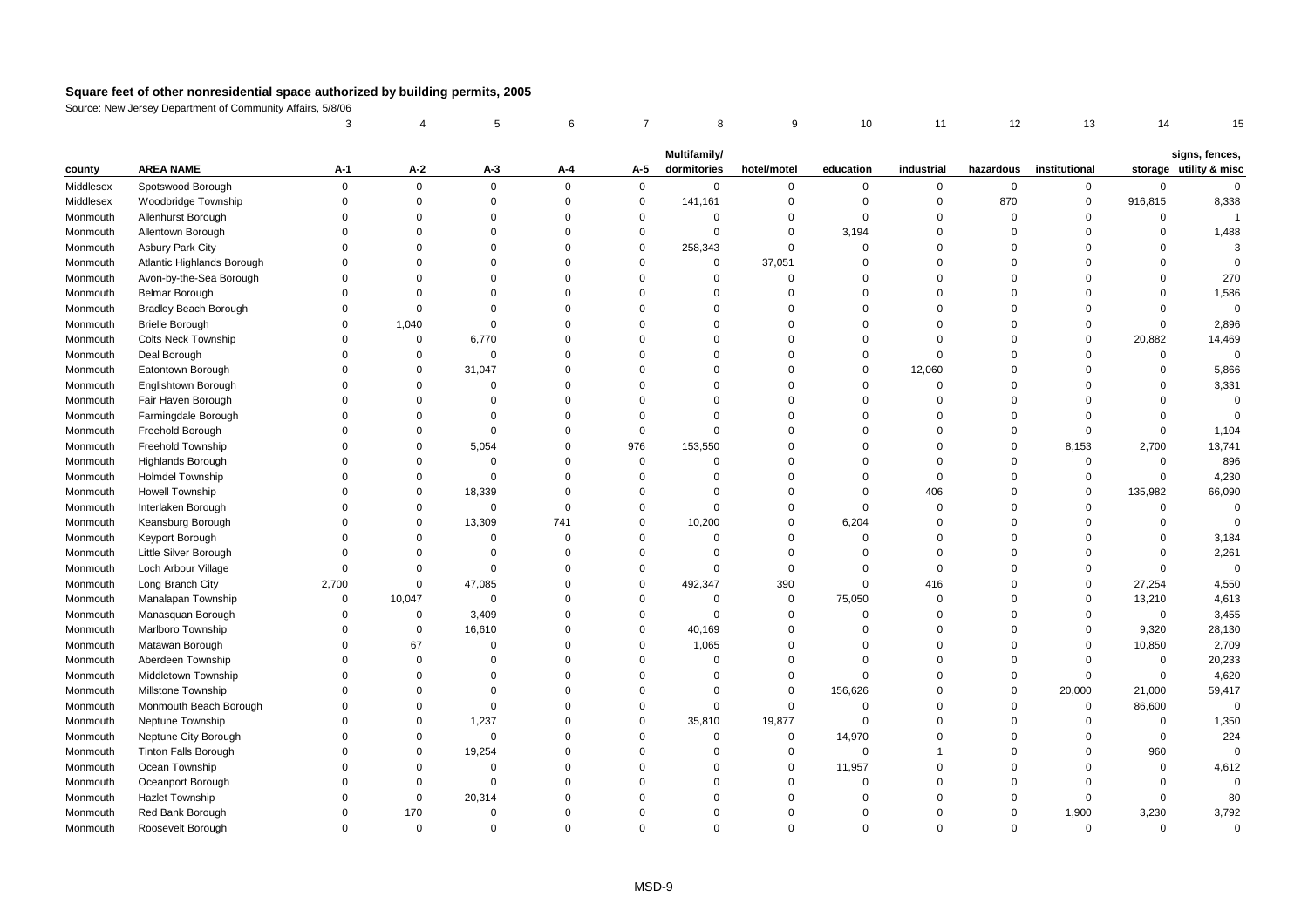|           |                              | 3           |             | 5           | 6           | $\overline{7}$ | 8            | 9           | 10          | 11          | 12          | 13            | 14          | 15                     |
|-----------|------------------------------|-------------|-------------|-------------|-------------|----------------|--------------|-------------|-------------|-------------|-------------|---------------|-------------|------------------------|
|           |                              |             |             |             |             |                | Multifamily/ |             |             |             |             |               |             | signs, fences,         |
| county    | <b>AREA NAME</b>             | A-1         | $A-2$       | $A-3$       | A-4         | A-5            | dormitories  | hotel/motel | education   | industrial  | hazardous   | institutional |             | storage utility & misc |
| Middlesex | Spotswood Borough            | $\Omega$    | $\mathbf 0$ | $\mathbf 0$ | $\mathbf 0$ | $\mathbf 0$    | $\mathbf 0$  | 0           | 0           | $\mathbf 0$ | $\mathbf 0$ | 0             | 0           | $\mathbf 0$            |
| Middlesex | Woodbridge Township          | $\mathbf 0$ | $\mathbf 0$ | $\Omega$    | 0           | $\pmb{0}$      | 141,161      | $\mathbf 0$ | $\mathbf 0$ | $\mathbf 0$ | 870         | $\mathbf 0$   | 916,815     | 8,338                  |
| Monmouth  | Allenhurst Borough           | $\Omega$    | $\Omega$    | $\Omega$    | $\Omega$    | $\mathbf 0$    | $\Omega$     | $\mathbf 0$ | $\Omega$    | $\Omega$    | $\mathbf 0$ | $\Omega$      | 0           | $\overline{1}$         |
| Monmouth  | Allentown Borough            | $\Omega$    | $\Omega$    | $\Omega$    | $\Omega$    | $\mathbf 0$    | $\Omega$     | $\Omega$    | 3,194       | $\Omega$    | $\mathbf 0$ | $\Omega$      | $\Omega$    | 1,488                  |
| Monmouth  | <b>Asbury Park City</b>      | $\Omega$    | $\Omega$    | $\Omega$    | $\Omega$    | $\mathbf 0$    | 258,343      | $\Omega$    | $\mathbf 0$ | $\Omega$    | $\mathbf 0$ | $\Omega$      | $\Omega$    | 3                      |
| Monmouth  | Atlantic Highlands Borough   | $\Omega$    | $\Omega$    | $\Omega$    | $\Omega$    | $\pmb{0}$      | $\mathbf 0$  | 37,051      | $\mathbf 0$ | $\mathbf 0$ | $\mathbf 0$ | $\Omega$      | $\Omega$    | $\Omega$               |
| Monmouth  | Avon-by-the-Sea Borough      | $\Omega$    | $\Omega$    | $\Omega$    | $\mathbf 0$ | $\mathbf 0$    | $\Omega$     | $\mathbf 0$ | $\mathbf 0$ | $\mathbf 0$ | $\mathbf 0$ | $\Omega$      | $\mathbf 0$ | 270                    |
| Monmouth  | <b>Belmar Borough</b>        | $\Omega$    | $\Omega$    | $\Omega$    | $\Omega$    | $\Omega$       | $\Omega$     | $\Omega$    | $\Omega$    | $\Omega$    | $\mathbf 0$ | $\Omega$      | $\Omega$    | 1,586                  |
| Monmouth  | <b>Bradley Beach Borough</b> | $\Omega$    | $\Omega$    | $\Omega$    | $\Omega$    | $\Omega$       | $\Omega$     | $\Omega$    | $\Omega$    | $\Omega$    | $\mathbf 0$ | $\Omega$      | $\mathbf 0$ | $\mathbf 0$            |
| Monmouth  | <b>Brielle Borough</b>       | $\Omega$    | 1,040       | $\Omega$    | $\Omega$    | $\mathbf 0$    | $\Omega$     | $\Omega$    | $\Omega$    | $\Omega$    | $\mathbf 0$ | $\Omega$      | $\mathsf 0$ | 2,896                  |
| Monmouth  | <b>Colts Neck Township</b>   | $\Omega$    | $\mathbf 0$ | 6,770       | $\mathbf 0$ | $\mathbf 0$    | $\Omega$     | $\mathbf 0$ | $\Omega$    | $\mathbf 0$ | $\mathbf 0$ | $\Omega$      | 20,882      | 14,469                 |
| Monmouth  | Deal Borough                 | $\Omega$    | $\mathbf 0$ | $\Omega$    | $\Omega$    | $\Omega$       | $\Omega$     | $\Omega$    | $\Omega$    | $\Omega$    | $\mathbf 0$ | $\Omega$      | $\mathsf 0$ | $\mathsf 0$            |
| Monmouth  | Eatontown Borough            | $\Omega$    | $\Omega$    | 31,047      | 0           | $\mathbf 0$    | $\Omega$     | $\Omega$    | $\mathbf 0$ | 12,060      | $\mathbf 0$ | $\Omega$      | $\mathbf 0$ | 5,866                  |
| Monmouth  | Englishtown Borough          | $\Omega$    | $\Omega$    | $\Omega$    | $\Omega$    | $\Omega$       | $\Omega$     | $\Omega$    | $\Omega$    | $\mathbf 0$ | $\mathbf 0$ | $\Omega$      | $\Omega$    | 3,331                  |
| Monmouth  | Fair Haven Borough           | $\Omega$    | $\Omega$    | $\Omega$    | $\Omega$    | $\mathbf 0$    | $\Omega$     | $\Omega$    | $\Omega$    | $\Omega$    | $\mathbf 0$ | $\Omega$      | $\Omega$    | $\mathbf 0$            |
| Monmouth  | Farmingdale Borough          | $\Omega$    | $\Omega$    | $\Omega$    | $\Omega$    | $\mathbf 0$    | $\Omega$     | $\Omega$    | $\Omega$    | $\Omega$    | $\mathbf 0$ | $\Omega$      | $\mathbf 0$ | $\Omega$               |
| Monmouth  | Freehold Borough             | $\Omega$    | $\Omega$    | $\Omega$    | $\mathbf 0$ | $\mathbf 0$    | $\mathbf 0$  | $\mathbf 0$ | $\Omega$    | $\Omega$    | $\mathbf 0$ | $\Omega$      | $\mathsf 0$ | 1,104                  |
| Monmouth  | Freehold Township            | $\Omega$    | $\Omega$    | 5,054       | $\Omega$    | 976            | 153,550      | $\Omega$    | $\Omega$    | $\Omega$    | $\mathbf 0$ | 8,153         | 2,700       | 13,741                 |
| Monmouth  | Highlands Borough            | $\Omega$    | $\Omega$    | $\Omega$    | $\Omega$    | $\pmb{0}$      | $\Omega$     | $\Omega$    | $\Omega$    | $\Omega$    | $\mathbf 0$ | $\Omega$      | $\mathsf 0$ | 896                    |
| Monmouth  | <b>Holmdel Township</b>      | $\Omega$    | $\mathbf 0$ | $\Omega$    | $\Omega$    | $\mathbf{0}$   | $\Omega$     | $\Omega$    | $\Omega$    | $\Omega$    | $\mathbf 0$ | $\Omega$      | $\mathbf 0$ | 4,230                  |
| Monmouth  | <b>Howell Township</b>       | $\Omega$    | 0           | 18,339      | $\Omega$    | $\mathbf 0$    | $\Omega$     | $\mathbf 0$ | $\mathbf 0$ | 406         | $\mathbf 0$ | $\Omega$      | 135,982     | 66,090                 |
| Monmouth  | Interlaken Borough           | $\Omega$    | $\mathsf 0$ | $\mathsf 0$ | $\mathbf 0$ | $\mathbf 0$    | $\Omega$     | $\mathbf 0$ | $\mathbf 0$ | $\mathbf 0$ | $\mathbf 0$ | $\Omega$      | $\mathsf 0$ | $\mathbf 0$            |
| Monmouth  | Keansburg Borough            | $\Omega$    | $\mathbf 0$ | 13,309      | 741         | $\mathbf 0$    | 10,200       | $\Omega$    | 6,204       | $\Omega$    | $\mathbf 0$ | $\Omega$      | $\mathbf 0$ | $\Omega$               |
| Monmouth  | Keyport Borough              | $\Omega$    | $\Omega$    | $\mathbf 0$ | $\Omega$    | $\Omega$       | $\mathbf 0$  | $\Omega$    | $\Omega$    | $\Omega$    | $\mathbf 0$ | $\Omega$      | $\mathbf 0$ | 3,184                  |
| Monmouth  | Little Silver Borough        | $\Omega$    | $\Omega$    | $\Omega$    | $\Omega$    | $\Omega$       | $\Omega$     | $\mathbf 0$ | $\Omega$    | $\Omega$    | $\mathbf 0$ | $\Omega$      | $\mathbf 0$ | 2,261                  |
| Monmouth  | Loch Arbour Village          | $\mathbf 0$ | $\Omega$    | $\mathsf 0$ | $\Omega$    | $\mathbf 0$    | $\mathbf 0$  | $\mathsf 0$ | $\mathbf 0$ | $\mathbf 0$ | $\mathbf 0$ | $\Omega$      | $\mathbf 0$ | $\mathbf 0$            |
| Monmouth  | Long Branch City             | 2,700       | $\Omega$    | 47,085      | $\Omega$    | $\mathbf 0$    | 492,347      | 390         | $\mathbf 0$ | 416         | $\mathbf 0$ | $\Omega$      | 27,254      | 4,550                  |
| Monmouth  | Manalapan Township           | $\Omega$    | 10,047      | $\mathbf 0$ | $\Omega$    | $\mathbf 0$    | $\mathbf 0$  | $\mathbf 0$ | 75,050      | $\mathbf 0$ | $\mathbf 0$ | $\mathbf 0$   | 13,210      | 4,613                  |
| Monmouth  | Manasquan Borough            | $\Omega$    | $\mathsf 0$ | 3,409       | $\Omega$    | $\mathbf 0$    | $\Omega$     | $\Omega$    | $\Omega$    | $\Omega$    | $\mathbf 0$ | $\Omega$      | $\mathsf 0$ | 3,455                  |
| Monmouth  | Marlboro Township            | $\Omega$    | $\mathbf 0$ | 16,610      | $\Omega$    | $\mathbf 0$    | 40,169       | $\mathbf 0$ | $\Omega$    | $\Omega$    | $\mathbf 0$ | $\Omega$      | 9,320       | 28,130                 |
| Monmouth  | Matawan Borough              | $\Omega$    | 67          | $\Omega$    | $\Omega$    | $\mathbf 0$    | 1,065        | $\Omega$    | $\Omega$    | $\Omega$    | $\mathbf 0$ | $\mathbf 0$   | 10,850      | 2,709                  |
| Monmouth  | Aberdeen Township            | $\Omega$    | $\Omega$    | $\Omega$    | $\Omega$    | $\mathbf 0$    | $\mathbf 0$  | $\Omega$    | $\Omega$    | $\Omega$    | $\mathbf 0$ | $\Omega$      | $\mathsf 0$ | 20,233                 |
| Monmouth  | Middletown Township          | $\Omega$    | $\Omega$    | $\Omega$    | $\Omega$    | $\mathbf 0$    | $\Omega$     | $\mathbf 0$ | $\Omega$    | $\mathbf 0$ | $\mathbf 0$ | $\Omega$      | $\mathsf 0$ | 4,620                  |
| Monmouth  | Millstone Township           | $\Omega$    | $\Omega$    | $\Omega$    | $\Omega$    | $\mathbf 0$    | $\Omega$     | $\mathsf 0$ | 156,626     | $\Omega$    | $\mathbf 0$ | 20,000        | 21,000      | 59,417                 |
| Monmouth  | Monmouth Beach Borough       | $\Omega$    | $\Omega$    | $\Omega$    | $\Omega$    | $\mathbf 0$    | $\mathbf 0$  | $\mathbf 0$ | $\Omega$    | $\Omega$    | $\mathbf 0$ | $\mathbf 0$   | 86,600      | $\Omega$               |
| Monmouth  | Neptune Township             | $\Omega$    | $\mathbf 0$ | 1,237       | $\Omega$    | $\mathbf 0$    | 35,810       | 19,877      | $\mathbf 0$ | $\Omega$    | $\mathbf 0$ | $\Omega$      | 0           | 1,350                  |
| Monmouth  | Neptune City Borough         | $\Omega$    | $\mathsf 0$ | $\mathsf 0$ | $\Omega$    | $\mathbf 0$    | $\mathbf 0$  | $\mathsf 0$ | 14,970      | $\Omega$    | $\mathbf 0$ | $\Omega$      | $\mathsf 0$ | 224                    |
| Monmouth  | <b>Tinton Falls Borough</b>  | $\Omega$    | $\mathsf 0$ | 19,254      | $\mathbf 0$ | $\mathbf 0$    | $\mathbf 0$  | $\mathbf 0$ | $\mathbf 0$ |             | $\mathbf 0$ | $\Omega$      | 960         | $\mathbf 0$            |
| Monmouth  | Ocean Township               | $\Omega$    | $\Omega$    | $\mathbf 0$ | $\Omega$    | $\Omega$       | $\Omega$     | $\Omega$    | 11,957      | $\Omega$    | $\mathbf 0$ | $\Omega$      | $\mathbf 0$ | 4,612                  |
| Monmouth  | Oceanport Borough            | $\Omega$    | $\Omega$    | $\Omega$    | $\Omega$    | $\Omega$       | $\Omega$     | $\Omega$    | $\Omega$    | $\Omega$    | $\mathbf 0$ | $\Omega$      | $\mathbf 0$ | $\Omega$               |
| Monmouth  | Hazlet Township              | $\Omega$    | $\mathbf 0$ | 20,314      | $\Omega$    | $\Omega$       | $\Omega$     | $\Omega$    | $\Omega$    | $\Omega$    | $\mathbf 0$ | $\Omega$      | $\mathsf 0$ | 80                     |
| Monmouth  | Red Bank Borough             | $\Omega$    | 170         | $\Omega$    | $\Omega$    | $\Omega$       | $\Omega$     | $\Omega$    | $\Omega$    | $\Omega$    | $\mathbf 0$ | 1,900         | 3,230       | 3,792                  |
| Monmouth  | Roosevelt Borough            | $\Omega$    | $\Omega$    | $\Omega$    | $\Omega$    | $\Omega$       | $\Omega$     | $\Omega$    | $\Omega$    | $\Omega$    | $\Omega$    | $\Omega$      | $\Omega$    | $\Omega$               |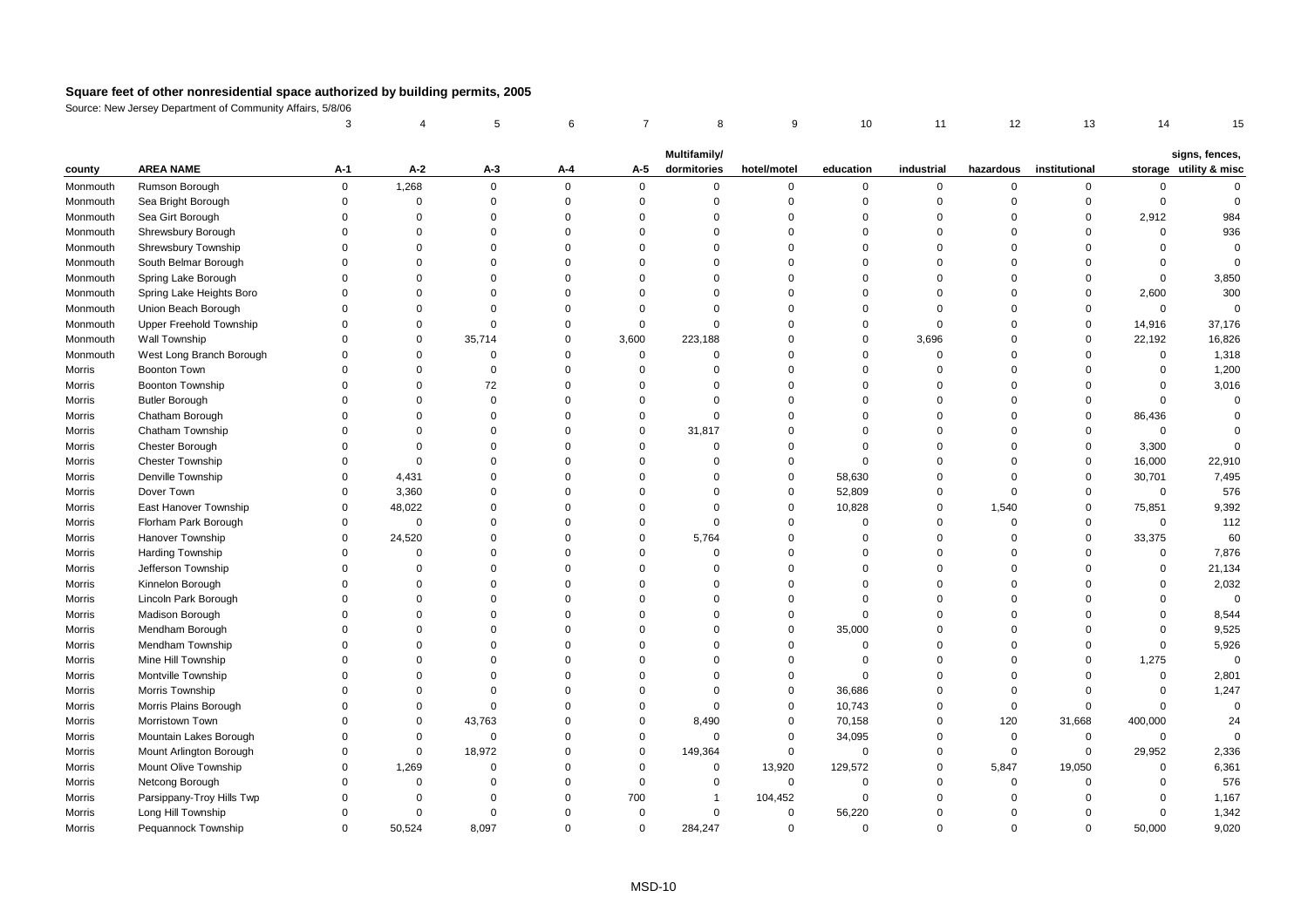|                  |                                        | 3                    |                         | 5                    | 6                    | $\overline{7}$       | 8                    | 9                          | 10                       | 11                      | 12                      | 13                   | 14                      | 15                     |
|------------------|----------------------------------------|----------------------|-------------------------|----------------------|----------------------|----------------------|----------------------|----------------------------|--------------------------|-------------------------|-------------------------|----------------------|-------------------------|------------------------|
|                  |                                        |                      |                         |                      |                      |                      | Multifamily/         |                            |                          |                         |                         |                      |                         | signs, fences,         |
| county           | <b>AREA NAME</b>                       | A-1                  | $A-2$                   | A-3                  | A-4                  | A-5                  | dormitories          | hotel/motel                | education                | industrial              | hazardous               | institutional        |                         | storage utility & misc |
| Monmouth         | Rumson Borough                         | 0                    | 1,268                   | 0                    | $\mathbf 0$          | $\mathbf 0$          | 0                    | 0                          | $\mathbf 0$              | $\mathbf 0$             | $\Omega$                | $\mathbf 0$          | $\mathbf 0$             | $\Omega$               |
| Monmouth         | Sea Bright Borough                     | $\Omega$             | $\mathsf 0$             | $\Omega$             | $\Omega$             | $\mathbf 0$          | $\Omega$             | $\mathbf 0$                | $\mathbf 0$              | $\mathbf 0$             | $\Omega$                | $\mathbf 0$          | $\mathbf 0$             | $\mathbf 0$            |
| Monmouth         | Sea Girt Borough                       | $\Omega$             | $\Omega$                | $\Omega$             | $\Omega$             | $\Omega$             | $\Omega$             | $\mathbf 0$                | $\Omega$                 | $\Omega$                | $\Omega$                | $\mathbf 0$          | 2,912                   | 984                    |
| Monmouth         | Shrewsbury Borough                     | $\Omega$             | $\Omega$                | $\Omega$             | $\Omega$             | $\Omega$             | $\Omega$             | $\mathbf 0$                | $\Omega$                 | $\Omega$                | $\Omega$                | $\Omega$             | $\mathbf 0$             | 936                    |
| Monmouth         | Shrewsbury Township                    | $\Omega$             | $\Omega$                | $\Omega$             | $\Omega$             | $\mathbf 0$          | $\Omega$             | $\mathbf 0$                | $\mathbf 0$              | $\Omega$                | $\Omega$                | $\Omega$             | $\Omega$                | $\mathbf 0$            |
| Monmouth         | South Belmar Borough                   | $\Omega$             | $\mathbf 0$             | $\Omega$             | $\Omega$             | $\Omega$             | $\Omega$             | $\mathbf 0$                | $\overline{0}$           | $\Omega$                | $\Omega$                | $\Omega$             | $\mathbf 0$             | $\Omega$               |
| Monmouth         | Spring Lake Borough                    | $\Omega$             | $\Omega$                | $\Omega$             | $\Omega$             | $\Omega$             | $\Omega$             | $\mathbf 0$                | $\Omega$                 | $\Omega$                | $\Omega$                | $\Omega$             | $\Omega$                | 3,850                  |
| Monmouth         | Spring Lake Heights Boro               | $\Omega$             | $\Omega$                | $\Omega$             | $\Omega$             | $\Omega$             | $\Omega$             | $\mathbf 0$                | $\Omega$                 | $\Omega$                | $\Omega$                | $\mathbf 0$          | 2,600                   | 300                    |
| Monmouth         | Union Beach Borough                    | $\Omega$             | $\Omega$                | $\Omega$             | $\Omega$             | $\Omega$             | $\Omega$             | $\Omega$                   | $\Omega$                 | $\Omega$                | $\Omega$                | $\Omega$             | $\mathbf 0$             | $\Omega$               |
| Monmouth         | Upper Freehold Township                | $\Omega$             | $\Omega$                | $\mathbf 0$          | $\Omega$             | $\mathbf 0$          | $\Omega$             | 0                          | $\mathbf 0$              | $\mathbf 0$             | $\Omega$                | $\mathbf 0$          | 14,916                  | 37,176                 |
| Monmouth         | Wall Township                          | $\Omega$             | $\mathbf 0$             | 35,714               | $\mathbf 0$          | 3,600                | 223,188              | 0                          | $\mathbf 0$              | 3,696                   | $\mathbf 0$             | $\mathbf 0$          | 22,192                  | 16,826                 |
| Monmouth         | West Long Branch Borough               | $\Omega$             | $\mathbf 0$             | $\mathbf 0$          | $\mathbf 0$          | $\mathsf 0$          | $\mathbf 0$          | 0                          | $\overline{0}$           | $\mathbf 0$             | $\Omega$                | $\Omega$             | $\mathbf 0$             | 1,318                  |
| Morris           | <b>Boonton Town</b>                    | $\Omega$             | $\Omega$                | $\Omega$             | $\Omega$             | $\Omega$             | $\Omega$             | $\mathbf 0$                | $\Omega$                 | $\Omega$                | $\Omega$                | $\Omega$             | $\mathbf 0$             | 1,200                  |
| Morris           | <b>Boonton Township</b>                | $\Omega$             | $\Omega$                | 72                   | $\Omega$             | $\Omega$             | $\Omega$             | $\Omega$                   | $\Omega$                 | $\Omega$                | $\Omega$                | $\Omega$             | $\Omega$                | 3,016                  |
| Morris           | <b>Butler Borough</b>                  | $\Omega$             | $\Omega$                | $\Omega$             | $\Omega$             | $\Omega$             | $\Omega$             | $\Omega$                   | $\Omega$                 | $\Omega$                | $\Omega$                | $\Omega$             | $\mathbf 0$             | $\Omega$               |
| Morris           | Chatham Borough                        | $\Omega$             | $\mathbf 0$             | $\Omega$             | $\Omega$             | $\mathbf 0$          | $\mathbf 0$          | $\mathbf 0$                | $\Omega$                 | $\mathbf 0$             | $\Omega$                | $\mathbf 0$          | 86,436                  | $\Omega$               |
| Morris           | Chatham Township                       | $\Omega$             | $\mathbf 0$             | $\Omega$             | $\Omega$             | $\mathsf 0$          | 31,817               | $\mathbf 0$                | $\Omega$                 | $\Omega$                | $\mathbf 0$             | $\mathbf 0$          | $\mathsf 0$             | $\mathbf 0$            |
| Morris           | Chester Borough                        | $\Omega$             | $\mathbf 0$             | $\Omega$             | $\Omega$             | $\mathbf 0$          | $\mathbf 0$          | 0                          | $\mathbf 0$              | $\Omega$                | $\mathbf 0$             | $\mathbf 0$          | 3,300                   | $\Omega$               |
| Morris           | <b>Chester Township</b>                | $\Omega$             | $\mathbf 0$             | $\Omega$             | $\Omega$             | $\Omega$             | $\Omega$             | $\mathbf 0$                | $\Omega$                 | $\Omega$                | $\Omega$                | $\mathbf 0$          | 16,000                  | 22,910                 |
| Morris           | Denville Township                      | $\Omega$             | 4,431                   | $\Omega$             | $\Omega$             | $\Omega$             | $\Omega$             | $\mathbf 0$                | 58,630                   | $\Omega$                | $\Omega$                | $\mathbf 0$          | 30,701                  | 7,495                  |
| Morris           | Dover Town                             | $\Omega$             | 3,360                   | $\Omega$             | $\Omega$             | $\Omega$             | $\Omega$             | $\mathbf 0$                | 52,809                   | $\Omega$                | $\Omega$                | $\mathbf 0$          | $\mathbf 0$             | 576                    |
| Morris           | East Hanover Township                  | $\Omega$             | 48,022                  | $\Omega$             | $\Omega$             | $\mathbf 0$          | $\Omega$             | 0                          | 10,828                   | $\Omega$                | 1,540                   | $\mathbf 0$          | 75,851                  | 9,392                  |
| Morris           | Florham Park Borough                   | $\mathbf 0$          | $\bf 0$                 | $\Omega$             | $\Omega$             | $\Omega$             | $\mathbf 0$          | 0                          | $\overline{0}$           | $\Omega$                | $\mathbf 0$             | $\mathbf 0$          | $\mathbf 0$             | 112                    |
| Morris           | Hanover Township                       | $\Omega$             | 24,520                  | $\Omega$             | $\Omega$             | $\mathsf 0$          | 5,764                | 0                          | $\Omega$                 | $\Omega$                | $\Omega$                | $\mathbf 0$          | 33,375                  | 60                     |
| Morris           | <b>Harding Township</b>                | $\Omega$             | $\mathbf 0$             | $\Omega$             | $\Omega$             | $\Omega$             | $\Omega$             | $\mathbf 0$                | $\Omega$                 | $\Omega$                | $\Omega$                | $\Omega$             | $\mathbf 0$             | 7,876                  |
| Morris           | Jefferson Township                     | $\Omega$             | $\Omega$                | $\Omega$             | $\Omega$             | $\Omega$             | $\Omega$             | $\Omega$                   | $\Omega$                 | $\Omega$                | $\Omega$                | $\Omega$             | $\Omega$                | 21,134                 |
| Morris           | Kinnelon Borough                       | $\Omega$<br>$\Omega$ | $\Omega$<br>$\mathbf 0$ | $\Omega$<br>$\Omega$ | $\Omega$<br>$\Omega$ | $\Omega$<br>$\Omega$ | $\Omega$<br>$\Omega$ | $\mathbf 0$<br>$\mathbf 0$ | $\Omega$<br>$\Omega$     | $\Omega$<br>$\mathbf 0$ | $\Omega$<br>$\Omega$    | $\Omega$<br>$\Omega$ | $\Omega$<br>$\Omega$    | 2,032<br>$\mathbf 0$   |
| Morris           | Lincoln Park Borough                   | $\Omega$             |                         |                      |                      | $\Omega$             |                      |                            |                          | $\Omega$                |                         |                      |                         |                        |
| Morris           | Madison Borough                        | $\Omega$             | $\mathbf 0$<br>$\Omega$ | $\Omega$<br>$\Omega$ | 0<br>$\Omega$        | $\Omega$             | $\Omega$<br>$\Omega$ | 0<br>$\mathbf 0$           | $\overline{0}$           | $\Omega$                | $\mathbf 0$<br>$\Omega$ | $\Omega$<br>$\Omega$ | $\mathbf 0$<br>$\Omega$ | 8,544                  |
| Morris           | Mendham Borough                        | $\Omega$             | $\Omega$                | $\Omega$             | $\Omega$             | $\Omega$             | $\Omega$             | $\Omega$                   | 35,000<br>$\overline{0}$ | $\Omega$                | $\Omega$                | $\Omega$             | $\mathbf 0$             | 9,525                  |
| Morris           | Mendham Township<br>Mine Hill Township | $\Omega$             | $\Omega$                | $\Omega$             | $\Omega$             | $\Omega$             | $\Omega$             | $\Omega$                   | $\overline{0}$           | $\Omega$                | $\Omega$                | $\Omega$             |                         | 5,926<br>$\mathbf 0$   |
| Morris           | Montville Township                     | $\Omega$             | $\Omega$                | $\Omega$             | $\Omega$             | $\Omega$             | $\Omega$             | 0                          | $\Omega$                 | $\mathbf 0$             | $\Omega$                | $\Omega$             | 1,275<br>$\mathbf 0$    | 2,801                  |
| Morris           | Morris Township                        | $\Omega$             | $\Omega$                | $\Omega$             | $\Omega$             | $\Omega$             | $\Omega$             | 0                          | 36,686                   | $\mathbf 0$             | $\mathbf 0$             | $\mathbf 0$          | $\mathbf 0$             | 1,247                  |
| Morris<br>Morris | Morris Plains Borough                  | $\Omega$             | $\mathbf 0$             | $\mathbf 0$          | $\Omega$             | $\mathsf 0$          | $\mathbf 0$          | 0                          | 10,743                   | $\mathbf 0$             | $\mathbf 0$             | $\mathbf 0$          | $\mathbf 0$             | $\overline{0}$         |
| Morris           | Morristown Town                        | $\Omega$             | $\mathbf 0$             | 43,763               | $\Omega$             | $\mathbf 0$          | 8,490                | $\mathbf 0$                | 70,158                   | $\Omega$                | 120                     | 31,668               | 400,000                 | 24                     |
| Morris           | Mountain Lakes Borough                 | $\Omega$             | $\mathbf 0$             | $\mathbf 0$          | $\Omega$             | $\mathbf 0$          | $\Omega$             | $\mathbf 0$                | 34,095                   | $\Omega$                | $\mathbf 0$             | $\mathbf 0$          | $\mathbf 0$             | $\Omega$               |
| Morris           | Mount Arlington Borough                | $\Omega$             | $\mathbf 0$             | 18,972               | $\Omega$             | $\mathbf 0$          | 149,364              | 0                          | $\mathbf 0$              | $\mathbf{0}$            | $\mathbf 0$             | 0                    | 29,952                  | 2,336                  |
| Morris           | Mount Olive Township                   | $\Omega$             | 1,269                   | $\mathbf 0$          | $\mathbf 0$          | $\mathsf 0$          | $\mathbf 0$          | 13,920                     | 129,572                  | $\mathbf 0$             | 5,847                   | 19,050               | $\mathbf 0$             | 6,361                  |
| Morris           | Netcong Borough                        | $\Omega$             | $\mathsf 0$             | $\mathbf 0$          | $\Omega$             | $\bf 0$              | $\mathbf 0$          | 0                          | $\mathbf 0$              | $\Omega$                | $\mathbf 0$             | $\mathbf 0$          | $\mathbf 0$             | 576                    |
| Morris           | Parsippany-Troy Hills Twp              | $\Omega$             | $\mathbf 0$             | $\mathbf 0$          | $\mathbf 0$          | 700                  | 1                    | 104,452                    | $\mathbf 0$              | $\mathbf 0$             | $\mathbf 0$             | $\mathbf 0$          | $\mathbf 0$             | 1,167                  |
| Morris           | Long Hill Township                     | $\Omega$             | $\mathbf 0$             | $\Omega$             | $\Omega$             | $\Omega$             | $\Omega$             | $\mathbf 0$                | 56,220                   | $\Omega$                | $\Omega$                | $\Omega$             | $\Omega$                | 1,342                  |
| Morris           | Pequannock Township                    | $\Omega$             | 50,524                  | 8,097                | $\Omega$             | $\mathbf 0$          | 284,247              | $\mathbf 0$                | $\mathbf 0$              | $\Omega$                | $\Omega$                | $\Omega$             | 50,000                  | 9,020                  |
|                  |                                        |                      |                         |                      |                      |                      |                      |                            |                          |                         |                         |                      |                         |                        |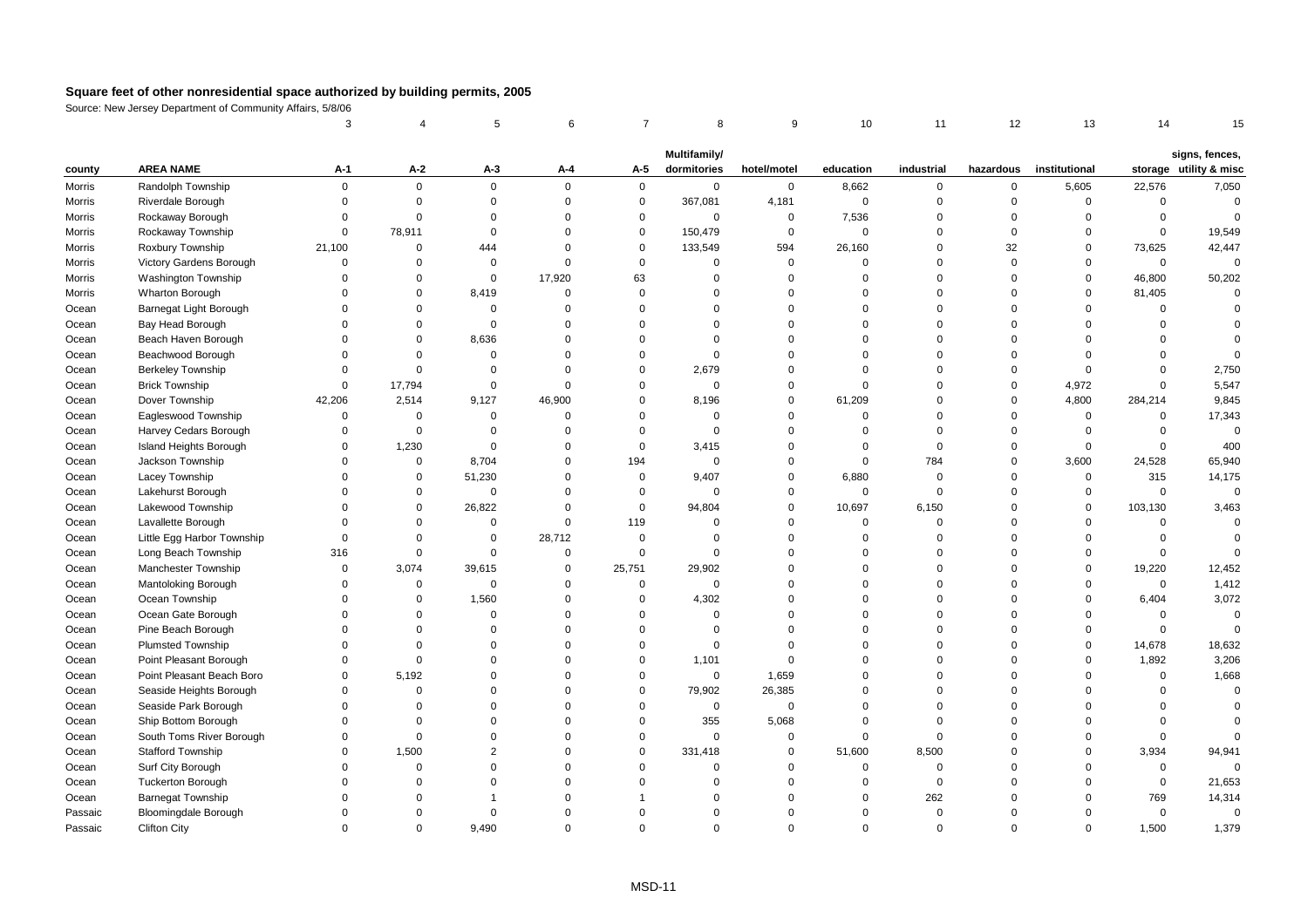|         |                             | 3           |             | 5              | 6           | $\overline{7}$ | 8                           | 9           | 10          | 11          | 12          | 13            | 14          | 15                                       |
|---------|-----------------------------|-------------|-------------|----------------|-------------|----------------|-----------------------------|-------------|-------------|-------------|-------------|---------------|-------------|------------------------------------------|
|         |                             |             |             |                |             |                |                             |             |             |             |             |               |             |                                          |
| county  | <b>AREA NAME</b>            | A-1         | $A-2$       | $A-3$          | A-4         | A-5            | Multifamily/<br>dormitories | hotel/motel | education   | industrial  | hazardous   | institutional |             | signs, fences,<br>storage utility & misc |
| Morris  | Randolph Township           | $\mathbf 0$ | $\mathbf 0$ | $\mathbf 0$    | $\mathbf 0$ | $\mathbf 0$    | $\mathbf 0$                 | $\mathbf 0$ | 8,662       | $\mathbf 0$ | $\mathbf 0$ | 5,605         | 22,576      | 7,050                                    |
| Morris  | Riverdale Borough           | $\Omega$    | $\mathbf 0$ | $\mathbf 0$    | $\mathbf 0$ | $\pmb{0}$      | 367,081                     | 4,181       | $\mathbf 0$ | $\mathbf 0$ | $\Omega$    | $\mathsf 0$   | $\mathbf 0$ | $\overline{0}$                           |
| Morris  | Rockaway Borough            | $\mathbf 0$ | $\Omega$    | 0              | $\mathbf 0$ | $\pmb{0}$      | $\mathbf 0$                 | $\mathsf 0$ | 7,536       | $\mathbf 0$ | $\Omega$    | $\mathbf 0$   | $\mathsf 0$ | $\Omega$                                 |
| Morris  | Rockaway Township           | $\Omega$    | 78,911      | $\mathbf 0$    | $\Omega$    | $\mathbf 0$    | 150,479                     | $\mathbf 0$ | $\mathbf 0$ | $\Omega$    | $\Omega$    | $\mathbf 0$   | $\mathbf 0$ | 19,549                                   |
| Morris  | Roxbury Township            | 21,100      | $\mathbf 0$ | 444            | $\Omega$    | $\mathbf 0$    | 133,549                     | 594         | 26,160      | $\Omega$    | 32          | $\mathbf 0$   | 73,625      | 42,447                                   |
| Morris  | Victory Gardens Borough     | $\Omega$    | $\Omega$    | $\mathsf 0$    | $\mathbf 0$ | $\mathbf 0$    | $\Omega$                    | $\mathsf 0$ | $\Omega$    | $\mathbf 0$ | $\Omega$    | $\mathbf 0$   | $\mathbf 0$ | $\mathbf 0$                              |
| Morris  | Washington Township         | $\Omega$    | $\Omega$    | $\mathsf 0$    | 17,920      | 63             | $\Omega$                    | $\mathsf 0$ | $\Omega$    | $\Omega$    | $\Omega$    | $\mathsf 0$   | 46,800      | 50,202                                   |
| Morris  | Wharton Borough             | $\Omega$    | $\mathbf 0$ | 8,419          | $\Omega$    | $\mathbf 0$    | $\Omega$                    | $\mathbf 0$ | $\Omega$    | $\Omega$    | $\Omega$    | $\mathbf 0$   | 81,405      | $\Omega$                                 |
| Ocean   | Barnegat Light Borough      | $\Omega$    | $\Omega$    | $\mathbf 0$    | $\Omega$    | $\mathbf 0$    | $\Omega$                    | $\mathbf 0$ | $\Omega$    | $\Omega$    | $\Omega$    | $\mathbf 0$   | $\Omega$    | $\Omega$                                 |
| Ocean   | Bay Head Borough            | $\Omega$    | $\mathbf 0$ | $\Omega$       | $\Omega$    | $\Omega$       | $\Omega$                    | $\Omega$    | $\Omega$    | $\Omega$    | $\Omega$    | $\Omega$      | $\Omega$    |                                          |
| Ocean   | Beach Haven Borough         | $\Omega$    | $\mathbf 0$ | 8,636          | $\Omega$    | $\mathbf 0$    | $\Omega$                    | $\Omega$    | $\Omega$    | $\Omega$    | $\Omega$    | $\Omega$      | $\Omega$    | $\Omega$                                 |
| Ocean   | Beachwood Borough           | $\Omega$    | $\mathbf 0$ | $\mathbf 0$    | $\Omega$    | $\mathbf 0$    | $\Omega$                    | $\mathbf 0$ | $\Omega$    | $\Omega$    | $\Omega$    | $\Omega$      | $\Omega$    | $\Omega$                                 |
| Ocean   | <b>Berkeley Township</b>    | $\Omega$    | $\Omega$    | $\Omega$       | $\Omega$    | $\mathbf 0$    | 2,679                       | 0           | $\Omega$    | $\Omega$    | $\Omega$    | $\mathbf 0$   | $\Omega$    | 2,750                                    |
| Ocean   | <b>Brick Township</b>       | $\mathbf 0$ | 17,794      | $\mathsf 0$    | $\Omega$    | $\mathbf 0$    | $\mathbf 0$                 | $\mathsf 0$ | $\mathbf 0$ | $\Omega$    | $\Omega$    | 4,972         | $\Omega$    | 5,547                                    |
| Ocean   | Dover Township              | 42,206      | 2,514       | 9,127          | 46,900      | $\mathbf 0$    | 8,196                       | $\mathbf 0$ | 61,209      | $\Omega$    | $\Omega$    | 4,800         | 284,214     | 9,845                                    |
| Ocean   | Eagleswood Township         | $\Omega$    | $\Omega$    | $\mathbf 0$    | $\Omega$    | $\mathbf 0$    | $\Omega$                    | $\mathbf 0$ | $\Omega$    | $\Omega$    | $\Omega$    | $\mathbf{0}$  | $\mathbf 0$ | 17,343                                   |
| Ocean   | Harvey Cedars Borough       | $\Omega$    | $\Omega$    | $\Omega$       | $\Omega$    | $\mathbf 0$    | $\Omega$                    | $\mathbf 0$ | $\Omega$    | $\Omega$    | $\Omega$    | $\mathbf{0}$  | $\Omega$    | $\mathbf 0$                              |
| Ocean   | Island Heights Borough      | $\mathbf 0$ | 1,230       | $\mathbf 0$    | $\mathbf 0$ | $\mathbf 0$    | 3,415                       | $\mathbf 0$ | $\Omega$    | $\Omega$    | $\Omega$    | $\mathbf 0$   | $\mathsf 0$ | 400                                      |
| Ocean   | Jackson Township            | $\Omega$    | $\mathbf 0$ | 8,704          | $\Omega$    | 194            | $\Omega$                    | $\mathbf 0$ | $\mathbf 0$ | 784         | $\Omega$    | 3,600         | 24,528      | 65,940                                   |
| Ocean   | Lacey Township              | $\Omega$    | $\mathbf 0$ | 51,230         | $\Omega$    | $\mathbf 0$    | 9,407                       | $\mathbf 0$ | 6,880       | $\mathbf 0$ | $\Omega$    | $\mathbf 0$   | 315         | 14,175                                   |
| Ocean   | Lakehurst Borough           | $\Omega$    | $\mathbf 0$ | 0              | $\Omega$    | $\mathbf 0$    | $\Omega$                    | 0           | $\mathbf 0$ | $\mathbf 0$ | $\Omega$    | 0             | $\mathbf 0$ | $\mathbf 0$                              |
| Ocean   | Lakewood Township           | $\Omega$    | $\mathsf 0$ | 26,822         | $\Omega$    | $\mathbf 0$    | 94,804                      | $\mathsf 0$ | 10,697      | 6,150       | $\Omega$    | $\mathsf 0$   | 103,130     | 3,463                                    |
| Ocean   | Lavallette Borough          | $\Omega$    | $\Omega$    | $\Omega$       | $\Omega$    | 119            | $\Omega$                    | $\mathbf 0$ | $\Omega$    | $\Omega$    | $\Omega$    | $\Omega$      | $\mathbf 0$ | $\Omega$                                 |
| Ocean   | Little Egg Harbor Township  | $\Omega$    | $\Omega$    | $\mathbf 0$    | 28,712      | $\mathbf 0$    | $\Omega$                    | $\mathbf 0$ | $\Omega$    | $\Omega$    | $\Omega$    | $\Omega$      | $\Omega$    | $\Omega$                                 |
| Ocean   | Long Beach Township         | 316         | $\Omega$    | $\mathbf 0$    | $\Omega$    | $\mathbf 0$    | $\Omega$                    | $\mathbf 0$ | $\Omega$    | $\Omega$    | $\Omega$    | $\mathbf 0$   | $\Omega$    | $\Omega$                                 |
| Ocean   | Manchester Township         | $\Omega$    | 3,074       | 39,615         | $\mathbf 0$ | 25,751         | 29,902                      | $\Omega$    | $\Omega$    | $\Omega$    | $\Omega$    | $\mathsf 0$   | 19,220      | 12,452                                   |
| Ocean   | <b>Mantoloking Borough</b>  | $\Omega$    | $\mathbf 0$ | $\mathbf 0$    | $\Omega$    | $\mathbf 0$    | $\Omega$                    | $\mathbf 0$ | $\Omega$    | $\Omega$    | $\Omega$    | $\mathbf 0$   | $\mathbf 0$ | 1,412                                    |
| Ocean   | Ocean Township              | $\Omega$    | $\Omega$    | 1,560          | $\Omega$    | $\mathbf 0$    | 4,302                       | $\mathbf 0$ | $\Omega$    | $\Omega$    | $\Omega$    | $\mathbf 0$   | 6,404       | 3,072                                    |
| Ocean   | Ocean Gate Borough          | $\Omega$    | $\Omega$    | $\Omega$       | $\Omega$    | $\mathbf 0$    | $\Omega$                    | $\mathsf 0$ | $\Omega$    | $\Omega$    | $\Omega$    | $\Omega$      | $\mathsf 0$ | $\mathbf 0$                              |
| Ocean   | Pine Beach Borough          | $\Omega$    | $\Omega$    | $\Omega$       | $\Omega$    | $\mathbf 0$    | $\Omega$                    | $\mathbf 0$ | $\Omega$    | $\mathbf 0$ | $\Omega$    | $\mathbf 0$   | $\mathsf 0$ | $\overline{0}$                           |
| Ocean   | <b>Plumsted Township</b>    | $\Omega$    | $\Omega$    | $\Omega$       | $\Omega$    | $\mathbf 0$    | $\Omega$                    | $\Omega$    | $\Omega$    | $\Omega$    | $\Omega$    | $\mathbf 0$   | 14,678      | 18,632                                   |
| Ocean   | Point Pleasant Borough      | $\Omega$    | $\Omega$    | $\Omega$       | $\Omega$    | $\mathbf 0$    | 1,101                       | $\mathbf 0$ | $\Omega$    | $\Omega$    | $\Omega$    | $\mathbf 0$   | 1,892       | 3,206                                    |
| Ocean   | Point Pleasant Beach Boro   | $\Omega$    | 5,192       | $\Omega$       | $\Omega$    | $\mathbf 0$    | $\mathbf 0$                 | 1,659       | $\Omega$    | $\Omega$    | $\Omega$    | $\Omega$      | $\mathsf 0$ | 1,668                                    |
| Ocean   | Seaside Heights Borough     | $\Omega$    | $\Omega$    | $\Omega$       | $\Omega$    | $\mathbf 0$    | 79,902                      | 26,385      | $\Omega$    | $\Omega$    | $\Omega$    | $\Omega$      | $\Omega$    | $\mathbf 0$                              |
| Ocean   | Seaside Park Borough        | $\Omega$    | $\Omega$    | $\Omega$       | $\Omega$    | $\mathbf 0$    | $\mathbf 0$                 | $\mathbf 0$ | $\Omega$    | $\Omega$    | $\Omega$    | $\Omega$      | $\Omega$    | $\Omega$                                 |
| Ocean   | Ship Bottom Borough         | $\Omega$    | $\Omega$    | $\Omega$       | $\Omega$    | $\mathbf 0$    | 355                         | 5,068       | $\Omega$    | $\Omega$    | $\Omega$    | $\Omega$      | $\Omega$    | $\Omega$                                 |
| Ocean   | South Toms River Borough    | $\Omega$    | $\Omega$    | $\Omega$       | $\Omega$    | $\mathbf 0$    | $\Omega$                    | $\mathbf 0$ | $\Omega$    | $\Omega$    | $\Omega$    | $\Omega$      | $\Omega$    | $\Omega$                                 |
| Ocean   | Stafford Township           | $\mathbf 0$ | 1,500       | $\overline{2}$ | $\Omega$    | $\pmb{0}$      | 331,418                     | $\mathsf 0$ | 51,600      | 8,500       | $\Omega$    | $\mathsf 0$   | 3,934       | 94,941                                   |
| Ocean   | Surf City Borough           | $\Omega$    | $\Omega$    | $\Omega$       | $\Omega$    | $\mathbf 0$    | $\Omega$                    | $\mathbf 0$ | $\mathbf 0$ | $\mathbf 0$ | $\Omega$    | $\Omega$      | $\mathsf 0$ | $\Omega$                                 |
| Ocean   | <b>Tuckerton Borough</b>    | $\Omega$    | $\Omega$    | $\Omega$       | $\Omega$    | $\Omega$       | $\Omega$                    | $\mathbf 0$ | $\mathbf 0$ | $\mathbf 0$ | $\Omega$    | $\Omega$      | $\mathbf 0$ | 21,653                                   |
| Ocean   | <b>Barnegat Township</b>    | $\Omega$    | $\Omega$    |                | $\Omega$    |                | $\Omega$                    | $\Omega$    | $\Omega$    | 262         | $\Omega$    | $\Omega$      | 769         | 14,314                                   |
| Passaic | <b>Bloomingdale Borough</b> | $\Omega$    | $\Omega$    | $\Omega$       | $\Omega$    | $\Omega$       | $\Omega$                    | $\Omega$    | $\Omega$    | $\Omega$    | $\Omega$    | $\Omega$      | $\mathsf 0$ | $\mathbf 0$                              |
| Passaic | <b>Clifton City</b>         | $\Omega$    | $\Omega$    | 9,490          | $\Omega$    | $\Omega$       | $\Omega$                    | $\Omega$    | $\Omega$    | $\Omega$    | $\Omega$    | $\Omega$      | 1,500       | 1,379                                    |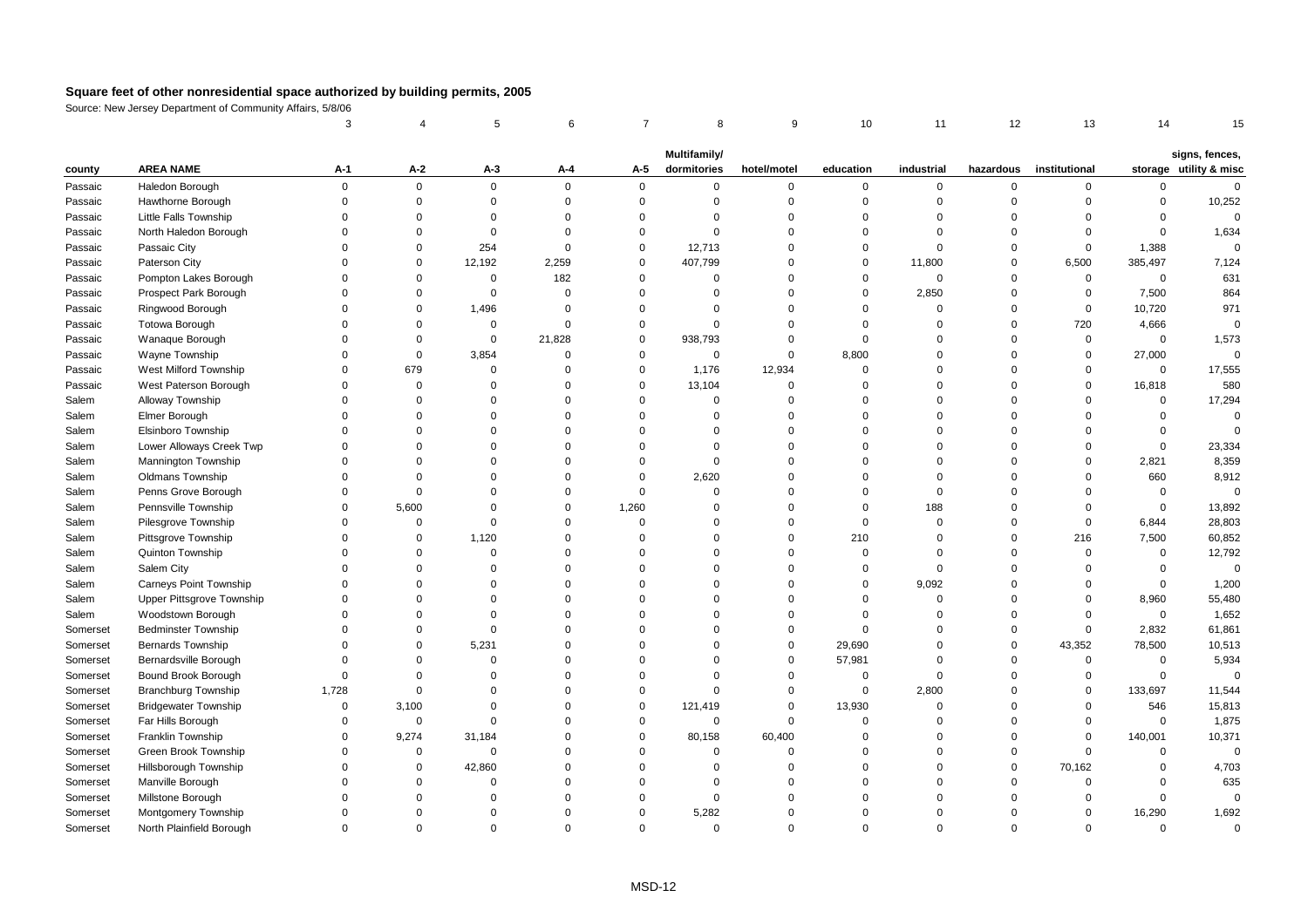|          |                             | 3           |             | 5           | 6           | $\overline{7}$ | 8            | 9           | 10             | 11           | 12          | 13            | 14           | 15                     |
|----------|-----------------------------|-------------|-------------|-------------|-------------|----------------|--------------|-------------|----------------|--------------|-------------|---------------|--------------|------------------------|
|          |                             |             |             |             |             |                | Multifamily/ |             |                |              |             |               |              | signs, fences,         |
| county   | <b>AREA NAME</b>            | A-1         | A-2         | A-3         | A-4         | A-5            | dormitories  | hotel/motel | education      | industrial   | hazardous   | institutional |              | storage utility & misc |
| Passaic  | Haledon Borough             | $\mathbf 0$ | $\pmb{0}$   | $\mathbf 0$ | $\mathsf 0$ | 0              | $\mathbf 0$  | 0           | $\mathbf 0$    | $\mathbf 0$  | $\mathbf 0$ | 0             | $\mathsf{O}$ | $\mathbf 0$            |
| Passaic  | Hawthorne Borough           | $\Omega$    | $\mathbf 0$ | $\mathbf 0$ | $\mathbf 0$ | $\mathsf 0$    | $\Omega$     | 0           | $\mathbf 0$    | $\mathbf 0$  | $\mathbf 0$ | 0             | $\mathbf 0$  | 10,252                 |
| Passaic  | Little Falls Township       | $\Omega$    | $\Omega$    | $\Omega$    | $\Omega$    | $\Omega$       | $\Omega$     | $\mathbf 0$ | $\Omega$       | $\mathbf 0$  | $\Omega$    | $\Omega$      | $\Omega$     | $\mathbf 0$            |
| Passaic  | North Haledon Borough       | $\Omega$    | $\mathbf 0$ | $\mathbf 0$ | $\Omega$    | $\mathbf 0$    | $\Omega$     | $\mathbf 0$ | $\Omega$       | $\mathbf{0}$ | $\Omega$    | $\Omega$      | $\mathbf 0$  | 1,634                  |
| Passaic  | Passaic City                | $\Omega$    | $\mathbf 0$ | 254         | $\Omega$    | $\mathsf 0$    | 12,713       | $\mathbf 0$ | $\mathbf 0$    | $\mathbf 0$  | $\Omega$    | $\mathbf 0$   | 1,388        | $\mathbf 0$            |
| Passaic  | Paterson City               | $\Omega$    | $\mathbf 0$ | 12,192      | 2,259       | $\mathbf 0$    | 407,799      | $\Omega$    | $\mathbf 0$    | 11,800       | $\Omega$    | 6,500         | 385,497      | 7,124                  |
| Passaic  | Pompton Lakes Borough       | $\Omega$    | $\mathbf 0$ | $\mathbf 0$ | 182         | $\mathbf 0$    | $\Omega$     | 0           | $\mathbf 0$    | $\mathbf 0$  | $\mathbf 0$ | $\mathbf 0$   | $\mathbf 0$  | 631                    |
| Passaic  | Prospect Park Borough       | $\Omega$    | $\Omega$    | $\mathbf 0$ | $\Omega$    | $\Omega$       | $\Omega$     | $\Omega$    | $\mathbf 0$    | 2,850        | $\Omega$    | $\mathbf 0$   | 7,500        | 864                    |
| Passaic  | Ringwood Borough            | $\Omega$    | $\Omega$    | 1,496       | $\Omega$    | $\Omega$       | $\Omega$     | $\Omega$    | $\Omega$       | $\mathbf 0$  | $\Omega$    | $\mathbf 0$   | 10,720       | 971                    |
| Passaic  | Totowa Borough              | $\Omega$    | $\Omega$    | $\mathbf 0$ | $\Omega$    | $\mathbf 0$    | $\Omega$     | $\mathbf 0$ | $\mathbf 0$    | $\Omega$     | $\Omega$    | 720           | 4,666        | $\Omega$               |
| Passaic  | Wanaque Borough             | $\Omega$    | $\mathbf 0$ | $\mathbf 0$ | 21,828      | $\mathbf 0$    | 938,793      | $\mathbf 0$ | $\mathbf 0$    | $\Omega$     | $\Omega$    | $\mathbf 0$   | $\mathbf 0$  | 1,573                  |
| Passaic  | Wayne Township              | $\Omega$    | $\pmb{0}$   | 3,854       | $\mathbf 0$ | $\mathsf 0$    | $\mathsf 0$  | 0           | 8,800          | $\mathbf 0$  | $\mathbf 0$ | $\mathbf 0$   | 27,000       | $\mathbf 0$            |
| Passaic  | West Milford Township       | $\Omega$    | 679         | $\mathbf 0$ | $\Omega$    | $\mathbf 0$    | 1,176        | 12,934      | $\Omega$       | $\Omega$     | $\Omega$    | $\mathbf 0$   | $\mathbf{0}$ | 17,555                 |
| Passaic  | West Paterson Borough       | $\Omega$    | $\mathsf 0$ | $\Omega$    | $\Omega$    | $\mathbf 0$    | 13,104       | $\Omega$    | $\Omega$       | $\Omega$     | $\Omega$    | 0             | 16,818       | 580                    |
| Salem    | Alloway Township            | $\Omega$    | $\Omega$    | $\Omega$    | $\Omega$    | $\mathbf 0$    | $\Omega$     | $\mathbf 0$ | $\Omega$       | $\Omega$     | $\Omega$    | $\Omega$      | $\mathbf 0$  | 17,294                 |
| Salem    | Elmer Borough               | $\Omega$    | $\Omega$    | $\Omega$    | $\Omega$    | $\Omega$       | $\Omega$     | $\mathbf 0$ | $\Omega$       | $\Omega$     | $\Omega$    | $\Omega$      | $\mathbf 0$  | $\Omega$               |
| Salem    | Elsinboro Township          | $\Omega$    | $\Omega$    | $\Omega$    | $\Omega$    | $\Omega$       | $\Omega$     | $\mathbf 0$ | $\Omega$       | $\Omega$     | $\Omega$    | $\Omega$      | $\mathbf 0$  | $\Omega$               |
| Salem    | Lower Alloways Creek Twp    | $\Omega$    | $\Omega$    | $\Omega$    | $\Omega$    | $\Omega$       | $\Omega$     | $\mathbf 0$ | $\Omega$       | $\Omega$     | $\Omega$    | $\Omega$      | $\mathbf 0$  | 23,334                 |
| Salem    | Mannington Township         | $\Omega$    | $\Omega$    | $\Omega$    | $\Omega$    | $\Omega$       | $\mathbf 0$  | $\Omega$    | $\Omega$       | $\Omega$     | $\Omega$    | $\mathbf 0$   | 2,821        | 8,359                  |
| Salem    | Oldmans Township            | $\Omega$    | $\Omega$    | $\Omega$    | $\Omega$    | $\Omega$       | 2,620        | $\Omega$    | $\Omega$       | $\Omega$     | $\Omega$    | $\Omega$      | 660          | 8,912                  |
| Salem    | Penns Grove Borough         | $\Omega$    | $\mathbf 0$ | $\Omega$    | $\Omega$    | $\mathbf 0$    | $\Omega$     | $\mathbf 0$ | $\Omega$       | $\mathbf{0}$ | $\Omega$    | $\mathbf 0$   | $\mathbf{0}$ | $\mathbf 0$            |
| Salem    | Pennsville Township         | $\Omega$    | 5,600       | $\Omega$    | $\mathbf 0$ | 1,260          | $\Omega$     | 0           | $\overline{0}$ | 188          | $\mathbf 0$ | $\Omega$      | $\mathsf 0$  | 13,892                 |
| Salem    | Pilesgrove Township         | $\Omega$    | $\mathbf 0$ | $\Omega$    | $\Omega$    | $\Omega$       | $\Omega$     | $\mathbf 0$ | $\mathbf 0$    | $\mathbf{0}$ | $\Omega$    | $\mathbf 0$   | 6,844        | 28,803                 |
| Salem    | Pittsgrove Township         | $\Omega$    | $\Omega$    | 1,120       | $\Omega$    | $\Omega$       | $\Omega$     | $\Omega$    | 210            | $\Omega$     | $\Omega$    | 216           | 7,500        | 60,852                 |
| Salem    | Quinton Township            | $\Omega$    | $\mathbf 0$ | $\mathbf 0$ | $\Omega$    | $\Omega$       | $\Omega$     | $\mathbf 0$ | $\mathbf 0$    | $\mathbf 0$  | $\Omega$    | $\mathbf 0$   | $\mathsf{O}$ | 12,792                 |
| Salem    | Salem City                  | $\Omega$    | $\Omega$    | $\Omega$    | $\Omega$    | $\Omega$       | $\Omega$     | $\mathbf 0$ | $\mathbf 0$    | $\mathbf 0$  | $\Omega$    | $\Omega$      | $\mathbf 0$  | $\mathbf 0$            |
| Salem    | Carneys Point Township      | $\Omega$    | $\Omega$    | $\Omega$    | $\Omega$    | $\Omega$       | $\Omega$     | $\mathbf 0$ | $\mathbf 0$    | 9,092        | $\Omega$    | $\Omega$      | $\mathbf 0$  | 1,200                  |
| Salem    | Upper Pittsgrove Township   | $\Omega$    | $\Omega$    | $\Omega$    | $\Omega$    | $\Omega$       | $\Omega$     | 0           | $\mathbf 0$    | $\mathbf 0$  | $\mathbf 0$ | 0             | 8,960        | 55,480                 |
| Salem    | Woodstown Borough           | $\Omega$    | $\Omega$    | $\Omega$    | $\Omega$    | $\Omega$       | $\Omega$     | $\Omega$    | $\Omega$       | $\Omega$     | $\Omega$    | $\mathbf 0$   | $\mathbf 0$  | 1,652                  |
| Somerset | <b>Bedminster Township</b>  | $\Omega$    | $\Omega$    | $\Omega$    | $\Omega$    | $\Omega$       | $\Omega$     | $\mathbf 0$ | $\Omega$       | $\Omega$     | $\Omega$    | $\mathbf 0$   | 2,832        | 61,861                 |
| Somerset | <b>Bernards Township</b>    | $\Omega$    | $\mathbf 0$ | 5,231       | $\Omega$    | $\Omega$       | $\Omega$     | $\mathbf 0$ | 29,690         | $\mathbf 0$  | $\Omega$    | 43,352        | 78,500       | 10,513                 |
| Somerset | Bernardsville Borough       | $\Omega$    | $\mathbf 0$ | $\Omega$    | $\Omega$    | $\Omega$       | $\Omega$     | 0           | 57,981         | $\Omega$     | $\mathbf 0$ | $\mathbf 0$   | $\mathsf 0$  | 5,934                  |
| Somerset | Bound Brook Borough         | $\Omega$    | $\mathbf 0$ | $\Omega$    | $\Omega$    | $\Omega$       | $\Omega$     | $\mathbf 0$ | $\mathbf 0$    | $\mathbf 0$  | $\mathbf 0$ | $\mathbf 0$   | $\mathbf 0$  | $\mathbf 0$            |
| Somerset | <b>Branchburg Township</b>  | 1,728       | $\mathbf 0$ | $\Omega$    | $\Omega$    | $\Omega$       | $\Omega$     | $\mathbf 0$ | $\mathbf 0$    | 2,800        | $\Omega$    | $\mathbf 0$   | 133,697      | 11,544                 |
| Somerset | <b>Bridgewater Township</b> | $\Omega$    | 3,100       | $\Omega$    | $\Omega$    | $\bf 0$        | 121,419      | $\Omega$    | 13,930         | $\mathbf 0$  | $\Omega$    | 0             | 546          | 15,813                 |
| Somerset | Far Hills Borough           | $\Omega$    | $\mathsf 0$ | $\mathbf 0$ | $\Omega$    | $\mathbf 0$    | $\mathbf 0$  | $\mathbf 0$ | $\mathbf 0$    | $\Omega$     | $\Omega$    | $\mathbf 0$   | $\mathbf{0}$ | 1,875                  |
| Somerset | Franklin Township           | $\Omega$    | 9,274       | 31,184      | $\Omega$    | $\mathbf 0$    | 80,158       | 60,400      | $\Omega$       | $\Omega$     | $\Omega$    | $\mathbf 0$   | 140,001      | 10,371                 |
| Somerset | Green Brook Township        | $\Omega$    | $\mathsf 0$ | $\mathbf 0$ | $\Omega$    | $\Omega$       | 0            | $\mathbf 0$ | $\Omega$       | $\Omega$     | $\mathbf 0$ | $\mathbf 0$   | 0            | $\overline{0}$         |
| Somerset | Hillsborough Township       | $\Omega$    | $\mathbf 0$ | 42,860      | $\Omega$    | $\Omega$       | $\Omega$     | $\Omega$    | $\Omega$       | $\mathbf 0$  | $\Omega$    | 70,162        | $\mathbf 0$  | 4,703                  |
| Somerset | Manville Borough            |             | $\Omega$    | $\Omega$    | $\Omega$    | $\Omega$       | $\Omega$     | $\Omega$    | $\Omega$       | $\Omega$     | $\Omega$    | $\Omega$      | $\Omega$     | 635                    |
| Somerset | Millstone Borough           | $\Omega$    | $\Omega$    | $\Omega$    | $\Omega$    | $\Omega$       | $\Omega$     | $\Omega$    | $\Omega$       | $\mathbf 0$  | $\Omega$    | $\Omega$      | $\mathbf 0$  | $\mathbf 0$            |
| Somerset | Montgomery Township         | $\Omega$    | $\Omega$    | $\Omega$    | $\Omega$    | $\mathbf 0$    | 5,282        | $\mathbf 0$ | $\Omega$       | $\Omega$     | $\Omega$    | $\mathbf 0$   | 16,290       | 1,692                  |
| Somerset | North Plainfield Borough    | $\Omega$    | $\Omega$    | $\Omega$    | $\Omega$    | $\Omega$       | $\Omega$     | $\Omega$    | $\Omega$       | $\Omega$     | $\Omega$    | $\Omega$      | $\Omega$     | $\Omega$               |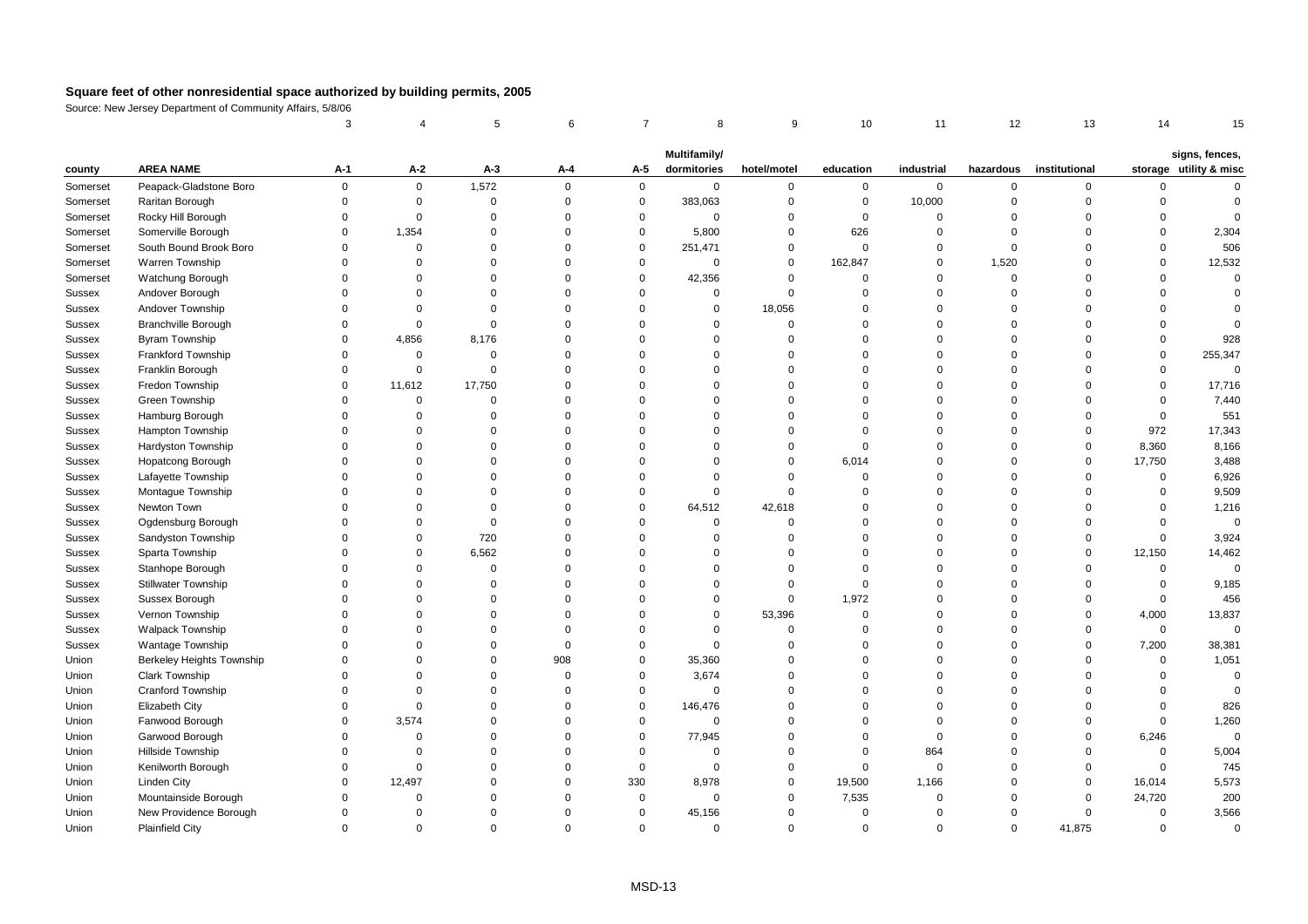|          |                            | 3           |             | 5           | 6           | $\overline{7}$ | 8            | 9           | 10             | 11          | 12          | 13            | 14          | 15                                       |
|----------|----------------------------|-------------|-------------|-------------|-------------|----------------|--------------|-------------|----------------|-------------|-------------|---------------|-------------|------------------------------------------|
|          |                            |             |             |             |             |                | Multifamily/ |             |                |             |             |               |             |                                          |
| county   | <b>AREA NAME</b>           | $A-1$       | $A-2$       | $A-3$       | A-4         | A-5            | dormitories  | hotel/motel | education      | industrial  | hazardous   | institutional |             | signs, fences,<br>storage utility & misc |
| Somerset | Peapack-Gladstone Boro     | $\mathbf 0$ | $\mathbf 0$ | 1,572       | $\mathbf 0$ | $\mathbf 0$    | $\mathsf 0$  | 0           | $\mathbf 0$    | $\mathbf 0$ | $\mathsf 0$ | 0             | $\mathbf 0$ | $\Omega$                                 |
| Somerset | Raritan Borough            | $\Omega$    | $\mathbf 0$ | $\mathsf 0$ | $\mathbf 0$ | $\mathsf 0$    | 383,063      | $\mathbf 0$ | $\mathbf 0$    | 10,000      | $\mathbf 0$ | $\mathbf 0$   | 0           | $\Omega$                                 |
| Somerset | Rocky Hill Borough         | $\mathbf 0$ | $\mathsf 0$ | $\mathbf 0$ | $\mathbf 0$ | $\mathsf 0$    | $\mathsf 0$  | $\mathbf 0$ | $\mathbf 0$    | $\mathbf 0$ | $\mathbf 0$ | $\Omega$      | $\mathbf 0$ | $\Omega$                                 |
| Somerset | Somerville Borough         | $\Omega$    | 1,354       | $\Omega$    | $\Omega$    | $\mathbf 0$    | 5,800        | $\Omega$    | 626            | $\Omega$    | $\Omega$    | $\Omega$      | $\Omega$    | 2,304                                    |
| Somerset | South Bound Brook Boro     | $\Omega$    | $\mathbf 0$ | $\Omega$    | $\Omega$    | $\mathbf 0$    | 251,471      | $\Omega$    | $\mathbf 0$    | $\Omega$    | $\Omega$    | $\Omega$      | $\Omega$    | 506                                      |
| Somerset | Warren Township            | $\Omega$    | 0           | $\Omega$    | $\Omega$    | 0              | 0            | $\mathbf 0$ | 162,847        | $\mathbf 0$ | 1,520       | $\Omega$      | 0           | 12,532                                   |
| Somerset | Watchung Borough           | $\Omega$    | $\mathbf 0$ | $\Omega$    | $\Omega$    | $\mathsf 0$    | 42,356       | $\Omega$    | $\mathbf 0$    | $\mathbf 0$ | $\mathsf 0$ | $\Omega$      | $\Omega$    | $\Omega$                                 |
| Sussex   | Andover Borough            | $\Omega$    | 0           | $\Omega$    | $\mathbf 0$ | $\Omega$       | $\mathbf 0$  | $\mathbf 0$ | $\mathbf 0$    | $\mathbf 0$ | $\mathbf 0$ | $\Omega$      | $\mathbf 0$ | $\Omega$                                 |
| Sussex   | Andover Township           | $\Omega$    | $\mathbf 0$ | $\Omega$    | $\Omega$    | $\Omega$       | $\Omega$     | 18,056      | $\Omega$       | $\Omega$    | $\Omega$    | $\Omega$      | $\Omega$    | $\Omega$                                 |
| Sussex   | Branchville Borough        | $\Omega$    | $\mathbf 0$ | $\Omega$    | $\Omega$    | $\Omega$       | $\Omega$     | $\Omega$    | $\Omega$       | $\Omega$    | $\Omega$    | $\Omega$      | $\Omega$    |                                          |
| Sussex   | Byram Township             | $\Omega$    | 4,856       | 8,176       | $\Omega$    | $\Omega$       | $\Omega$     | $\Omega$    | $\overline{0}$ | $\Omega$    | $\Omega$    | $\Omega$      | $\mathbf 0$ | 928                                      |
| Sussex   | <b>Frankford Township</b>  | $\Omega$    | $\mathsf 0$ | $\mathsf 0$ | $\mathbf 0$ | $\Omega$       | $\Omega$     | $\Omega$    | $\mathbf 0$    | $\mathbf 0$ | $\mathsf 0$ | $\Omega$      | $\mathsf 0$ | 255,347                                  |
| Sussex   | Franklin Borough           | $\Omega$    | $\mathsf 0$ | $\mathbf 0$ | $\Omega$    | $\Omega$       | $\Omega$     | $\Omega$    | $\Omega$       | $\Omega$    | $\Omega$    | $\Omega$      | $\Omega$    | $\Omega$                                 |
| Sussex   | Fredon Township            | $\Omega$    | 11,612      | 17,750      | $\Omega$    | $\Omega$       | $\Omega$     | $\Omega$    | $\Omega$       | $\Omega$    | $\Omega$    | $\Omega$      | $\mathbf 0$ | 17,716                                   |
| Sussex   | Green Township             | $\Omega$    | $\mathsf 0$ | $\Omega$    | $\Omega$    | $\Omega$       | $\Omega$     | $\Omega$    | $\mathbf 0$    | $\Omega$    | $\mathbf 0$ | $\Omega$      | $\mathbf 0$ | 7,440                                    |
| Sussex   | Hamburg Borough            | $\Omega$    | $\mathbf 0$ | $\mathbf 0$ | $\Omega$    | $\Omega$       | $\Omega$     | $\Omega$    | $\Omega$       | $\Omega$    | $\Omega$    | $\Omega$      | $\mathsf 0$ | 551                                      |
| Sussex   | Hampton Township           | $\Omega$    | $\Omega$    | $\Omega$    | $\Omega$    | $\Omega$       | $\Omega$     | $\Omega$    | $\mathbf 0$    | $\Omega$    | $\Omega$    | $\Omega$      | 972         | 17,343                                   |
| Sussex   | Hardyston Township         | $\Omega$    | $\Omega$    | $\Omega$    | $\Omega$    | $\Omega$       | $\Omega$     | $\Omega$    | $\mathbf 0$    | $\Omega$    | $\Omega$    | $\mathbf 0$   | 8,360       | 8,166                                    |
| Sussex   | <b>Hopatcong Borough</b>   | $\Omega$    | $\Omega$    | $\Omega$    | $\Omega$    | $\Omega$       | $\Omega$     | $\mathbf 0$ | 6,014          | $\Omega$    | $\mathbf 0$ | $\mathbf 0$   | 17,750      | 3,488                                    |
| Sussex   | Lafayette Township         | $\Omega$    | $\Omega$    | $\Omega$    | $\Omega$    | $\Omega$       | $\mathbf 0$  | $\Omega$    | $\mathbf 0$    | $\Omega$    | $\mathbf 0$ | $\Omega$      | $\mathsf 0$ | 6,926                                    |
| Sussex   | Montague Township          | $\Omega$    | $\Omega$    | $\Omega$    | $\Omega$    | $\Omega$       | $\mathbf 0$  | $\Omega$    | $\Omega$       | $\Omega$    | $\Omega$    | $\Omega$      | $\Omega$    | 9,509                                    |
| Sussex   | Newton Town                | $\Omega$    | $\Omega$    | $\Omega$    | $\Omega$    | $\Omega$       | 64,512       | 42,618      | $\mathbf{0}$   | $\Omega$    | $\Omega$    | $\Omega$      | $\Omega$    | 1,216                                    |
| Sussex   | Ogdensburg Borough         | $\Omega$    | $\Omega$    | $\mathbf 0$ | $\Omega$    | $\Omega$       | $\mathbf 0$  | $\Omega$    | $\mathbf{0}$   | $\mathbf 0$ | $\mathbf 0$ | $\Omega$      | $\mathbf 0$ | $\mathbf 0$                              |
| Sussex   | Sandyston Township         | $\Omega$    | $\mathbf 0$ | 720         | $\mathbf 0$ | $\Omega$       | $\Omega$     | $\Omega$    | $\overline{0}$ | $\Omega$    | $\mathbf 0$ | $\Omega$      | $\mathsf 0$ | 3,924                                    |
| Sussex   | Sparta Township            | $\Omega$    | $\Omega$    | 6,562       | $\Omega$    | $\Omega$       | $\Omega$     | $\Omega$    | $\mathbf 0$    | $\Omega$    | $\mathsf 0$ | $\Omega$      | 12,150      | 14,462                                   |
| Sussex   | Stanhope Borough           | $\Omega$    | $\Omega$    | $\Omega$    | $\Omega$    | $\Omega$       | $\Omega$     | $\Omega$    | $\mathbf 0$    | $\Omega$    | $\Omega$    | $\Omega$      | $\mathbf 0$ | $\mathbf 0$                              |
| Sussex   | <b>Stillwater Township</b> | $\Omega$    | $\Omega$    | $\Omega$    | $\Omega$    | $\Omega$       | $\Omega$     | $\Omega$    | $\mathbf{0}$   | $\Omega$    | $\Omega$    | $\Omega$      | $\mathbf 0$ | 9,185                                    |
| Sussex   | Sussex Borough             | $\Omega$    | $\Omega$    | $\Omega$    | $\Omega$    | $\Omega$       | $\Omega$     | $\mathbf 0$ | 1,972          | $\Omega$    | $\Omega$    | $\Omega$      | $\mathbf 0$ | 456                                      |
| Sussex   | Vernon Township            | $\Omega$    | $\Omega$    | $\Omega$    | $\Omega$    | $\Omega$       | $\Omega$     | 53,396      | $\mathbf 0$    | $\Omega$    | $\mathbf 0$ | $\Omega$      | 4,000       | 13,837                                   |
| Sussex   | <b>Walpack Township</b>    | $\Omega$    | $\Omega$    | $\Omega$    | $\Omega$    | $\Omega$       | $\mathbf 0$  | $\Omega$    | $\mathbf{0}$   | $\Omega$    | $\Omega$    | $\Omega$      | $\mathbf 0$ | $\mathbf 0$                              |
| Sussex   | Wantage Township           | $\Omega$    | $\Omega$    | $\Omega$    | $\Omega$    | $\Omega$       | $\mathbf 0$  | $\Omega$    | $\Omega$       | $\Omega$    | $\mathbf 0$ | $\Omega$      | 7,200       | 38,381                                   |
| Union    | Berkeley Heights Township  | $\Omega$    | $\Omega$    | $\Omega$    | 908         | $\mathbf 0$    | 35,360       | $\Omega$    | $\Omega$       | $\Omega$    | $\Omega$    | $\Omega$      | $\mathbf 0$ | 1,051                                    |
| Union    | Clark Township             | $\Omega$    | $\mathbf 0$ | $\Omega$    | $\Omega$    | $\mathsf 0$    | 3,674        | $\Omega$    | $\overline{0}$ | $\Omega$    | $\Omega$    | $\Omega$      | $\mathsf 0$ | $\mathbf 0$                              |
| Union    | <b>Cranford Township</b>   | $\Omega$    | $\mathbf 0$ | $\Omega$    | $\Omega$    | $\mathbf 0$    | $\mathbf 0$  | $\Omega$    | $\Omega$       | $\Omega$    | $\Omega$    | $\Omega$      | $\Omega$    | $\Omega$                                 |
| Union    | <b>Elizabeth City</b>      | $\Omega$    | $\mathbf 0$ | $\Omega$    | $\Omega$    | $\mathsf 0$    | 146,476      | $\Omega$    | $\Omega$       | $\Omega$    | $\Omega$    | $\Omega$      | 0           | 826                                      |
| Union    | Fanwood Borough            | $\Omega$    | 3,574       | $\Omega$    | $\Omega$    | $\mathsf 0$    | $\mathsf 0$  | $\Omega$    | $\overline{0}$ | $\Omega$    | $\Omega$    | $\Omega$      | $\mathsf 0$ | 1,260                                    |
| Union    | Garwood Borough            | $\Omega$    | $\mathsf 0$ | $\Omega$    | $\Omega$    | $\mathsf 0$    | 77,945       | $\Omega$    | $\mathbf{0}$   | $\mathbf 0$ | $\Omega$    | $\Omega$      | 6,246       | $\mathbf 0$                              |
| Union    | Hillside Township          | $\Omega$    | $\mathbf 0$ | $\Omega$    | $\Omega$    | $\Omega$       | $\mathbf 0$  | $\Omega$    | $\mathbf{0}$   | 864         | $\Omega$    | $\Omega$      | $\mathbf 0$ | 5,004                                    |
| Union    | Kenilworth Borough         | $\Omega$    | $\mathbf 0$ | $\Omega$    | $\Omega$    | $\mathbf 0$    | $\Omega$     | $\Omega$    | $\mathbf{0}$   | $\Omega$    | $\Omega$    | $\Omega$      | $\mathbf 0$ | 745                                      |
| Union    | <b>Linden City</b>         | $\Omega$    | 12,497      | $\Omega$    | $\Omega$    | 330            | 8,978        | 0           | 19,500         | 1,166       | $\mathbf 0$ | 0             | 16,014      | 5,573                                    |
| Union    | Mountainside Borough       | $\Omega$    | $\mathsf 0$ | $\Omega$    | $\Omega$    | $\mathsf 0$    | $\mathsf 0$  | $\Omega$    | 7,535          | $\Omega$    | $\Omega$    | $\Omega$      | 24,720      | 200                                      |
| Union    | New Providence Borough     | $\Omega$    | $\Omega$    | $\Omega$    | $\Omega$    | $\Omega$       | 45,156       | $\Omega$    | $\mathbf 0$    | $\Omega$    | $\Omega$    | $\Omega$      | $\mathsf 0$ | 3,566                                    |
| Union    | <b>Plainfield City</b>     | $\Omega$    | $\Omega$    | $\Omega$    | $\Omega$    | $\Omega$       | $\Omega$     | $\Omega$    | $\Omega$       | $\Omega$    | $\Omega$    | 41,875        | $\Omega$    | $\mathbf 0$                              |